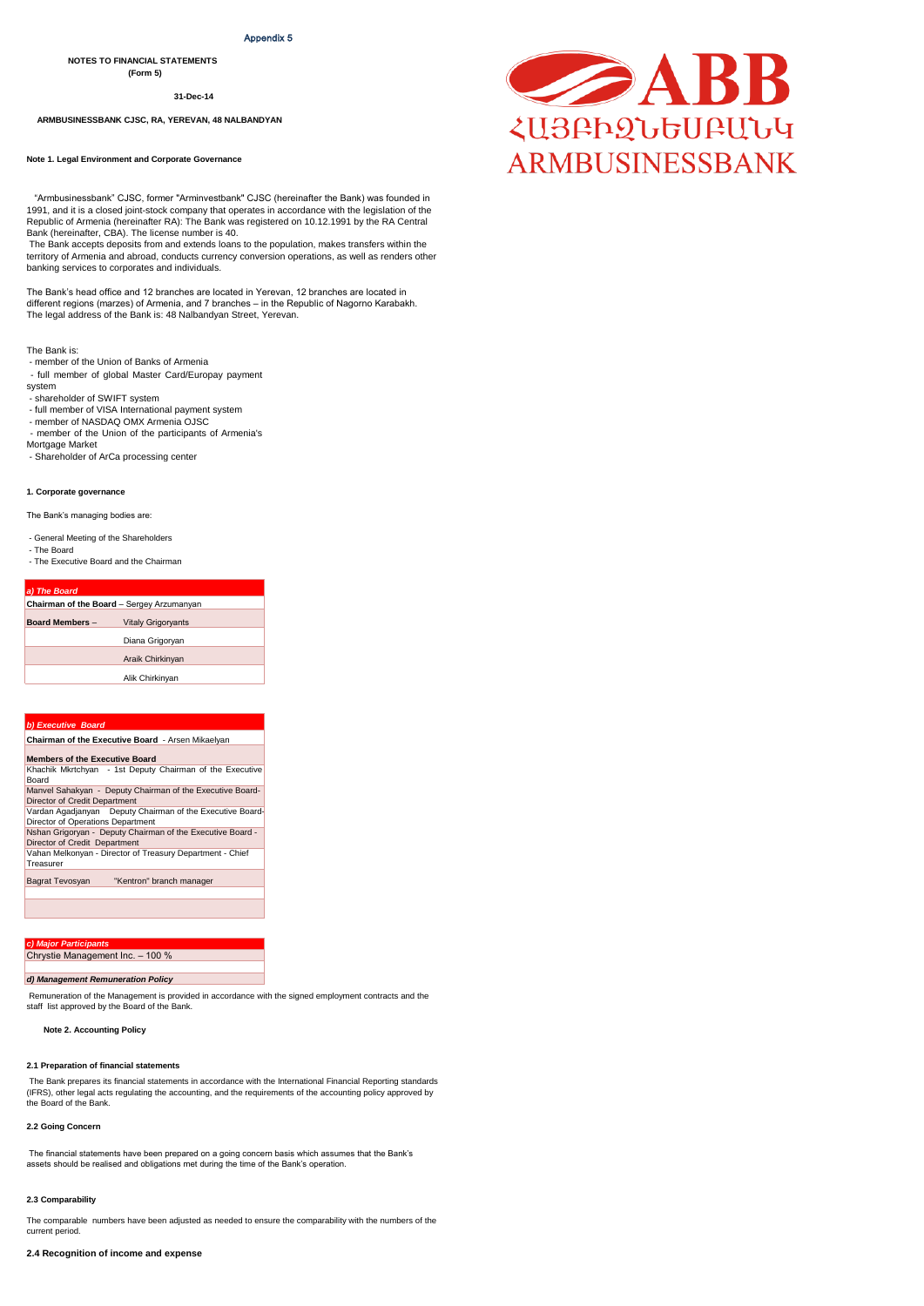#### Appendix 5

**NOTES TO FINANCIAL STATEMENTS** 

**(Form 5)**

**31-Dec-14**

 **ARMBUSINESSBANK CJSC, RA, YEREVAN, 48 NALBANDYAN** 

**Note 1. Legal Environment and Corporate Governance** 

 "Armbusinessbank" CJSC, former "Arminvestbank" CJSC (hereinafter the Bank) was founded in 1991, and it is a closed joint-stock company that operates in accordance with the legislation of the Republic of Armenia (hereinafter RA): The Bank was registered on 10.12.1991 by the RA Central Bank (hereinafter, CBA). The license number is 40.

 The Bank accepts deposits from and extends loans to the population, makes transfers within the territory of Armenia and abroad, conducts currency conversion operations, as well as renders other banking services to corporates and individuals.

The Bank's head office and 12 branches are located in Yerevan, 12 branches are located in different regions (marzes) of Armenia, and 7 branches – in the Republic of Nagorno Karabakh. The legal address of the Bank is: 48 Nalbandyan Street, Yerevan.

The Bank is:

- member of the Union of Banks of Armenia
- full member of global Master Card/Europay payment

system

- shareholder of SWIFT system
- full member of VISA International payment system
- member of NASDAQ OMX Armenia OJSC - member of the Union of the participants of Armenia's
- Mortgage Market

- Shareholder of ArCa processing center

#### **1. Corporate governance**

The Bank's managing bodies are:

#### - General Meeting of the Shareholders

- The Board
- The Executive Board and the Chairman

| a) The Board                              |                           |  |  |  |
|-------------------------------------------|---------------------------|--|--|--|
| Chairman of the Board - Sergey Arzumanyan |                           |  |  |  |
| <b>Board Members -</b>                    | <b>Vitaly Grigoryants</b> |  |  |  |
|                                           | Diana Grigoryan           |  |  |  |
| Araik Chirkinyan                          |                           |  |  |  |
| Alik Chirkinyan                           |                           |  |  |  |
|                                           |                           |  |  |  |

#### *b) Executive Board*

| <b>Chairman of the Executive Board - Arsen Mikaelvan</b>                                       |  |  |  |  |  |
|------------------------------------------------------------------------------------------------|--|--|--|--|--|
| <b>Members of the Executive Board</b>                                                          |  |  |  |  |  |
| Khachik Mkrtchyan - 1st Deputy Chairman of the Executive<br>Board                              |  |  |  |  |  |
| Manvel Sahakyan - Deputy Chairman of the Executive Board-<br>Director of Credit Department     |  |  |  |  |  |
| Vardan Agadjanyan Deputy Chairman of the Executive Board-<br>Director of Operations Department |  |  |  |  |  |
| Nshan Grigoryan - Deputy Chairman of the Executive Board -<br>Director of Credit Department    |  |  |  |  |  |
| Vahan Melkonyan - Director of Treasury Department - Chief<br>Treasurer                         |  |  |  |  |  |
| "Kentron" branch manager<br><b>Bagrat Tevosyan</b>                                             |  |  |  |  |  |
|                                                                                                |  |  |  |  |  |

*c) Major Participants* Chrystie Management Inc. – 100 %

#### *d) Management Remuneration Policy*

Remuneration of the Management is provided in accordance with the signed employment contracts and the staff list approved by the Board of the Bank.

 **Note 2. Accounting Policy** 

#### **2.1 Preparation of financial statements**

The Bank prepares its financial statements in accordance with the International Financial Reporting standards (IFRS), other legal acts regulating the accounting, and the requirements of the accounting policy approved by the Board of the Bank.

#### **2.2 Going Concern**

 The financial statements have been prepared on a going concern basis which assumes that the Bank's assets should be realised and obligations met during the time of the Bank's operation.

#### **2.3 Comparability**

The comparable numbers have been adjusted as needed to ensure the comparability with the numbers of the current period.

**2.4 Recognition of income and expense** 

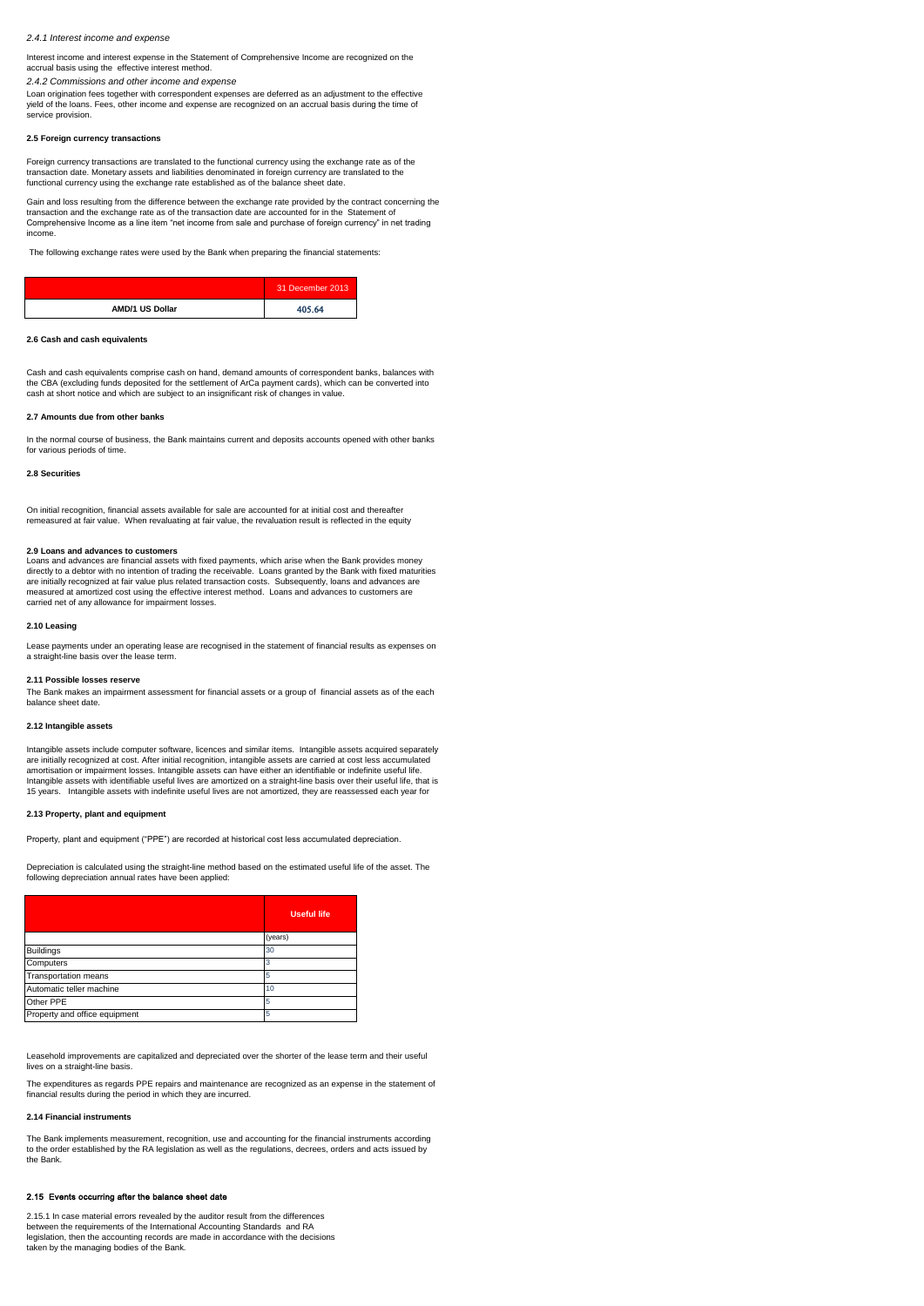#### *2.4.1 Interest income and expense*

Interest income and interest expense in the Statement of Comprehensive Income are recognized on the

accrual basis using the effective interest method. *2.4.2 Commissions and other income and expense* 

Loan origination fees together with correspondent expenses are deferred as an adjustment to the effective yield of the loans. Fees, other income and expense are recognized on an accrual basis during the time of service provision.

#### **2.5 Foreign currency transactions**

Foreign currency transactions are translated to the functional currency using the exchange rate as of the transaction date. Monetary assets and liabilities denominated in foreign currency are translated to the functional currency using the exchange rate established as of the balance sheet date.

Gain and loss resulting from the difference between the exchange rate provided by the contract concerning the<br>transaction and the exchange rate as of the transaction date are accounted for in the Statement of Comprehensive Income as a line item "net income from sale and purchase of foreign currency" in net trading incor

The following exchange rates were used by the Bank when preparing the financial statements:

|                        | 31 December 2013 |
|------------------------|------------------|
| <b>AMD/1 US Dollar</b> | 405.64           |

#### **2.6 Cash and cash equivalents**

Cash and cash equivalents comprise cash on hand, demand amounts of correspondent banks, balances with the CBA (excluding funds deposited for the settlement of ArCa payment cards), which can be converted into cash at short notice and which are subject to an insignificant risk of changes in value.

#### **2.7 Amounts due from other banks**

In the normal course of business, the Bank maintains current and deposits accounts opened with other banks for various periods of time.

**2.8 Securities**

On initial recognition, financial assets available for sale are accounted for at initial cost and thereafter remeasured at fair value. When revaluating at fair value, the revaluation result is reflected in the equity

#### **2.9 Loans and advances to customers**

Loans and advances are financial assets with fixed payments, which arise when the Bank provides money directly to a debtor with no intention of trading the receivable. Loans granted by the Bank with fixed maturities are initially recognized at fair value plus related transaction costs. Subsequently, loans and advances are measured at amortized cost using the effective interest method. Loans and advances to customers are carried net of any allowance for impairment losses.

#### **2.10 Leasing**

Lease payments under an operating lease are recognised in the statement of financial results as expenses on a straight-line basis over the lease term.

#### **2.11 Possible losses reserve**

The Bank makes an impairment assessment for financial assets or a group of financial assets as of the each balance sheet date.

#### **2.12 Intangible assets**

Intangible assets include computer software, licences and similar items. Intangible assets acquired separately are initially recognized at cost. After initial recognition, intangible assets are carried at cost less accumulated<br>amortisation or impairment losses. Intangible assets can have either an identifiable or indefinite useful Intangible assets with identifiable useful lives are amortized on a straight-line basis over their useful life, that is 15 years. Intangible assets with indefinite useful lives are not amortized, they are reassessed each year for

#### **2.13 Property, plant and equipment**

Property, plant and equipment ("PPE") are recorded at historical cost less accumulated depreciation.

Depreciation is calculated using the straight-line method based on the estimated useful life of the asset. The following depreciation annual rates have been applied:

|                               | <b>Useful life</b> |
|-------------------------------|--------------------|
|                               | (years)            |
| <b>Buildings</b>              | 30                 |
| Computers                     | з                  |
| <b>Transportation means</b>   | 5                  |
| Automatic teller machine      | 10                 |
| Other PPE                     | 5                  |
| Property and office equipment | 5                  |

Leasehold improvements are capitalized and depreciated over the shorter of the lease term and their useful lives on a straight-line basis.

The expenditures as regards PPE repairs and maintenance are recognized as an expense in the statement of financial results during the period in which they are incurred.

### **2.14 Financial instruments**

The Bank implements measurement, recognition, use and accounting for the financial instruments according to the order established by the RA legislation as well as the regulations, decrees, orders and acts issued by the Bank.

# 2.15 Events occurring after the balance sheet date

2.15.1 In case material errors revealed by the auditor result from the differences between the requirements of the International Accounting Standards and RA legislation, then the accounting records are made in accordance with the decisions taken by the managing bodies of the Bank.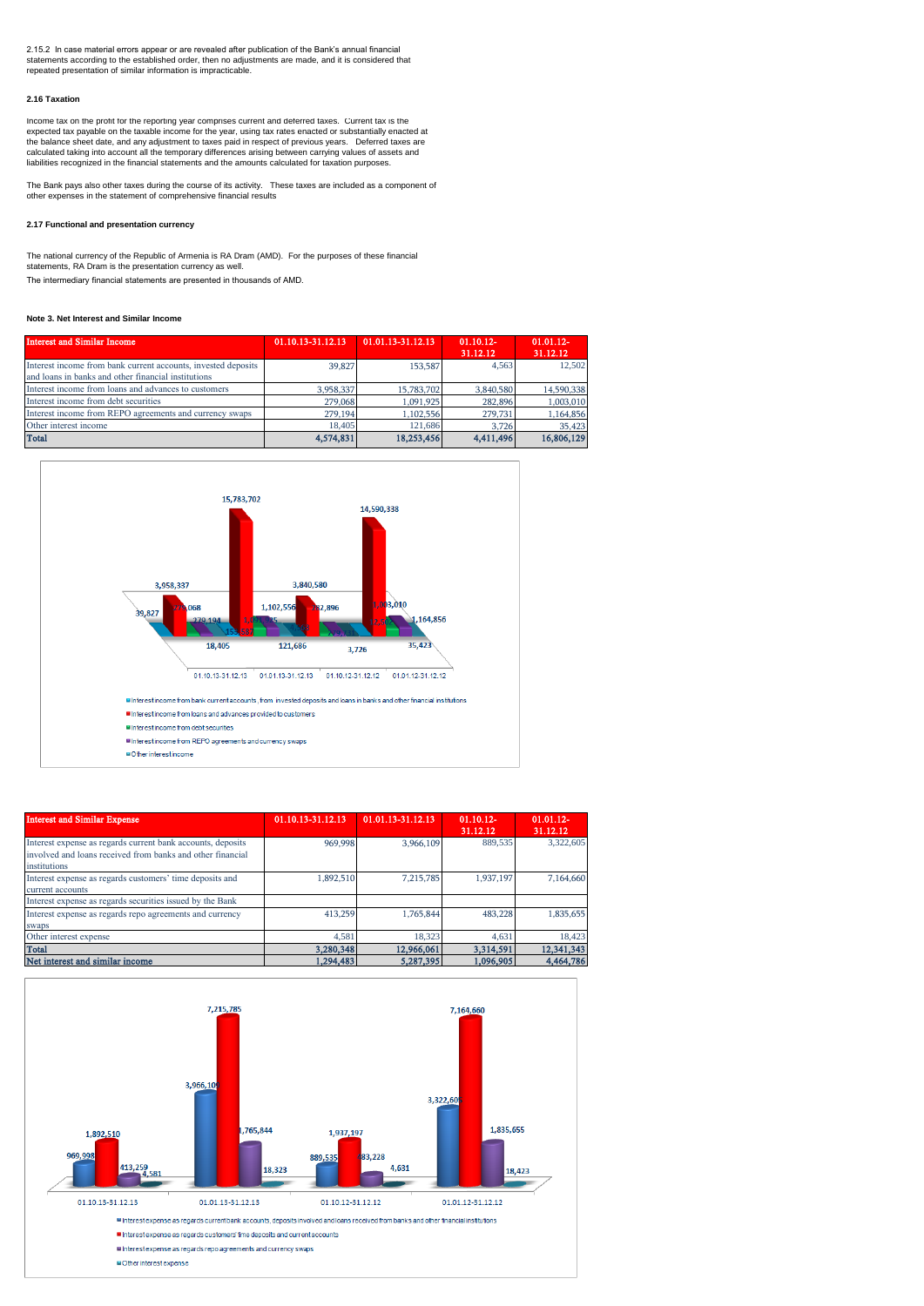2.15.2 In case material errors appear or are revealed after publication of the Bank's annual financial statements according to the established order, then no adjustments are made, and it is considered that repeated presentation of similar information is impracticable.

#### **2.16 Taxation**

Income tax on the profit for the reporting year comprises current and deferred taxes. Current tax is the expected tax payable on the taxable income for the year, using tax rates enacted or substantially enacted at<br>the balance sheet date, and any adjustment to taxes paid in respect of previous years. Deferred taxes are<br>calcu liabilities recognized in the financial statements and the amounts calculated for taxation purposes.

The Bank pays also other taxes during the course of its activity. These taxes are included as a component of other expenses in the statement of comprehensive financial results

#### **2.17 Functional and presentation currency**

The intermediary financial statements are presented in thousands of AMD. The national currency of the Republic of Armenia is RA Dram (AMD). For the purposes of these financial statements, RA Dram is the presentation currency as well.

### **Note 3. Net Interest and Similar Income**

| <b>Interest and Similar Income</b>                                                                                   | 01.10.13-31.12.13 | 01.01.13-31.12.13 | $01.10.12 -$<br>31.12.12 | $01.01.12 -$<br>31.12.12 |
|----------------------------------------------------------------------------------------------------------------------|-------------------|-------------------|--------------------------|--------------------------|
| Interest income from bank current accounts, invested deposits<br>and loans in banks and other financial institutions | 39,827            | 153,587           | 4.563                    | 12.502                   |
| Interest income from loans and advances to customers                                                                 | 3,958,337         | 15,783,702        | 3.840.580                | 14,590,338               |
| Interest income from debt securities                                                                                 | 279,068           | 1.091.925         | 282,896                  | 1,003,010                |
| Interest income from REPO agreements and currency swaps                                                              | 279,194           | 1.102.556         | 279,731                  | 1,164,856                |
| Other interest income                                                                                                | 18,405            | 121.686           | 3.726                    | 35,423                   |
| <b>Total</b>                                                                                                         | 4,574,831         | 18,253,456        | 4.411.496                | 16,806,129               |



| <b>Interest and Similar Expense</b>                                                                                                       | 01.10.13-31.12.13 | 01.01.13-31.12.13 | $01.10.12 -$<br>31.12.12 | $01.01.12 -$<br>31.12.12 |
|-------------------------------------------------------------------------------------------------------------------------------------------|-------------------|-------------------|--------------------------|--------------------------|
| Interest expense as regards current bank accounts, deposits<br>involved and loans received from banks and other financial<br>institutions | 969,998           | 3,966,109         | 889.535                  | 3,322,605                |
| Interest expense as regards customers' time deposits and<br>current accounts                                                              | 1,892,510         | 7,215,785         | 1,937,197                | 7,164,660                |
| Interest expense as regards securities issued by the Bank                                                                                 |                   |                   |                          |                          |
| Interest expense as regards repo agreements and currency<br>swaps                                                                         | 413,259           | 1.765.844         | 483.228                  | 1,835,655                |
| Other interest expense                                                                                                                    | 4.581             | 18.323            | 4.631                    | 18,423                   |
| <b>Total</b>                                                                                                                              | 3,280,348         | 12,966,061        | 3,314,591                | 12,341,343               |
| Net interest and similar income                                                                                                           | 1.294.483         | 5,287,395         | 1,096,905                | 4,464,786                |

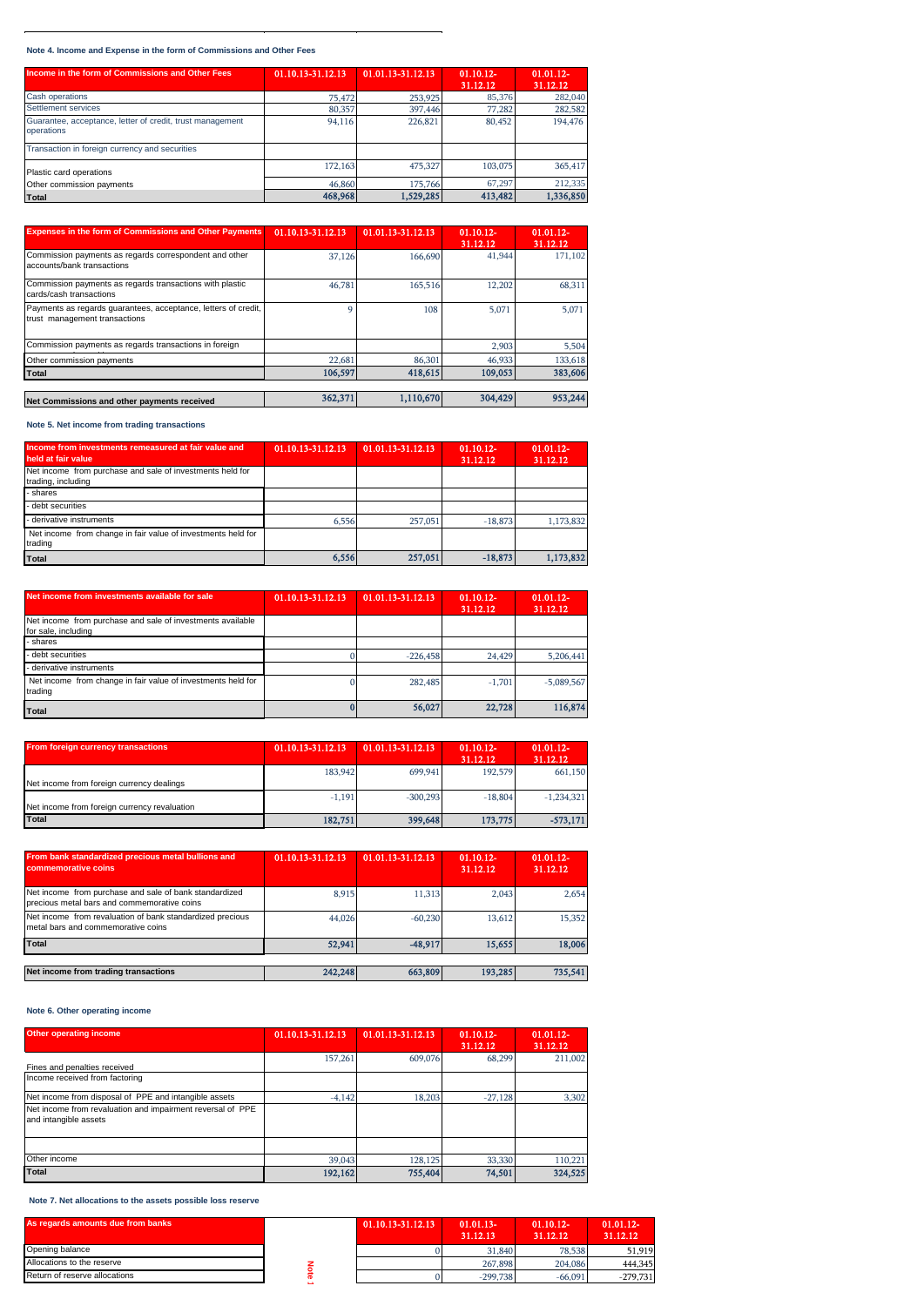**Note 4. Income and Expense in the form of Commissions and Other Fees** 

| Income in the form of Commissions and Other Fees                        | 01.10.13-31.12.13 | 01.01.13-31.12.13 | $01.10.12 -$<br>31.12.12 | $01.01.12 -$<br>31.12.12 |
|-------------------------------------------------------------------------|-------------------|-------------------|--------------------------|--------------------------|
| Cash operations                                                         | 75,472            | 253,925           | 85,376                   | 282,040                  |
| Settlement services                                                     | 80,357            | 397,446           | 77,282                   | 282,582                  |
| Guarantee, acceptance, letter of credit, trust management<br>operations | 94,116            | 226,821           | 80,452                   | 194,476                  |
| Transaction in foreign currency and securities                          |                   |                   |                          |                          |
| Plastic card operations                                                 | 172,163           | 475,327           | 103,075                  | 365,417                  |
| Other commission payments                                               | 46,860            | 175,766           | 67.297                   | 212,335                  |
| <b>Total</b>                                                            | 468,968           | 1,529,285         | 413,482                  | 1,336,850                |

| <b>Expenses in the form of Commissions and Other Payments</b>                                   | 01.10.13-31.12.13 | 01.01.13-31.12.13 | $01.10.12 -$<br>31.12.12 | $01.01.12 -$<br>31.12.12 |
|-------------------------------------------------------------------------------------------------|-------------------|-------------------|--------------------------|--------------------------|
| Commission payments as regards correspondent and other<br>accounts/bank transactions            | 37,126            | 166,690           | 41,944                   | 171.102                  |
| Commission payments as regards transactions with plastic<br>cards/cash transactions             | 46,781            | 165,516           | 12.202                   | 68,311                   |
| Payments as regards guarantees, acceptance, letters of credit,<br>trust management transactions |                   | 108               | 5.071                    | 5.071                    |
| Commission payments as regards transactions in foreign                                          |                   |                   | 2.903                    | 5.504                    |
| Other commission payments                                                                       | 22,681            | 86,301            | 46,933                   | 133.618                  |
| Total                                                                                           | 106,597           | 418,615           | 109,053                  | 383,606                  |
| Net Commissions and other payments received                                                     | 362,371           | 1,110,670         | 304,429                  | 953,244                  |

**Note 5. Net income from trading transactions**

| Income from investments remeasured at fair value and<br>held at fair value      | 01.10.13-31.12.13 | 01.01.13-31.12.13 | $01.10.12 -$<br>31.12.12 | $01.01.12 -$<br>31.12.12 |
|---------------------------------------------------------------------------------|-------------------|-------------------|--------------------------|--------------------------|
| Net income from purchase and sale of investments held for<br>trading, including |                   |                   |                          |                          |
| - shares                                                                        |                   |                   |                          |                          |
| - debt securities                                                               |                   |                   |                          |                          |
| - derivative instruments                                                        | 6,556             | 257,051           | $-18.873$                | 1.173.832                |
| Net income from change in fair value of investments held for<br>trading         |                   |                   |                          |                          |
| Total                                                                           | 6,556             | 257,051           | $-18,873$                | 1,173,832                |

| Net income from investments available for sale                                    | 01.10.13-31.12.13 | 01.01.13-31.12.13 | $01.10.12 -$<br>31.12.12 | $01.01.12 -$<br>31.12.12 |
|-----------------------------------------------------------------------------------|-------------------|-------------------|--------------------------|--------------------------|
| Net income from purchase and sale of investments available<br>for sale, including |                   |                   |                          |                          |
| - shares                                                                          |                   |                   |                          |                          |
| - debt securities                                                                 |                   | $-226.458$        | 24.429                   | 5.206.441                |
| - derivative instruments                                                          |                   |                   |                          |                          |
| Net income from change in fair value of investments held for<br>trading           |                   | 282,485           | $-1,701$                 | $-5.089.567$             |
| Total                                                                             |                   | 56,027            | 22,728                   | 116,874                  |

| <b>From foreign currency transactions</b>    | 01.10.13-31.12.13 | 01.01.13-31.12.13 | $01.10.12 -$<br>31.12.12 | $01.01.12 -$<br>31.12.12 |
|----------------------------------------------|-------------------|-------------------|--------------------------|--------------------------|
| Net income from foreign currency dealings    | 183,942           | 699,941           | 192,579                  | 661,150                  |
| Net income from foreign currency revaluation | $-1.191$          | $-300.293$        | $-18,804$                | $-1,234,321$             |
| <b>Total</b>                                 | 182,751           | 399,648           | 173,775                  | $-573,171$               |

| From bank standardized precious metal bullions and<br>commemorative coins                             | 01.10.13-31.12.13 | 01.01.13-31.12.13 | $01.10.12 -$<br>31.12.12 | $01.01.12 -$<br>31.12.12 |
|-------------------------------------------------------------------------------------------------------|-------------------|-------------------|--------------------------|--------------------------|
| Net income from purchase and sale of bank standardized<br>precious metal bars and commemorative coins | 8.915             | 11.313            | 2.043                    | 2.654                    |
| Net income from revaluation of bank standardized precious<br>metal bars and commemorative coins       | 44,026            | $-60.230$         | 13.612                   | 15,352                   |
| Total                                                                                                 | 52,941            | $-48.917$         | 15.655                   | 18,006                   |
|                                                                                                       |                   |                   |                          |                          |
| Net income from trading transactions                                                                  | 242,248           | 663,809           | 193,285                  | 735,541                  |

# **Note 6. Other operating income**

| <b>Other operating income</b>                                                       | 01.10.13-31.12.13 | 01.01.13-31.12.13 | $01.10.12 -$<br>31.12.12 | $01.01.12 -$<br>31.12.12 |
|-------------------------------------------------------------------------------------|-------------------|-------------------|--------------------------|--------------------------|
| Fines and penalties received                                                        | 157,261           | 609,076           | 68,299                   | 211.002                  |
| Income received from factoring                                                      |                   |                   |                          |                          |
| Net income from disposal of PPE and intangible assets                               | $-4.142$          | 18,203            | $-27.128$                | 3,302                    |
| Net income from revaluation and impairment reversal of PPE<br>and intangible assets |                   |                   |                          |                          |
|                                                                                     |                   |                   |                          |                          |
| Other income                                                                        | 39,043            | 128,125           | 33,330                   | 110,221                  |
| Total                                                                               | 192,162           | 755,404           | 74,501                   | 324,525                  |

 **Note 7. Net allocations to the assets possible loss reserve**

| As regards amounts due from banks | 01.10.13-31.12.13 | $01.01.13-$<br>31.12.13 | $01.10.12 -$<br>31.12.12 | $01.01.12 -$<br>31.12.12 |
|-----------------------------------|-------------------|-------------------------|--------------------------|--------------------------|
| Opening balance                   |                   | 31,840                  | 78,538                   | 51,919                   |
| Allocations to the reserve        |                   | 267,898                 | 204.086                  | 444,345                  |
| Return of reserve allocations     |                   | $-299.738$              | $-66,091$                | $-279,731$               |
|                                   |                   |                         |                          |                          |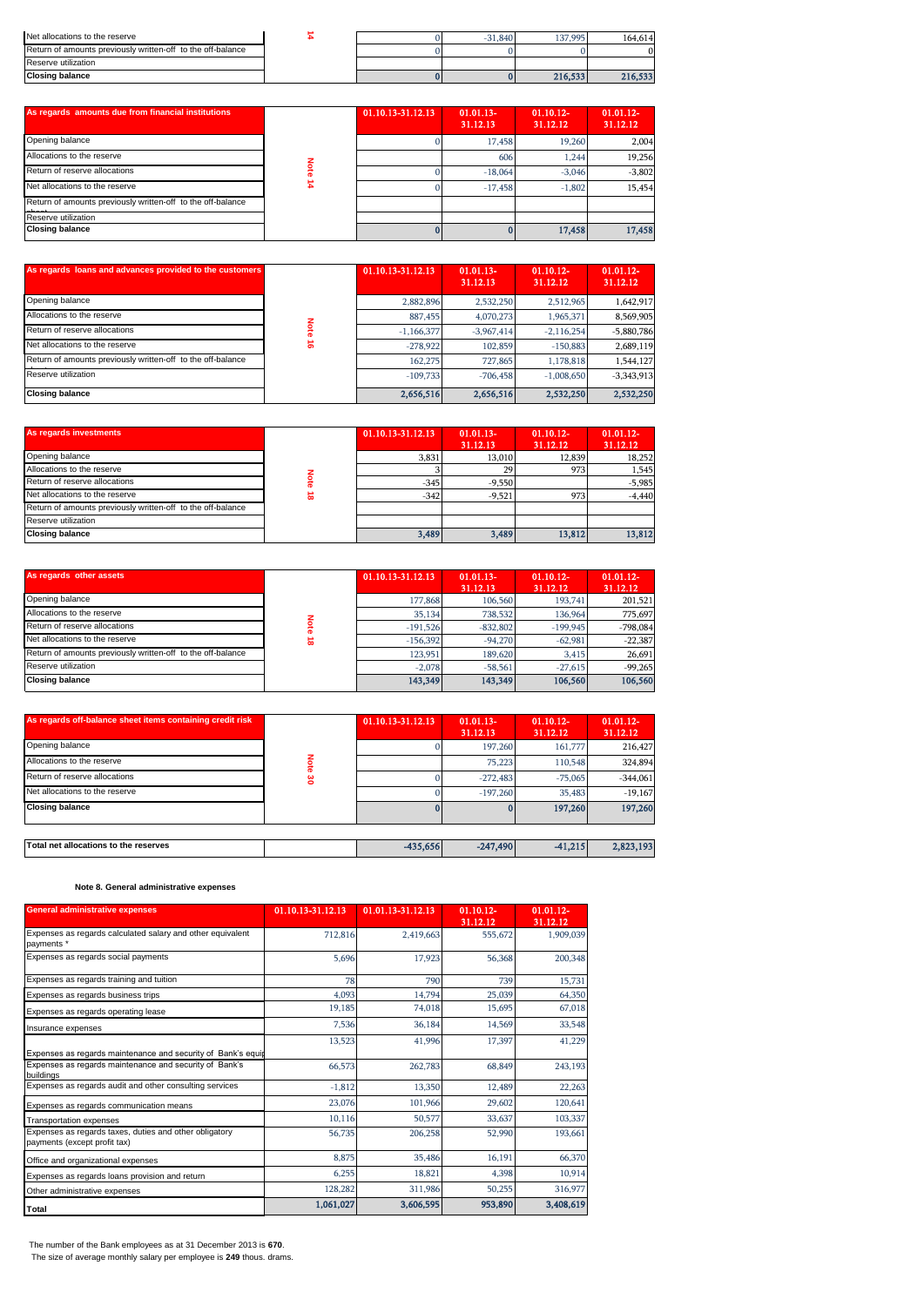| Net allocations to the reserve                              |  | $-31,840$ | 137,995 | 164.614 |
|-------------------------------------------------------------|--|-----------|---------|---------|
| Return of amounts previously written-off to the off-balance |  |           |         |         |
| Reserve utilization                                         |  |           |         |         |
| <b>Closing balance</b>                                      |  |           | 216,533 | 216,533 |

| As regards amounts due from financial institutions          | 01.10.13-31.12.13 | $01.01.13-$<br>31.12.13 | $01.10.12 -$<br>31.12.12 | $01.01.12 -$<br>31.12.12 |
|-------------------------------------------------------------|-------------------|-------------------------|--------------------------|--------------------------|
| Opening balance                                             |                   | 17,458                  | 19,260                   | 2.004                    |
| Allocations to the reserve                                  |                   | 606                     | 1.244                    | 19.256                   |
| Return of reserve allocations                               |                   | $-18,064$               | $-3.046$                 | $-3,802$                 |
| Net allocations to the reserve                              |                   | $-17,458$               | $-1.802$                 | 15.454                   |
| Return of amounts previously written-off to the off-balance |                   |                         |                          |                          |
| Reserve utilization                                         |                   |                         |                          |                          |
| <b>Closing balance</b>                                      |                   |                         | 17,458                   | 17,458                   |

| Note 16<br>Net allocations to the reserve<br>$-278.922$<br>Return of amounts previously written-off to the off-balance<br>162,275<br>Reserve utilization<br>$-109,733$<br><b>Closing balance</b><br>2,656,516<br>As regards investments<br>01.10.13-31.12.13<br>Opening balance<br>Allocations to the reserve<br>Note 18<br>Return of reserve allocations<br>Net allocations to the reserve<br>Return of amounts previously written-off to the off-balance<br>Reserve utilization<br><b>Closing balance</b><br>As regards other assets<br>01.10.13-31.12.13<br>Opening balance<br>Allocations to the reserve<br><b>Note 18</b><br>Return of reserve allocations<br>$-191,526$<br>Net allocations to the reserve<br>$-156,392$<br>Return of amounts previously written-off to the off-balance<br>123,951<br>Reserve utilization<br><b>Closing balance</b><br>143,349<br>As regards off-balance sheet items containing credit risk<br>01.10.13-31.12.13<br>Opening balance<br>Note 30<br>Allocations to the reserve<br>Return of reserve allocations<br>Net allocations to the reserve<br><b>Closing balance</b><br>Total net allocations to the reserves<br>-435,656<br>Note 8. General administrative expenses | 727,865<br>$-706,458$<br>2,656,516<br>01.01.13-<br>31.12.13<br>13,010<br>3,831<br>29<br>3<br>$-9,550$<br>$-345$<br>$-342$<br>$-9,521$<br>3,489<br>3,489<br>$01.01.13-$<br>31.12.13<br>177,868<br>106,560<br>738,532<br>35,134<br>$-832,802$<br>$-94,270$<br>189,620<br>$-2,078$<br>$-58,561$<br>143,349<br>01.01.13-<br>31.12.13<br>$\bf{0}$<br>197,260<br>75,223<br>0<br>$-272,483$<br>$\bf{0}$<br>$-197,260$<br>$\bf{0}$<br>$-247,490$ | 2,532,250<br>01.10.12-<br>31.12.12<br>12,839<br>973<br>973<br>13,812<br>01.10.12-<br>31.12.12<br>193,741<br>136,964<br>$-199,945$<br>$-62,981$<br>3,415<br>$-27,615$<br>106,560<br>01.10.12-<br>31.12.12<br>161,777<br>110,548<br>$-75,065$<br>35,483<br>$\bf{0}$<br>197,260<br>$-41,215$ | 2,532,250<br>01.01.12-<br>31.12.12<br>18,252<br>1,545<br>$-5,985$<br>$-4,440$<br>13,812<br>01.01.12-<br>31.12.12<br>201,521<br>775,697<br>$-798,084$<br>$-22,387$<br>26,691<br>$-99,265$<br>106,560<br>01.01.12-<br>31.12.12<br>216,427<br>324,894<br>$-344,061$<br>$-19,167$<br>197,260<br>2,823,193 |
|----------------------------------------------------------------------------------------------------------------------------------------------------------------------------------------------------------------------------------------------------------------------------------------------------------------------------------------------------------------------------------------------------------------------------------------------------------------------------------------------------------------------------------------------------------------------------------------------------------------------------------------------------------------------------------------------------------------------------------------------------------------------------------------------------------------------------------------------------------------------------------------------------------------------------------------------------------------------------------------------------------------------------------------------------------------------------------------------------------------------------------------------------------------------------------------------------------------|------------------------------------------------------------------------------------------------------------------------------------------------------------------------------------------------------------------------------------------------------------------------------------------------------------------------------------------------------------------------------------------------------------------------------------------|-------------------------------------------------------------------------------------------------------------------------------------------------------------------------------------------------------------------------------------------------------------------------------------------|-------------------------------------------------------------------------------------------------------------------------------------------------------------------------------------------------------------------------------------------------------------------------------------------------------|
|                                                                                                                                                                                                                                                                                                                                                                                                                                                                                                                                                                                                                                                                                                                                                                                                                                                                                                                                                                                                                                                                                                                                                                                                                |                                                                                                                                                                                                                                                                                                                                                                                                                                          |                                                                                                                                                                                                                                                                                           |                                                                                                                                                                                                                                                                                                       |
|                                                                                                                                                                                                                                                                                                                                                                                                                                                                                                                                                                                                                                                                                                                                                                                                                                                                                                                                                                                                                                                                                                                                                                                                                |                                                                                                                                                                                                                                                                                                                                                                                                                                          |                                                                                                                                                                                                                                                                                           |                                                                                                                                                                                                                                                                                                       |
|                                                                                                                                                                                                                                                                                                                                                                                                                                                                                                                                                                                                                                                                                                                                                                                                                                                                                                                                                                                                                                                                                                                                                                                                                |                                                                                                                                                                                                                                                                                                                                                                                                                                          |                                                                                                                                                                                                                                                                                           |                                                                                                                                                                                                                                                                                                       |
|                                                                                                                                                                                                                                                                                                                                                                                                                                                                                                                                                                                                                                                                                                                                                                                                                                                                                                                                                                                                                                                                                                                                                                                                                |                                                                                                                                                                                                                                                                                                                                                                                                                                          |                                                                                                                                                                                                                                                                                           |                                                                                                                                                                                                                                                                                                       |
|                                                                                                                                                                                                                                                                                                                                                                                                                                                                                                                                                                                                                                                                                                                                                                                                                                                                                                                                                                                                                                                                                                                                                                                                                |                                                                                                                                                                                                                                                                                                                                                                                                                                          |                                                                                                                                                                                                                                                                                           |                                                                                                                                                                                                                                                                                                       |
|                                                                                                                                                                                                                                                                                                                                                                                                                                                                                                                                                                                                                                                                                                                                                                                                                                                                                                                                                                                                                                                                                                                                                                                                                |                                                                                                                                                                                                                                                                                                                                                                                                                                          |                                                                                                                                                                                                                                                                                           |                                                                                                                                                                                                                                                                                                       |
|                                                                                                                                                                                                                                                                                                                                                                                                                                                                                                                                                                                                                                                                                                                                                                                                                                                                                                                                                                                                                                                                                                                                                                                                                |                                                                                                                                                                                                                                                                                                                                                                                                                                          |                                                                                                                                                                                                                                                                                           |                                                                                                                                                                                                                                                                                                       |
|                                                                                                                                                                                                                                                                                                                                                                                                                                                                                                                                                                                                                                                                                                                                                                                                                                                                                                                                                                                                                                                                                                                                                                                                                |                                                                                                                                                                                                                                                                                                                                                                                                                                          |                                                                                                                                                                                                                                                                                           |                                                                                                                                                                                                                                                                                                       |
|                                                                                                                                                                                                                                                                                                                                                                                                                                                                                                                                                                                                                                                                                                                                                                                                                                                                                                                                                                                                                                                                                                                                                                                                                |                                                                                                                                                                                                                                                                                                                                                                                                                                          |                                                                                                                                                                                                                                                                                           |                                                                                                                                                                                                                                                                                                       |
|                                                                                                                                                                                                                                                                                                                                                                                                                                                                                                                                                                                                                                                                                                                                                                                                                                                                                                                                                                                                                                                                                                                                                                                                                |                                                                                                                                                                                                                                                                                                                                                                                                                                          |                                                                                                                                                                                                                                                                                           |                                                                                                                                                                                                                                                                                                       |
|                                                                                                                                                                                                                                                                                                                                                                                                                                                                                                                                                                                                                                                                                                                                                                                                                                                                                                                                                                                                                                                                                                                                                                                                                |                                                                                                                                                                                                                                                                                                                                                                                                                                          |                                                                                                                                                                                                                                                                                           |                                                                                                                                                                                                                                                                                                       |
|                                                                                                                                                                                                                                                                                                                                                                                                                                                                                                                                                                                                                                                                                                                                                                                                                                                                                                                                                                                                                                                                                                                                                                                                                |                                                                                                                                                                                                                                                                                                                                                                                                                                          |                                                                                                                                                                                                                                                                                           |                                                                                                                                                                                                                                                                                                       |
|                                                                                                                                                                                                                                                                                                                                                                                                                                                                                                                                                                                                                                                                                                                                                                                                                                                                                                                                                                                                                                                                                                                                                                                                                |                                                                                                                                                                                                                                                                                                                                                                                                                                          |                                                                                                                                                                                                                                                                                           |                                                                                                                                                                                                                                                                                                       |
|                                                                                                                                                                                                                                                                                                                                                                                                                                                                                                                                                                                                                                                                                                                                                                                                                                                                                                                                                                                                                                                                                                                                                                                                                |                                                                                                                                                                                                                                                                                                                                                                                                                                          |                                                                                                                                                                                                                                                                                           |                                                                                                                                                                                                                                                                                                       |
|                                                                                                                                                                                                                                                                                                                                                                                                                                                                                                                                                                                                                                                                                                                                                                                                                                                                                                                                                                                                                                                                                                                                                                                                                |                                                                                                                                                                                                                                                                                                                                                                                                                                          |                                                                                                                                                                                                                                                                                           |                                                                                                                                                                                                                                                                                                       |
|                                                                                                                                                                                                                                                                                                                                                                                                                                                                                                                                                                                                                                                                                                                                                                                                                                                                                                                                                                                                                                                                                                                                                                                                                |                                                                                                                                                                                                                                                                                                                                                                                                                                          |                                                                                                                                                                                                                                                                                           |                                                                                                                                                                                                                                                                                                       |
|                                                                                                                                                                                                                                                                                                                                                                                                                                                                                                                                                                                                                                                                                                                                                                                                                                                                                                                                                                                                                                                                                                                                                                                                                |                                                                                                                                                                                                                                                                                                                                                                                                                                          |                                                                                                                                                                                                                                                                                           |                                                                                                                                                                                                                                                                                                       |
|                                                                                                                                                                                                                                                                                                                                                                                                                                                                                                                                                                                                                                                                                                                                                                                                                                                                                                                                                                                                                                                                                                                                                                                                                |                                                                                                                                                                                                                                                                                                                                                                                                                                          |                                                                                                                                                                                                                                                                                           |                                                                                                                                                                                                                                                                                                       |
|                                                                                                                                                                                                                                                                                                                                                                                                                                                                                                                                                                                                                                                                                                                                                                                                                                                                                                                                                                                                                                                                                                                                                                                                                |                                                                                                                                                                                                                                                                                                                                                                                                                                          |                                                                                                                                                                                                                                                                                           |                                                                                                                                                                                                                                                                                                       |
|                                                                                                                                                                                                                                                                                                                                                                                                                                                                                                                                                                                                                                                                                                                                                                                                                                                                                                                                                                                                                                                                                                                                                                                                                |                                                                                                                                                                                                                                                                                                                                                                                                                                          |                                                                                                                                                                                                                                                                                           |                                                                                                                                                                                                                                                                                                       |
|                                                                                                                                                                                                                                                                                                                                                                                                                                                                                                                                                                                                                                                                                                                                                                                                                                                                                                                                                                                                                                                                                                                                                                                                                |                                                                                                                                                                                                                                                                                                                                                                                                                                          |                                                                                                                                                                                                                                                                                           |                                                                                                                                                                                                                                                                                                       |
|                                                                                                                                                                                                                                                                                                                                                                                                                                                                                                                                                                                                                                                                                                                                                                                                                                                                                                                                                                                                                                                                                                                                                                                                                |                                                                                                                                                                                                                                                                                                                                                                                                                                          |                                                                                                                                                                                                                                                                                           |                                                                                                                                                                                                                                                                                                       |
|                                                                                                                                                                                                                                                                                                                                                                                                                                                                                                                                                                                                                                                                                                                                                                                                                                                                                                                                                                                                                                                                                                                                                                                                                |                                                                                                                                                                                                                                                                                                                                                                                                                                          |                                                                                                                                                                                                                                                                                           |                                                                                                                                                                                                                                                                                                       |
|                                                                                                                                                                                                                                                                                                                                                                                                                                                                                                                                                                                                                                                                                                                                                                                                                                                                                                                                                                                                                                                                                                                                                                                                                |                                                                                                                                                                                                                                                                                                                                                                                                                                          |                                                                                                                                                                                                                                                                                           |                                                                                                                                                                                                                                                                                                       |
|                                                                                                                                                                                                                                                                                                                                                                                                                                                                                                                                                                                                                                                                                                                                                                                                                                                                                                                                                                                                                                                                                                                                                                                                                |                                                                                                                                                                                                                                                                                                                                                                                                                                          |                                                                                                                                                                                                                                                                                           |                                                                                                                                                                                                                                                                                                       |
|                                                                                                                                                                                                                                                                                                                                                                                                                                                                                                                                                                                                                                                                                                                                                                                                                                                                                                                                                                                                                                                                                                                                                                                                                |                                                                                                                                                                                                                                                                                                                                                                                                                                          |                                                                                                                                                                                                                                                                                           |                                                                                                                                                                                                                                                                                                       |
|                                                                                                                                                                                                                                                                                                                                                                                                                                                                                                                                                                                                                                                                                                                                                                                                                                                                                                                                                                                                                                                                                                                                                                                                                |                                                                                                                                                                                                                                                                                                                                                                                                                                          |                                                                                                                                                                                                                                                                                           |                                                                                                                                                                                                                                                                                                       |
|                                                                                                                                                                                                                                                                                                                                                                                                                                                                                                                                                                                                                                                                                                                                                                                                                                                                                                                                                                                                                                                                                                                                                                                                                |                                                                                                                                                                                                                                                                                                                                                                                                                                          |                                                                                                                                                                                                                                                                                           |                                                                                                                                                                                                                                                                                                       |
|                                                                                                                                                                                                                                                                                                                                                                                                                                                                                                                                                                                                                                                                                                                                                                                                                                                                                                                                                                                                                                                                                                                                                                                                                |                                                                                                                                                                                                                                                                                                                                                                                                                                          |                                                                                                                                                                                                                                                                                           |                                                                                                                                                                                                                                                                                                       |
|                                                                                                                                                                                                                                                                                                                                                                                                                                                                                                                                                                                                                                                                                                                                                                                                                                                                                                                                                                                                                                                                                                                                                                                                                |                                                                                                                                                                                                                                                                                                                                                                                                                                          |                                                                                                                                                                                                                                                                                           |                                                                                                                                                                                                                                                                                                       |
|                                                                                                                                                                                                                                                                                                                                                                                                                                                                                                                                                                                                                                                                                                                                                                                                                                                                                                                                                                                                                                                                                                                                                                                                                |                                                                                                                                                                                                                                                                                                                                                                                                                                          | $-1,008,650$                                                                                                                                                                                                                                                                              | $-3,343,913$                                                                                                                                                                                                                                                                                          |
|                                                                                                                                                                                                                                                                                                                                                                                                                                                                                                                                                                                                                                                                                                                                                                                                                                                                                                                                                                                                                                                                                                                                                                                                                |                                                                                                                                                                                                                                                                                                                                                                                                                                          | 1,178,818                                                                                                                                                                                                                                                                                 | 1,544,127                                                                                                                                                                                                                                                                                             |
|                                                                                                                                                                                                                                                                                                                                                                                                                                                                                                                                                                                                                                                                                                                                                                                                                                                                                                                                                                                                                                                                                                                                                                                                                | 102,859                                                                                                                                                                                                                                                                                                                                                                                                                                  | $-150,883$                                                                                                                                                                                                                                                                                | 2,689,119                                                                                                                                                                                                                                                                                             |
| Return of reserve allocations                                                                                                                                                                                                                                                                                                                                                                                                                                                                                                                                                                                                                                                                                                                                                                                                                                                                                                                                                                                                                                                                                                                                                                                  | $-1,166,377$<br>$-3,967,414$                                                                                                                                                                                                                                                                                                                                                                                                             | $-2.116.254$                                                                                                                                                                                                                                                                              | $-5,880,786$                                                                                                                                                                                                                                                                                          |
| Allocations to the reserve                                                                                                                                                                                                                                                                                                                                                                                                                                                                                                                                                                                                                                                                                                                                                                                                                                                                                                                                                                                                                                                                                                                                                                                     | 887,455<br>4,070,273                                                                                                                                                                                                                                                                                                                                                                                                                     | 1,965,371                                                                                                                                                                                                                                                                                 | 8,569,905                                                                                                                                                                                                                                                                                             |
| Opening balance<br>2,882,896                                                                                                                                                                                                                                                                                                                                                                                                                                                                                                                                                                                                                                                                                                                                                                                                                                                                                                                                                                                                                                                                                                                                                                                   | 2,532,250                                                                                                                                                                                                                                                                                                                                                                                                                                | 2,512,965                                                                                                                                                                                                                                                                                 | 1,642,917                                                                                                                                                                                                                                                                                             |
| As regards loans and advances provided to the customers<br>01.10.13-31.12.13                                                                                                                                                                                                                                                                                                                                                                                                                                                                                                                                                                                                                                                                                                                                                                                                                                                                                                                                                                                                                                                                                                                                   | 01.01.13-<br>31.12.13                                                                                                                                                                                                                                                                                                                                                                                                                    | 01.10.12-<br>31.12.12                                                                                                                                                                                                                                                                     | 01.01.12-<br>31.12.12                                                                                                                                                                                                                                                                                 |
|                                                                                                                                                                                                                                                                                                                                                                                                                                                                                                                                                                                                                                                                                                                                                                                                                                                                                                                                                                                                                                                                                                                                                                                                                |                                                                                                                                                                                                                                                                                                                                                                                                                                          |                                                                                                                                                                                                                                                                                           |                                                                                                                                                                                                                                                                                                       |
| <b>Closing balance</b>                                                                                                                                                                                                                                                                                                                                                                                                                                                                                                                                                                                                                                                                                                                                                                                                                                                                                                                                                                                                                                                                                                                                                                                         | $\bf{0}$                                                                                                                                                                                                                                                                                                                                                                                                                                 | $\bf{0}$<br>17,458                                                                                                                                                                                                                                                                        | 17,458                                                                                                                                                                                                                                                                                                |
| Reserve utilization                                                                                                                                                                                                                                                                                                                                                                                                                                                                                                                                                                                                                                                                                                                                                                                                                                                                                                                                                                                                                                                                                                                                                                                            |                                                                                                                                                                                                                                                                                                                                                                                                                                          |                                                                                                                                                                                                                                                                                           |                                                                                                                                                                                                                                                                                                       |
| Return of amounts previously written-off to the off-balance                                                                                                                                                                                                                                                                                                                                                                                                                                                                                                                                                                                                                                                                                                                                                                                                                                                                                                                                                                                                                                                                                                                                                    |                                                                                                                                                                                                                                                                                                                                                                                                                                          |                                                                                                                                                                                                                                                                                           |                                                                                                                                                                                                                                                                                                       |
| Net allocations to the reserve                                                                                                                                                                                                                                                                                                                                                                                                                                                                                                                                                                                                                                                                                                                                                                                                                                                                                                                                                                                                                                                                                                                                                                                 | $\mathbf{0}$<br>$-17,458$                                                                                                                                                                                                                                                                                                                                                                                                                | $-1,802$                                                                                                                                                                                                                                                                                  | 15,454                                                                                                                                                                                                                                                                                                |
| Note 14<br>Return of reserve allocations                                                                                                                                                                                                                                                                                                                                                                                                                                                                                                                                                                                                                                                                                                                                                                                                                                                                                                                                                                                                                                                                                                                                                                       | $-18,064$<br>$\bf{0}$                                                                                                                                                                                                                                                                                                                                                                                                                    | $-3,046$                                                                                                                                                                                                                                                                                  | $-3,802$                                                                                                                                                                                                                                                                                              |
| Allocations to the reserve                                                                                                                                                                                                                                                                                                                                                                                                                                                                                                                                                                                                                                                                                                                                                                                                                                                                                                                                                                                                                                                                                                                                                                                     | 606                                                                                                                                                                                                                                                                                                                                                                                                                                      | 1,244                                                                                                                                                                                                                                                                                     | 19,256                                                                                                                                                                                                                                                                                                |
| Opening balance                                                                                                                                                                                                                                                                                                                                                                                                                                                                                                                                                                                                                                                                                                                                                                                                                                                                                                                                                                                                                                                                                                                                                                                                | $\mathbf{0}$<br>17,458                                                                                                                                                                                                                                                                                                                                                                                                                   | 19,260                                                                                                                                                                                                                                                                                    | 2,004                                                                                                                                                                                                                                                                                                 |
|                                                                                                                                                                                                                                                                                                                                                                                                                                                                                                                                                                                                                                                                                                                                                                                                                                                                                                                                                                                                                                                                                                                                                                                                                | 31.12.13                                                                                                                                                                                                                                                                                                                                                                                                                                 | 31.12.12                                                                                                                                                                                                                                                                                  | 31.12.12                                                                                                                                                                                                                                                                                              |
| As regards amounts due from financial institutions<br>01.10.13-31.12.13                                                                                                                                                                                                                                                                                                                                                                                                                                                                                                                                                                                                                                                                                                                                                                                                                                                                                                                                                                                                                                                                                                                                        | 01.01.13-                                                                                                                                                                                                                                                                                                                                                                                                                                | 01.10.12-                                                                                                                                                                                                                                                                                 | 01.01.12-                                                                                                                                                                                                                                                                                             |
| <b>Closing balance</b>                                                                                                                                                                                                                                                                                                                                                                                                                                                                                                                                                                                                                                                                                                                                                                                                                                                                                                                                                                                                                                                                                                                                                                                         | $\bf{0}$                                                                                                                                                                                                                                                                                                                                                                                                                                 | $\bf{0}$<br>216,533                                                                                                                                                                                                                                                                       | 216,533                                                                                                                                                                                                                                                                                               |
| Reserve utilization                                                                                                                                                                                                                                                                                                                                                                                                                                                                                                                                                                                                                                                                                                                                                                                                                                                                                                                                                                                                                                                                                                                                                                                            |                                                                                                                                                                                                                                                                                                                                                                                                                                          |                                                                                                                                                                                                                                                                                           |                                                                                                                                                                                                                                                                                                       |
| Return of amounts previously written-off to the off-balance                                                                                                                                                                                                                                                                                                                                                                                                                                                                                                                                                                                                                                                                                                                                                                                                                                                                                                                                                                                                                                                                                                                                                    | $\mathbf{0}$                                                                                                                                                                                                                                                                                                                                                                                                                             | $\mathbf{0}$<br>$\Omega$                                                                                                                                                                                                                                                                  | $\mathbf{0}$                                                                                                                                                                                                                                                                                          |
| ニュ<br>Net allocations to the reserve                                                                                                                                                                                                                                                                                                                                                                                                                                                                                                                                                                                                                                                                                                                                                                                                                                                                                                                                                                                                                                                                                                                                                                           | $\mathbf{0}$<br>$-31,840$                                                                                                                                                                                                                                                                                                                                                                                                                | 137,995                                                                                                                                                                                                                                                                                   | 164,614                                                                                                                                                                                                                                                                                               |

| Return of reserve allocations                               | Note     | $-1,166,377$      | $-3,967,414$            | $-2,116,254$             | $-5,880,786$             |
|-------------------------------------------------------------|----------|-------------------|-------------------------|--------------------------|--------------------------|
| Net allocations to the reserve                              | ಕ        | $-278,922$        | 102,859                 | $-150,883$               | 2,689,119                |
| Return of amounts previously written-off to the off-balance |          | 162,275           | 727,865                 | 1,178,818                | 1,544,127                |
| Reserve utilization                                         |          | $-109.733$        | $-706, 458$             | $-1,008,650$             | $-3,343,913$             |
| <b>Closing balance</b>                                      |          | 2,656,516         | 2,656,516               | 2,532,250                | 2,532,250                |
|                                                             |          |                   |                         |                          |                          |
| As regards investments                                      |          | 01.10.13-31.12.13 | $01.01.13-$<br>31.12.13 | $01.10.12 -$<br>31.12.12 | 01.01.12-<br>31.12.12    |
| Opening balance                                             |          | 3.831             | 13,010                  | 12,839                   | 18,252                   |
| Allocations to the reserve                                  |          |                   | 29                      | 973                      | 1,545                    |
| Return of reserve allocations                               | Note 18  | $-345$            | $-9.550$                |                          | $-5,985$                 |
| Net allocations to the reserve                              |          | $-342$            | $-9.521$                | 973                      | $-4,440$                 |
| Return of amounts previously written-off to the off-balance |          |                   |                         |                          |                          |
| Reserve utilization                                         |          |                   |                         |                          |                          |
| <b>Closing balance</b>                                      |          | 3,489             | 3,489                   | 13,812                   | 13,812                   |
|                                                             |          |                   |                         |                          |                          |
| As regards other assets                                     |          | 01.10.13-31.12.13 | $01.01.13-$<br>31.12.13 | $01.10.12 -$<br>31.12.12 | $01.01.12 -$<br>31.12.12 |
| Opening balance                                             |          | 177,868           | 106,560                 | 193.741                  | 201,521                  |
| Allocations to the reserve                                  |          | 35,134            | 738,532                 | 136,964                  | 775,697                  |
| Return of reserve allocations                               | Note     | $-191.526$        | $-832.802$              | $-199.945$               | $-798,084$               |
| Net allocations to the reserve                              | $\infty$ | $-156,392$        | $-94.270$               | $-62.981$                | $-22,387$                |

| As regards other assets                                     |                      | 01.10.13-31.12.13 | $01.01.13-$<br>31.12.13 | $01.10.12 -$<br>31.12.12 | $01.01.12 -$<br>31.12.12 |
|-------------------------------------------------------------|----------------------|-------------------|-------------------------|--------------------------|--------------------------|
| Opening balance                                             |                      | 177,868           | 106,560                 | 193.741                  | 201.521                  |
| Allocations to the reserve                                  |                      | 35,134            | 738,532                 | 136,964                  | 775,697                  |
| Return of reserve allocations                               |                      | $-191.526$        | $-832.802$              | $-199.945$               | $-798.084$               |
| Net allocations to the reserve                              | $\overline{\bullet}$ | $-156.392$        | $-94,270$               | $-62.981$                | $-22.387$                |
| Return of amounts previously written-off to the off-balance |                      | 123,951           | 189,620                 | 3.415                    | 26.691                   |
| Reserve utilization                                         |                      | $-2.078$          | $-58,561$               | $-27.615$                | $-99.265$                |
| <b>Closing balance</b>                                      |                      | 143,349           | 143,349                 | 106,560                  | 106,560                  |

| As regards off-balance sheet items containing credit risk |   | 01.10.13-31.12.13 | $01.01.13-$<br>31.12.13 | $01.10.12 -$<br>31.12.12 | $01.01.12 -$<br>31.12.12 |
|-----------------------------------------------------------|---|-------------------|-------------------------|--------------------------|--------------------------|
| Opening balance                                           |   |                   | 197,260                 | 161,777                  | 216,427                  |
| Allocations to the reserve                                | 중 |                   | 75,223                  | 110,548                  | 324,894                  |
| Return of reserve allocations                             | ౾ |                   | $-272.483$              | $-75,065$                | $-344.061$               |
| Net allocations to the reserve                            |   |                   | $-197,260$              | 35,483                   | $-19.167$                |
| <b>Closing balance</b>                                    |   |                   |                         | 197.260                  | 197,260                  |
|                                                           |   |                   |                         |                          |                          |
| Total net allocations to the reserves                     |   | $-435,656$        | $-247,490$              | $-41.215$                | 2,823,193                |

# **Note 8. General administrative expenses**

| <b>General administrative expenses</b>                                                 | 01.10.13-31.12.13 | 01.01.13-31.12.13 | $01.10.12 -$<br>31.12.12 | $01.01.12 -$<br>31.12.12 |
|----------------------------------------------------------------------------------------|-------------------|-------------------|--------------------------|--------------------------|
| Expenses as regards calculated salary and other equivalent<br>payments *               | 712,816           | 2,419,663         | 555,672                  | 1,909,039                |
| Expenses as regards social payments                                                    | 5,696             | 17,923            | 56,368                   | 200,348                  |
| Expenses as regards training and tuition                                               | 78                | 790               | 739                      | 15,731                   |
| Expenses as regards business trips                                                     | 4,093             | 14.794            | 25,039                   | 64,350                   |
| Expenses as regards operating lease                                                    | 19,185            | 74,018            | 15,695                   | 67,018                   |
| Insurance expenses                                                                     | 7,536             | 36,184            | 14,569                   | 33,548                   |
| Expenses as regards maintenance and security of Bank's equip                           | 13,523            | 41,996            | 17,397                   | 41,229                   |
| Expenses as regards maintenance and security of Bank's<br>buildings                    | 66,573            | 262,783           | 68,849                   | 243,193                  |
| Expenses as regards audit and other consulting services                                | $-1.812$          | 13,350            | 12,489                   | 22,263                   |
| Expenses as regards communication means                                                | 23,076            | 101,966           | 29,602                   | 120,641                  |
| <b>Transportation expenses</b>                                                         | 10,116            | 50,577            | 33,637                   | 103,337                  |
| Expenses as regards taxes, duties and other obligatory<br>payments (except profit tax) | 56,735            | 206,258           | 52,990                   | 193,661                  |
| Office and organizational expenses                                                     | 8,875             | 35,486            | 16,191                   | 66,370                   |
| Expenses as regards loans provision and return                                         | 6,255             | 18,821            | 4,398                    | 10,914                   |
| Other administrative expenses                                                          | 128,282           | 311,986           | 50,255                   | 316,977                  |
| Total                                                                                  | 1,061,027         | 3,606,595         | 953,890                  | 3,408,619                |

The number of the Bank employees as at 31 December 2013 is **670**. The size of average monthly salary per employee is **249** thous. drams.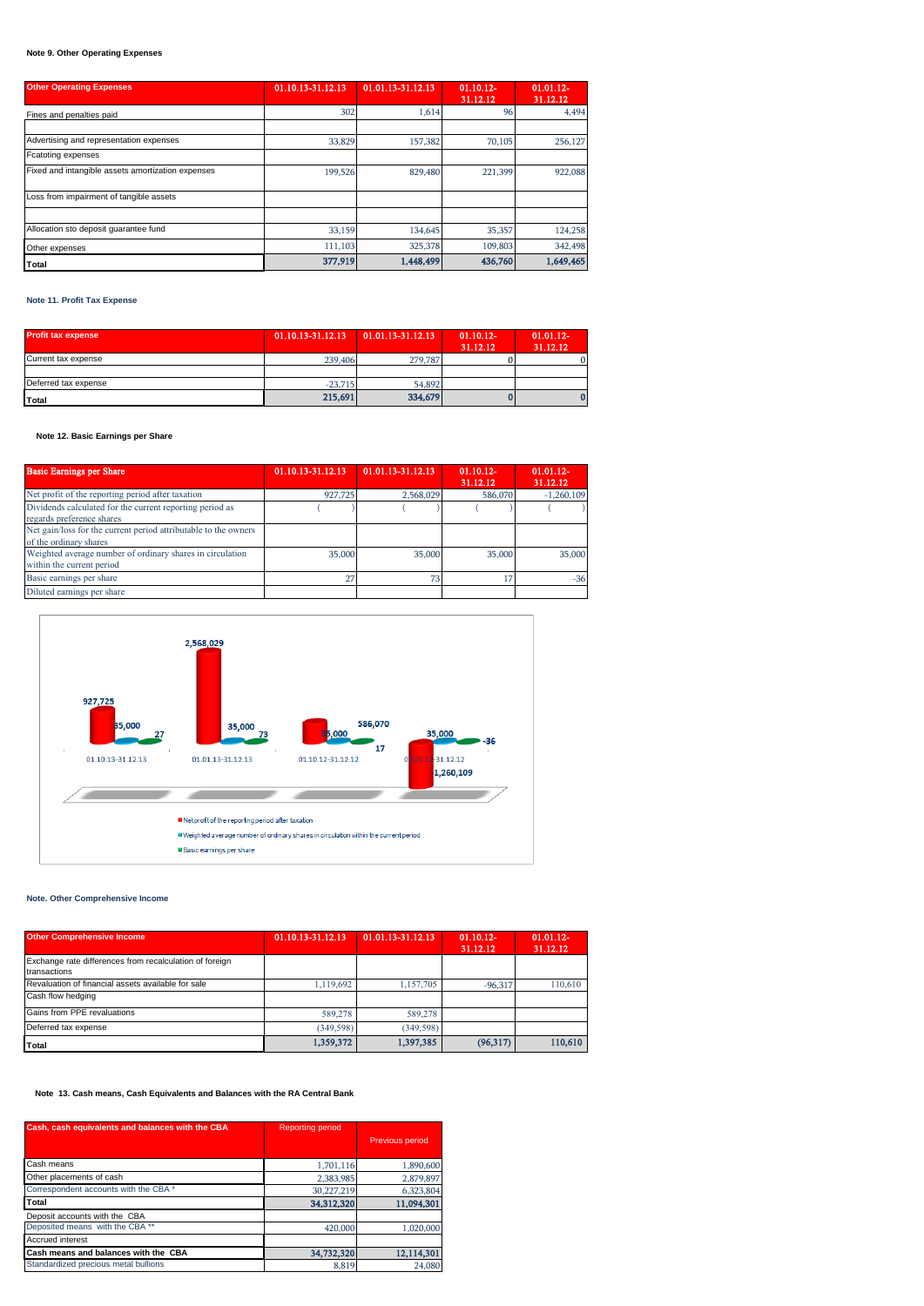# **Note 9. Other Operating Expenses**

| <b>Other Operating Expenses</b>                   | 01.10.13-31.12.13 | 01.01.13-31.12.13 | $01.10.12 -$<br>31.12.12 | 01.01.12-<br>31.12.12 |
|---------------------------------------------------|-------------------|-------------------|--------------------------|-----------------------|
| Fines and penalties paid                          | 302               | 1.614             | 96                       | 4.494                 |
|                                                   |                   |                   |                          |                       |
| Advertising and representation expenses           | 33,829            | 157,382           | 70,105                   | 256,127               |
| <b>Fcatoting expenses</b>                         |                   |                   |                          |                       |
| Fixed and intangible assets amortization expenses | 199,526           | 829,480           | 221,399                  | 922,088               |
| Loss from impairment of tangible assets           |                   |                   |                          |                       |
|                                                   |                   |                   |                          |                       |
| Allocation sto deposit quarantee fund             | 33,159            | 134,645           | 35,357                   | 124,258               |
| Other expenses                                    | 111.103           | 325,378           | 109,803                  | 342,498               |
| Total                                             | 377,919           | 1,448,499         | 436,760                  | 1,649,465             |

### **Note 11. Profit Tax Expense**

| Profit tax expense   | 01.10.13-31.12.13 | 01.01.13-31.12.13 | $01.10.12 -$<br>31.12.12 | $01.01.12 -$<br>31.12.12 |
|----------------------|-------------------|-------------------|--------------------------|--------------------------|
| Current tax expense  | 239,406           | 279,787           |                          |                          |
|                      |                   |                   |                          |                          |
| Deferred tax expense | $-23.715$         | 54,892            |                          |                          |
| Total                | 215,691           | 334,679           |                          |                          |

# **Note 12. Basic Earnings per Share**

| <b>Basic Earnings per Share</b>                                                           | 01.10.13-31.12.13 | 01.01.13-31.12.13 | $01.10.12 -$<br>31.12.12 | $01.01.12 -$<br>31.12.12 |
|-------------------------------------------------------------------------------------------|-------------------|-------------------|--------------------------|--------------------------|
| Net profit of the reporting period after taxation                                         | 927,725           | 2.568.029         | 586,070                  | $-1,260,109$             |
| Dividends calculated for the current reporting period as<br>regards preference shares     |                   |                   |                          |                          |
| Net gain/loss for the current period attributable to the owners<br>of the ordinary shares |                   |                   |                          |                          |
| Weighted average number of ordinary shares in circulation<br>within the current period    | 35,000            | 35,000            | 35,000                   | 35,000                   |
| Basic earnings per share                                                                  |                   | 73                |                          | $-36$                    |
| Diluted earnings per share                                                                |                   |                   |                          |                          |



# **Note. Other Comprehensive Income**

| <b>Other Comprehensive Income</b>                                       | 01.10.13-31.12.13 | 01.01.13-31.12.13 | $01.10.12 -$<br>31.12.12 | $01.01.12 -$<br>31.12.12 |
|-------------------------------------------------------------------------|-------------------|-------------------|--------------------------|--------------------------|
| Exchange rate differences from recalculation of foreign<br>transactions |                   |                   |                          |                          |
| Revaluation of financial assets available for sale                      | 1.119.692         | 1,157,705         | $-96,317$                | 110,610                  |
| Cash flow hedging                                                       |                   |                   |                          |                          |
| Gains from PPE revaluations                                             | 589,278           | 589,278           |                          |                          |
| Deferred tax expense                                                    | (349.598)         | (349, 598)        |                          |                          |
| Total                                                                   | 1,359,372         | 1,397,385         | (96, 317)                | 110,610                  |

# **Note 13. Cash means, Cash Equivalents and Balances with the RA Central Bank**

| Cash, cash equivalents and balances with the CBA | <b>Reporting period</b> |                 |
|--------------------------------------------------|-------------------------|-----------------|
|                                                  |                         | Previous period |
| Cash means                                       | 1,701,116               | 1,890,600       |
| Other placements of cash                         | 2,383,985               | 2,879,897       |
| Correspondent accounts with the CBA *            | 30,227,219              | 6,323,804       |
| Total                                            | 34.312.320              | 11.094.301      |
| Deposit accounts with the CBA                    |                         |                 |
| Deposited means with the CBA **                  | 420,000                 | 1,020,000       |
| <b>Accrued interest</b>                          |                         |                 |
| Cash means and balances with the CBA             | 34,732,320              | 12,114,301      |
| Standardized precious metal bullions             | 8.819                   | 24,080          |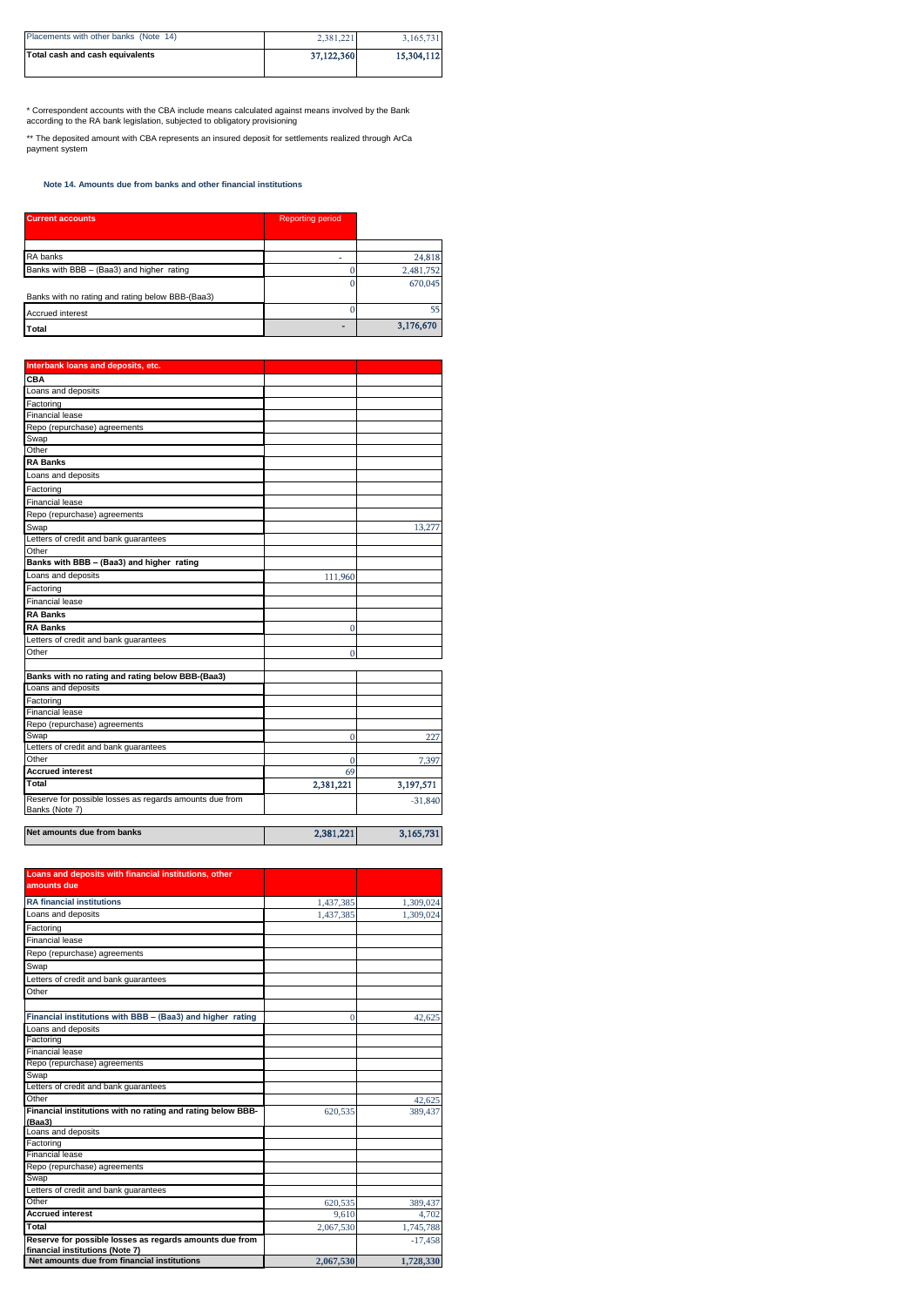| Placements with other banks (Note 14) | 2.381.221  | 3,165,731  |
|---------------------------------------|------------|------------|
| Total cash and cash equivalents       | 37,122,360 | 15,304,112 |

\* Correspondent accounts with the CBA include means calculated against means involved by the Bank according to the RA bank legislation, subjected to obligatory provisioning

\*\* The deposited amount with CBA represents an insured deposit for settlements realized through ArCa payment system

 **Note 14. Amounts due from banks and other financial institutions**

| <b>Current accounts</b>                          | <b>Reporting period</b> |           |
|--------------------------------------------------|-------------------------|-----------|
|                                                  |                         |           |
| RA banks                                         |                         | 24,818    |
| Banks with BBB - (Baa3) and higher rating        |                         | 2,481,752 |
|                                                  |                         | 670,045   |
| Banks with no rating and rating below BBB-(Baa3) |                         |           |
| <b>Accrued interest</b>                          |                         | 55        |
| Total                                            | -                       | 3,176,670 |

| Interbank loans and deposits, etc.                      |           |           |
|---------------------------------------------------------|-----------|-----------|
| CBA                                                     |           |           |
| Loans and deposits                                      |           |           |
| Factoring                                               |           |           |
| <b>Financial lease</b>                                  |           |           |
| Repo (repurchase) agreements                            |           |           |
| Swap                                                    |           |           |
| Other                                                   |           |           |
| <b>RA Banks</b>                                         |           |           |
| Loans and deposits                                      |           |           |
| Factoring                                               |           |           |
| <b>Financial lease</b>                                  |           |           |
| Repo (repurchase) agreements                            |           |           |
| Swap                                                    |           | 13,277    |
| Letters of credit and bank guarantees                   |           |           |
| Other                                                   |           |           |
| Banks with BBB - (Baa3) and higher rating               |           |           |
| Loans and deposits                                      | 111,960   |           |
| Factoring                                               |           |           |
| <b>Financial lease</b>                                  |           |           |
| <b>RA Banks</b>                                         |           |           |
| <b>RA Banks</b>                                         | 0         |           |
| Letters of credit and bank guarantees                   |           |           |
| Other                                                   | 0         |           |
|                                                         |           |           |
| Banks with no rating and rating below BBB-(Baa3)        |           |           |
| Loans and deposits                                      |           |           |
| Factoring                                               |           |           |
| <b>Financial lease</b>                                  |           |           |
| Repo (repurchase) agreements                            |           |           |
| Swap                                                    | O         | 227       |
| Letters of credit and bank guarantees                   |           |           |
| Other                                                   | 0         | 7,397     |
| <b>Accrued interest</b>                                 | 69        |           |
| Total                                                   | 2,381,221 | 3,197,571 |
| Reserve for possible losses as regards amounts due from |           | $-31,840$ |
| Banks (Note 7)                                          |           |           |
|                                                         |           |           |
| Net amounts due from banks                              | 2,381,221 | 3,165,731 |
|                                                         |           |           |

| Loans and deposits with financial institutions, other                                      |           |           |
|--------------------------------------------------------------------------------------------|-----------|-----------|
| amounts due                                                                                |           |           |
| <b>RA financial institutions</b>                                                           | 1,437,385 | 1,309,024 |
| Loans and deposits                                                                         | 1,437,385 | 1,309,024 |
| Factoring                                                                                  |           |           |
| <b>Financial lease</b>                                                                     |           |           |
| Repo (repurchase) agreements                                                               |           |           |
| Swap                                                                                       |           |           |
| Letters of credit and bank guarantees                                                      |           |           |
| Other                                                                                      |           |           |
|                                                                                            |           |           |
| Financial institutions with BBB - (Baa3) and higher rating                                 | $\Omega$  | 42,625    |
| Loans and deposits                                                                         |           |           |
| Factoring                                                                                  |           |           |
| <b>Financial lease</b>                                                                     |           |           |
| Repo (repurchase) agreements                                                               |           |           |
| Swap                                                                                       |           |           |
| Letters of credit and bank guarantees                                                      |           |           |
| Other                                                                                      |           | 42,625    |
| Financial institutions with no rating and rating below BBB-<br>(Baa3)                      | 620.535   | 389,437   |
| Loans and deposits                                                                         |           |           |
| Factoring                                                                                  |           |           |
| Financial lease                                                                            |           |           |
| Repo (repurchase) agreements                                                               |           |           |
| Swap                                                                                       |           |           |
| Letters of credit and bank guarantees                                                      |           |           |
| Other                                                                                      | 620.535   | 389,437   |
| <b>Accrued interest</b>                                                                    | 9.610     | 4,702     |
| Total                                                                                      | 2.067.530 | 1,745,788 |
| Reserve for possible losses as regards amounts due from<br>financial institutions (Note 7) |           | $-17.458$ |
| Net amounts due from financial institutions                                                | 2,067,530 | 1,728,330 |
|                                                                                            |           |           |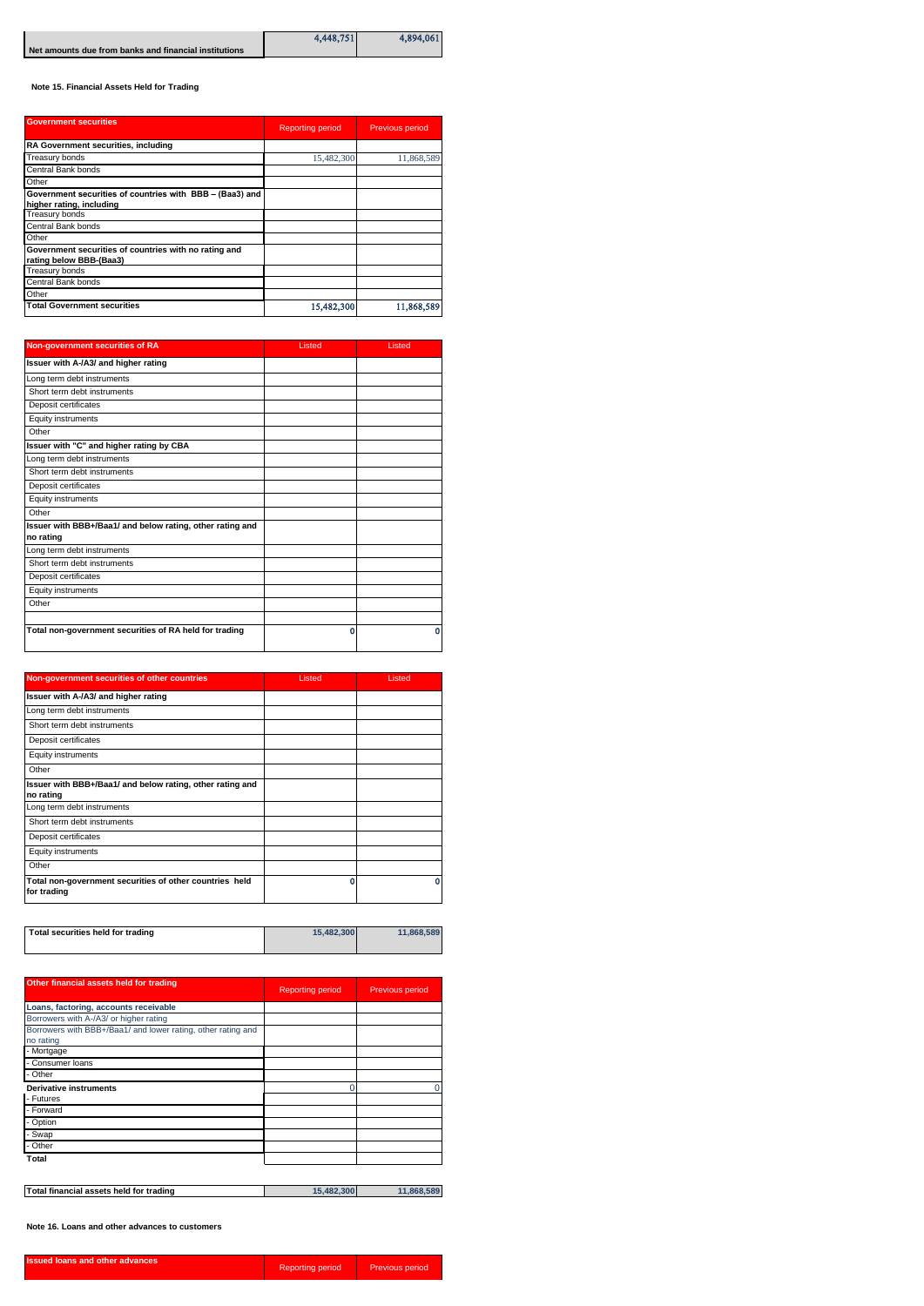|                                                       | 4.448.751 | 4,894,061 |
|-------------------------------------------------------|-----------|-----------|
| Net amounts due from banks and financial institutions |           |           |

 **Note 15. Financial Assets Held for Trading** 

| <b>Government securities</b>                                                         | <b>Reporting period</b> | Previous period |
|--------------------------------------------------------------------------------------|-------------------------|-----------------|
| RA Government securities, including                                                  |                         |                 |
| <b>Treasury bonds</b>                                                                | 15,482,300              | 11,868,589      |
| Central Bank bonds                                                                   |                         |                 |
| Other                                                                                |                         |                 |
| Government securities of countries with BBB - (Baa3) and<br>higher rating, including |                         |                 |
| Treasury bonds                                                                       |                         |                 |
| Central Bank bonds                                                                   |                         |                 |
| Other                                                                                |                         |                 |
| Government securities of countries with no rating and<br>rating below BBB-(Baa3)     |                         |                 |
| <b>Treasury bonds</b>                                                                |                         |                 |
| Central Bank bonds                                                                   |                         |                 |
| Other                                                                                |                         |                 |
| <b>Total Government securities</b>                                                   | 15,482,300              | 11,868,589      |

| Non-government securities of RA                           | Listed | Listed |
|-----------------------------------------------------------|--------|--------|
| Issuer with A-/A3/ and higher rating                      |        |        |
| Long term debt instruments                                |        |        |
| Short term debt instruments                               |        |        |
| Deposit certificates                                      |        |        |
| Equity instruments                                        |        |        |
| Other                                                     |        |        |
| Issuer with "C" and higher rating by CBA                  |        |        |
| Long term debt instruments                                |        |        |
| Short term debt instruments                               |        |        |
| Deposit certificates                                      |        |        |
| Equity instruments                                        |        |        |
| Other                                                     |        |        |
| Issuer with BBB+/Baa1/ and below rating, other rating and |        |        |
| no rating                                                 |        |        |
| Long term debt instruments                                |        |        |
| Short term debt instruments                               |        |        |
| Deposit certificates                                      |        |        |
| Equity instruments                                        |        |        |
| Other                                                     |        |        |
| Total non-government securities of RA held for trading    | 0      | 0      |
|                                                           |        |        |

| Non-government securities of other countries                           | Listed | Listed |
|------------------------------------------------------------------------|--------|--------|
| Issuer with A-/A3/ and higher rating                                   |        |        |
| Long term debt instruments                                             |        |        |
| Short term debt instruments                                            |        |        |
| Deposit certificates                                                   |        |        |
| Equity instruments                                                     |        |        |
| Other                                                                  |        |        |
| Issuer with BBB+/Baa1/ and below rating, other rating and<br>no rating |        |        |
| Long term debt instruments                                             |        |        |
| Short term debt instruments                                            |        |        |
| Deposit certificates                                                   |        |        |
| Equity instruments                                                     |        |        |
| Other                                                                  |        |        |
| Total non-government securities of other countries held<br>for trading | Λ      | ٥      |

| Other financial assets held for trading                                   | <b>Reporting period</b> | Previous period |
|---------------------------------------------------------------------------|-------------------------|-----------------|
| Loans, factoring, accounts receivable                                     |                         |                 |
| Borrowers with A-/A3/ or higher rating                                    |                         |                 |
| Borrowers with BBB+/Baa1/ and lower rating, other rating and<br>no rating |                         |                 |
| - Mortgage                                                                |                         |                 |
| - Consumer loans                                                          |                         |                 |
| - Other                                                                   |                         |                 |
| <b>Derivative instruments</b>                                             | O                       |                 |
| - Futures                                                                 |                         |                 |
| - Forward                                                                 |                         |                 |
| - Option                                                                  |                         |                 |
| - Swap                                                                    |                         |                 |
| - Other                                                                   |                         |                 |
| Total                                                                     |                         |                 |
| Total financial assets held for trading                                   | 15,482,300              | 11,868,589      |

**Note 16. Loans and other advances to customers**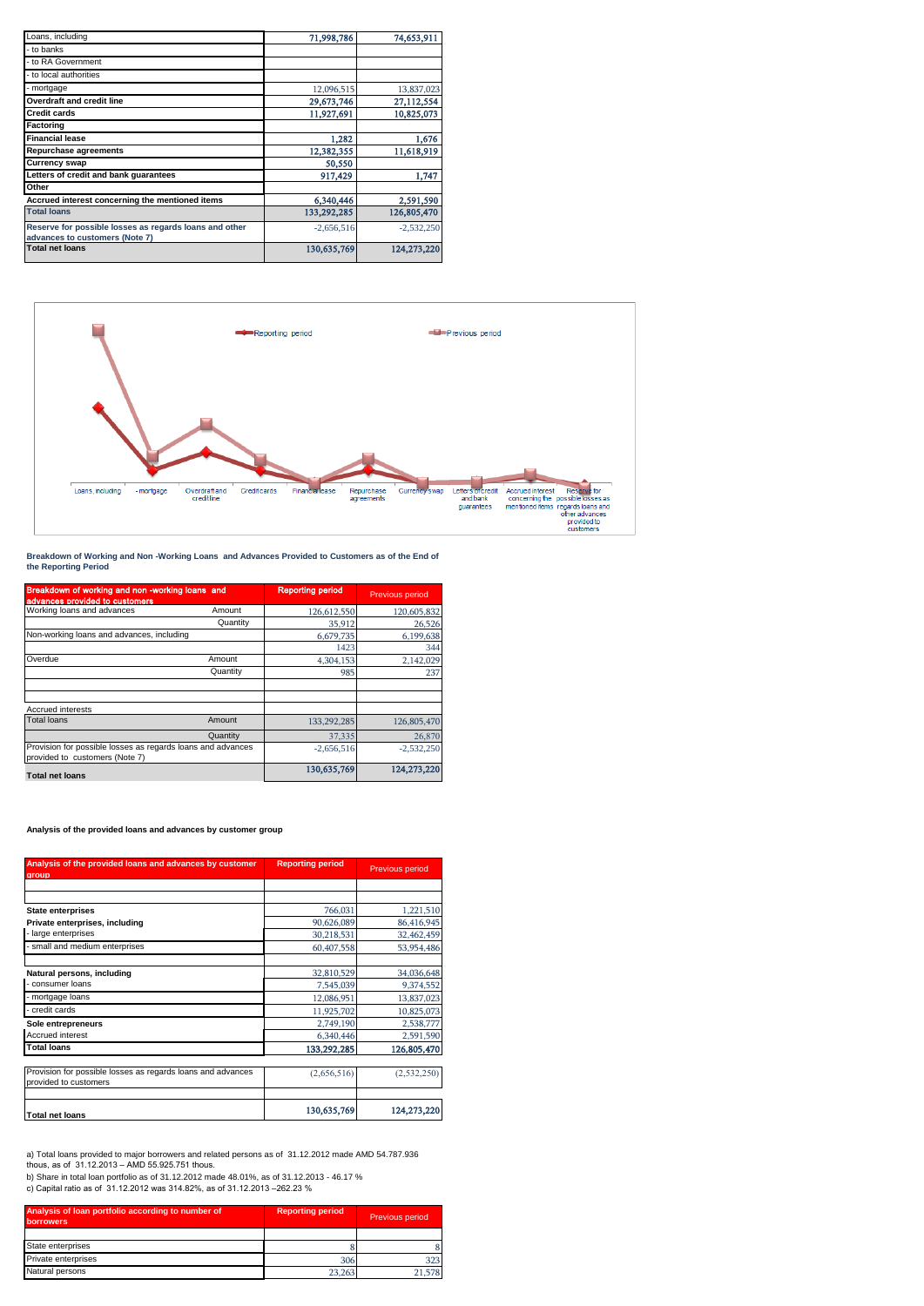| Loans, including                                                                         | 71,998,786   | 74,653,911   |
|------------------------------------------------------------------------------------------|--------------|--------------|
| - to banks                                                                               |              |              |
| - to RA Government                                                                       |              |              |
| - to local authorities                                                                   |              |              |
| - mortgage                                                                               | 12,096,515   | 13,837,023   |
| <b>Overdraft and credit line</b>                                                         | 29,673,746   | 27,112,554   |
| <b>Credit cards</b>                                                                      | 11,927,691   | 10,825,073   |
| Factoring                                                                                |              |              |
| <b>Financial lease</b>                                                                   | 1,282        | 1,676        |
| <b>Repurchase agreements</b>                                                             | 12,382,355   | 11.618.919   |
| <b>Currency swap</b>                                                                     | 50,550       |              |
| Letters of credit and bank guarantees                                                    | 917,429      | 1,747        |
| Other                                                                                    |              |              |
| Accrued interest concerning the mentioned items                                          | 6,340,446    | 2,591,590    |
| <b>Total loans</b>                                                                       | 133,292,285  | 126,805,470  |
| Reserve for possible losses as regards loans and other<br>advances to customers (Note 7) | $-2.656.516$ | $-2.532.250$ |
| <b>Total net loans</b>                                                                   | 130,635,769  | 124,273,220  |



**Breakdown of Working and Non -Working Loans and Advances Provided to Customers as of the End of the Reporting Period**

| Breakdown of working and non -working loans and<br>advances provided to customers             |          | <b>Reporting period</b> | Previous period |
|-----------------------------------------------------------------------------------------------|----------|-------------------------|-----------------|
| Working loans and advances                                                                    | Amount   | 126,612,550             | 120,605,832     |
|                                                                                               | Quantity | 35,912                  | 26,526          |
| Non-working loans and advances, including                                                     |          | 6,679,735               | 6,199,638       |
|                                                                                               |          | 1423                    | 344             |
| Overdue                                                                                       | Amount   | 4.304.153               | 2,142,029       |
|                                                                                               | Quantity | 985                     | 237             |
|                                                                                               |          |                         |                 |
| <b>Accrued interests</b>                                                                      |          |                         |                 |
| <b>Total loans</b>                                                                            | Amount   | 133,292,285             | 126,805,470     |
|                                                                                               | Quantity | 37.335                  | 26,870          |
| Provision for possible losses as regards loans and advances<br>provided to customers (Note 7) |          | $-2.656.516$            | $-2,532,250$    |
| <b>Total net loans</b>                                                                        |          | 130.635.769             | 124,273,220     |

### **Analysis of the provided loans and advances by customer group**

| Analysis of the provided loans and advances by customer<br>group                     | <b>Reporting period</b> | Previous period |  |
|--------------------------------------------------------------------------------------|-------------------------|-----------------|--|
|                                                                                      |                         |                 |  |
|                                                                                      |                         |                 |  |
| <b>State enterprises</b>                                                             | 766,031                 | 1,221,510       |  |
| Private enterprises, including                                                       | 90,626,089              | 86,416,945      |  |
| large enterprises                                                                    | 30,218,531              | 32,462,459      |  |
| small and medium enterprises                                                         | 60,407,558              | 53,954,486      |  |
| Natural persons, including                                                           | 32,810,529              | 34,036,648      |  |
| consumer loans                                                                       | 7,545,039               | 9,374,552       |  |
| mortgage loans                                                                       | 12,086,951              | 13,837,023      |  |
| credit cards                                                                         | 11,925,702              | 10,825,073      |  |
| Sole entrepreneurs                                                                   | 2,749,190               | 2,538,777       |  |
| Accrued interest                                                                     | 6,340,446               | 2,591,590       |  |
| <b>Total loans</b>                                                                   | 133,292,285             | 126,805,470     |  |
| Provision for possible losses as regards loans and advances<br>provided to customers | (2,656,516)             | (2,532,250)     |  |
| <b>Total net loans</b>                                                               | 130,635,769             | 124,273,220     |  |

a) Total loans provided to major borrowers and related persons as of 31.12.2012 made AMD 54.787.936<br>thous, as of 31.12.2013 – AMD 55.925.751 thous.<br>b) Share in total loan portfolio as of 31.12.2012 made 48.01%, as of 31.

c) Capital ratio as of 31.12.2012 was 314.82%, as of 31.12.2013 –262.23 %

| Analysis of loan portfolio according to number of<br>borrowers. | <b>Reporting period</b> | <b>Previous period</b> |
|-----------------------------------------------------------------|-------------------------|------------------------|
|                                                                 |                         |                        |
| State enterprises                                               |                         |                        |
| Private enterprises                                             | 306                     | 323                    |
| Natural persons                                                 | 23.263                  |                        |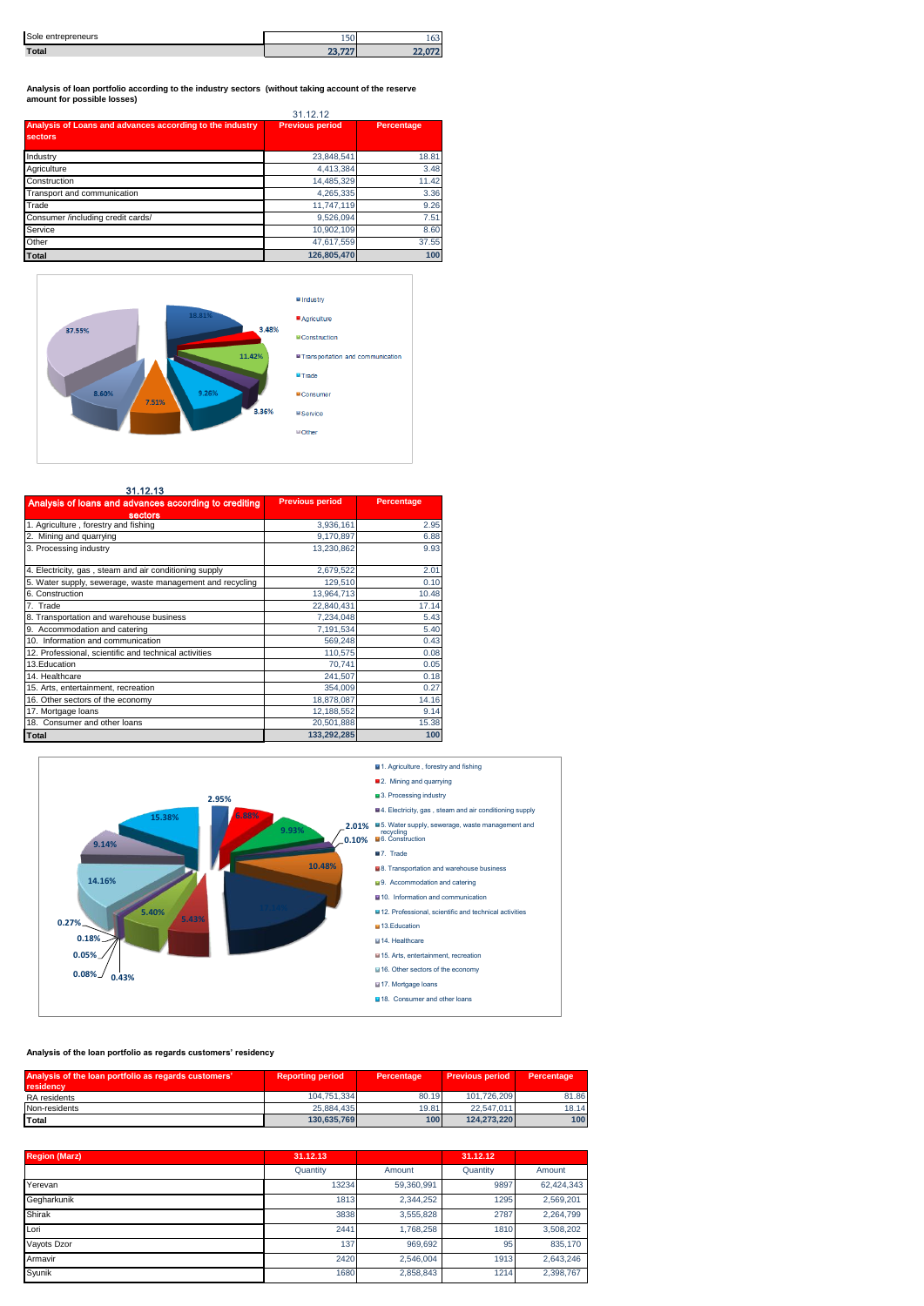| Sole entrepreneurs | $ \sim$<br>2.JU - | 100 |
|--------------------|-------------------|-----|
| Total              | פפים פפ           |     |

**Analysis of loan portfolio according to the industry sectors (without taking account of the reserve amount for possible losses)**

|                                                                     | 31.12.12               |            |  |
|---------------------------------------------------------------------|------------------------|------------|--|
| Analysis of Loans and advances according to the industry<br>sectors | <b>Previous period</b> | Percentage |  |
| Industry                                                            | 23,848,541             | 18.81      |  |
| Agriculture                                                         | 4,413,384              | 3.48       |  |
| Construction                                                        | 14.485.329             | 11.42      |  |
| Transport and communication                                         | 4.265.335              | 3.36       |  |
| Trade                                                               | 11,747,119             | 9.26       |  |
| Consumer /including credit cards/                                   | 9,526,094              | 7.51       |  |
| Service                                                             | 10,902,109             | 8.60       |  |
| Other                                                               | 47,617,559             | 37.55      |  |
| <b>Total</b>                                                        | 126,805,470            | 100        |  |



| 31.12.13                                                         |                        |            |
|------------------------------------------------------------------|------------------------|------------|
| Analysis of loans and advances according to crediting<br>sectors | <b>Previous period</b> | Percentage |
| 1. Agriculture, forestry and fishing                             | 3,936,161              | 2.95       |
| 2. Mining and quarrying                                          | 9,170,897              | 6.88       |
| 3. Processing industry                                           | 13,230,862             | 9.93       |
| 4. Electricity, gas, steam and air conditioning supply           | 2,679,522              | 2.01       |
| 5. Water supply, sewerage, waste management and recycling        | 129,510                | 0.10       |
| 6. Construction                                                  | 13.964.713             | 10.48      |
| 7. Trade                                                         | 22,840,431             | 17.14      |
| 8. Transportation and warehouse business                         | 7,234,048              | 5.43       |
| 9. Accommodation and catering                                    | 7,191,534              | 5.40       |
| 10. Information and communication                                | 569,248                | 0.43       |
| 12. Professional, scientific and technical activities            | 110,575                | 0.08       |
| 13.Education                                                     | 70,741                 | 0.05       |
| 14. Healthcare                                                   | 241,507                | 0.18       |
| 15. Arts, entertainment, recreation                              | 354,009                | 0.27       |
| 16. Other sectors of the economy                                 | 18,878,087             | 14.16      |
| 17. Mortgage loans                                               | 12,188,552             | 9.14       |
| 18. Consumer and other loans                                     | 20,501,888             | 15.38      |
| <b>Total</b>                                                     | 133,292,285            | 100        |



# **Analysis of the loan portfolio as regards customers' residency**

| Analysis of the loan portfolio as regards customers'<br>residency | <b>Reporting period</b> | Percentage | <b>Previous period</b> | Percentage |
|-------------------------------------------------------------------|-------------------------|------------|------------------------|------------|
| RA residents                                                      | 104.751.334             | 80.19      | 101.726.209            | 81.86      |
| Non-residents                                                     | 25.884.435              | 19.81      | 22.547.011             | 18.14      |
| Total                                                             | 130.635.769             | 100        | 124.273.220            | 100        |

| <b>Region (Marz)</b> | 31.12.13 |            | 31.12.12 |            |
|----------------------|----------|------------|----------|------------|
|                      | Quantity | Amount     | Quantity | Amount     |
| Yerevan              | 13234    | 59,360,991 | 9897     | 62,424,343 |
| Gegharkunik          | 1813     | 2,344,252  | 1295     | 2,569,201  |
| Shirak               | 3838     | 3,555,828  | 2787     | 2,264,799  |
| Lori                 | 2441     | 1,768,258  | 1810     | 3,508,202  |
| Vayots Dzor          | 137      | 969,692    | 95       | 835,170    |
| Armavir              | 2420     | 2,546,004  | 1913     | 2,643,246  |
| Syunik               | 1680     | 2,858,843  | 1214     | 2,398,767  |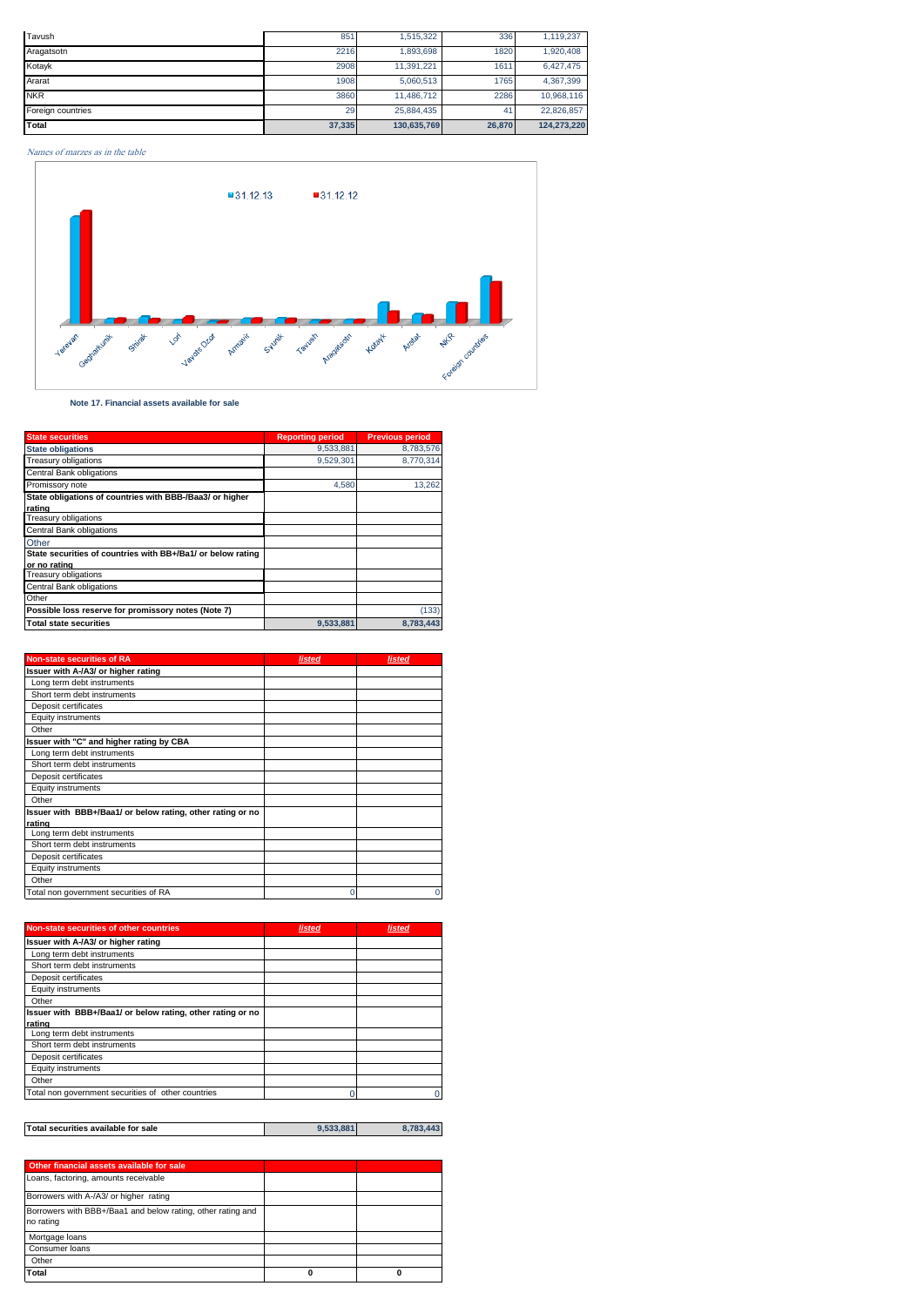| Tavush            | 851    | 1,515,322   | 336    | 1,119,237   |
|-------------------|--------|-------------|--------|-------------|
| Aragatsotn        | 2216   | 1.893.698   | 1820   | 1,920,408   |
| Kotayk            | 2908   | 11.391.221  | 1611   | 6,427,475   |
| Ararat            | 1908   | 5,060,513   | 1765   | 4,367,399   |
| <b>NKR</b>        | 3860   | 11.486.712  | 2286   | 10.968.116  |
| Foreign countries | 29     | 25.884.435  | 41     | 22,826,857  |
| Total             | 37,335 | 130,635,769 | 26,870 | 124,273,220 |

# Names of marzes as in the table



 **Note 17. Financial assets available for sale**

| <b>State securities</b>                                                     | <b>Reporting period</b> | <b>Previous period</b> |
|-----------------------------------------------------------------------------|-------------------------|------------------------|
| <b>State obligations</b>                                                    | 9,533,881               | 8,783,576              |
| <b>Treasury obligations</b>                                                 | 9.529.301               | 8,770,314              |
| <b>Central Bank obligations</b>                                             |                         |                        |
| Promissory note                                                             | 4.580                   | 13,262                 |
| State obligations of countries with BBB-/Baa3/ or higher                    |                         |                        |
| rating                                                                      |                         |                        |
| <b>Treasury obligations</b>                                                 |                         |                        |
| <b>Central Bank obligations</b>                                             |                         |                        |
| Other                                                                       |                         |                        |
| State securities of countries with BB+/Ba1/ or below rating<br>or no rating |                         |                        |
| <b>Treasury obligations</b>                                                 |                         |                        |
| <b>Central Bank obligations</b>                                             |                         |                        |
| Other                                                                       |                         |                        |
| Possible loss reserve for promissory notes (Note 7)                         |                         | (133)                  |
| <b>Total state securities</b>                                               | 9,533,881               | 8,783,443              |

| <b>Non-state securities of RA</b>                          | listed | listed |
|------------------------------------------------------------|--------|--------|
| Issuer with A-/A3/ or higher rating                        |        |        |
| Long term debt instruments                                 |        |        |
| Short term debt instruments                                |        |        |
| Deposit certificates                                       |        |        |
| Equity instruments                                         |        |        |
| Other                                                      |        |        |
| Issuer with "C" and higher rating by CBA                   |        |        |
| Long term debt instruments                                 |        |        |
| Short term debt instruments                                |        |        |
| Deposit certificates                                       |        |        |
| Equity instruments                                         |        |        |
| Other                                                      |        |        |
| Issuer with BBB+/Baa1/ or below rating, other rating or no |        |        |
| rating                                                     |        |        |
| Long term debt instruments                                 |        |        |
| Short term debt instruments                                |        |        |
| Deposit certificates                                       |        |        |
| Equity instruments                                         |        |        |
| Other                                                      |        |        |
| Total non government securities of RA                      | U      | C      |

| Non-state securities of other countries                    | listed | listed |
|------------------------------------------------------------|--------|--------|
| Issuer with A-/A3/ or higher rating                        |        |        |
| Long term debt instruments                                 |        |        |
| Short term debt instruments                                |        |        |
| Deposit certificates                                       |        |        |
| Equity instruments                                         |        |        |
| Other                                                      |        |        |
| Issuer with BBB+/Baa1/ or below rating, other rating or no |        |        |
| rating                                                     |        |        |
| Long term debt instruments                                 |        |        |
| Short term debt instruments                                |        |        |
| Deposit certificates                                       |        |        |
| Equity instruments                                         |        |        |
| Other                                                      |        |        |
| Total non government securities of other countries         |        |        |

| Total securities available for sale | 9.533.881 | 8.783.443 |
|-------------------------------------|-----------|-----------|
|                                     |           |           |

| Other financial assets available for sale                                |  |
|--------------------------------------------------------------------------|--|
| Loans, factoring, amounts receivable                                     |  |
| Borrowers with A-/A3/ or higher rating                                   |  |
| Borrowers with BBB+/Baa1 and below rating, other rating and<br>no rating |  |
| Mortgage loans                                                           |  |
| Consumer loans                                                           |  |
| Other                                                                    |  |
| <b>Total</b>                                                             |  |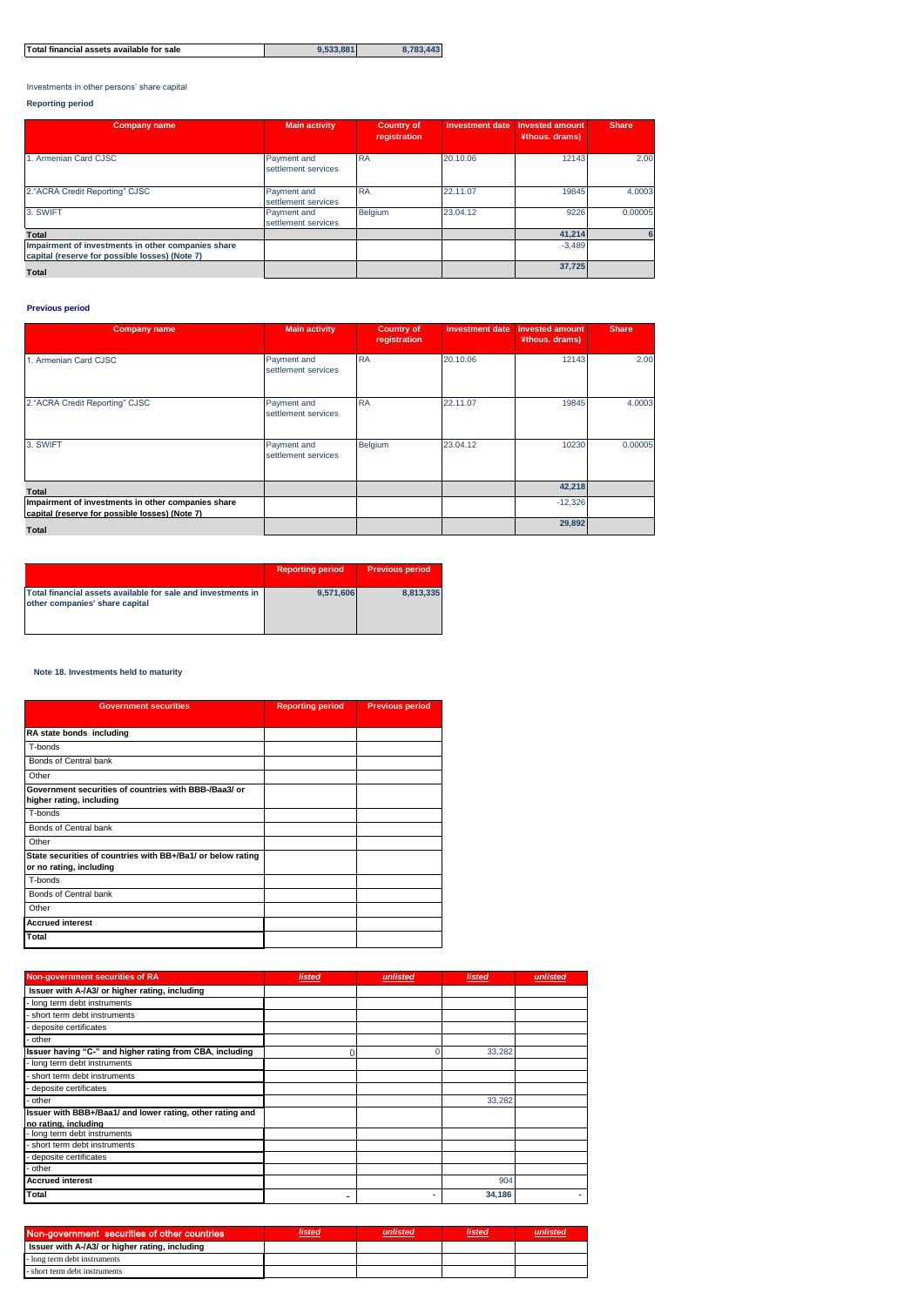| Total financial assets available for sale | 9.533.881 | 8.783.443 |
|-------------------------------------------|-----------|-----------|

Investments in other persons' share capital

# **Reporting period**

| <b>Company name</b>                                                                                  | <b>Main activity</b>               | <b>Country of</b><br>registration | <b>Investment date</b> | <b>Invested amount</b><br>¥thous. drams) | <b>Share</b> |
|------------------------------------------------------------------------------------------------------|------------------------------------|-----------------------------------|------------------------|------------------------------------------|--------------|
| 1. Armenian Card CJSC                                                                                | Payment and<br>settlement services | <b>RA</b>                         | 20.10.06               | 12143                                    | 2.00         |
| 2."ACRA Credit Reporting" CJSC                                                                       | Payment and<br>settlement services | <b>RA</b>                         | 22.11.07               | 19845                                    | 4.0003       |
| 3. SWIFT                                                                                             | Payment and<br>settlement services | <b>Belgium</b>                    | 23.04.12               | 9226                                     | 0.00005      |
| <b>Total</b>                                                                                         |                                    |                                   |                        | 41.214                                   |              |
| Impairment of investments in other companies share<br>capital (reserve for possible losses) (Note 7) |                                    |                                   |                        | $-3.489$                                 |              |
| <b>Total</b>                                                                                         |                                    |                                   |                        | 37,725                                   |              |

# **Previous period**

| <b>Company name</b>                                                                                  | <b>Main activity</b>               | <b>Country of</b><br>registration | <b>Investment date</b> | <b>Invested amount</b><br>¥thous. drams) | <b>Share</b> |
|------------------------------------------------------------------------------------------------------|------------------------------------|-----------------------------------|------------------------|------------------------------------------|--------------|
| 1. Armenian Card CJSC                                                                                | Payment and<br>settlement services | <b>RA</b>                         | 20.10.06               | 12143                                    | 2.00         |
| 2."ACRA Credit Reporting" CJSC                                                                       | Payment and<br>settlement services | <b>RA</b>                         | 22.11.07               | 19845                                    | 4.0003       |
| 3. SWIFT                                                                                             | Payment and<br>settlement services | Belgium                           | 23.04.12               | 10230                                    | 0.00005      |
| Total                                                                                                |                                    |                                   |                        | 42,218                                   |              |
| Impairment of investments in other companies share<br>capital (reserve for possible losses) (Note 7) |                                    |                                   |                        | $-12,326$                                |              |
| <b>Total</b>                                                                                         |                                    |                                   |                        | 29,892                                   |              |

|                                                                                                | <b>Reporting period</b> | <b>Previous period</b> |
|------------------------------------------------------------------------------------------------|-------------------------|------------------------|
| Total financial assets available for sale and investments in<br>other companies' share capital | 9.571.606               | 8.813.335              |

# **Note 18. Investments held to maturity**

| <b>Government securities</b>                                                           | <b>Reporting period</b> | <b>Previous period</b> |
|----------------------------------------------------------------------------------------|-------------------------|------------------------|
|                                                                                        |                         |                        |
| RA state bonds including                                                               |                         |                        |
| T-bonds                                                                                |                         |                        |
| Bonds of Central bank                                                                  |                         |                        |
| Other                                                                                  |                         |                        |
| Government securities of countries with BBB-/Baa3/ or<br>higher rating, including      |                         |                        |
| T-bonds                                                                                |                         |                        |
| Bonds of Central bank                                                                  |                         |                        |
| Other                                                                                  |                         |                        |
| State securities of countries with BB+/Ba1/ or below rating<br>or no rating, including |                         |                        |
| T-bonds                                                                                |                         |                        |
| Bonds of Central bank                                                                  |                         |                        |
| Other                                                                                  |                         |                        |
| <b>Accrued interest</b>                                                                |                         |                        |
| Total                                                                                  |                         |                        |

| Non-government securities of RA                                                   | <b>listed</b> | unlisted | <b>listed</b> | unlisted |
|-----------------------------------------------------------------------------------|---------------|----------|---------------|----------|
| Issuer with A-/A3/ or higher rating, including                                    |               |          |               |          |
| long term debt instruments                                                        |               |          |               |          |
| short term debt instruments                                                       |               |          |               |          |
| deposite certificates                                                             |               |          |               |          |
| other                                                                             |               |          |               |          |
| Issuer having "C-" and higher rating from CBA, including                          |               |          | 33,282        |          |
| long term debt instruments                                                        |               |          |               |          |
| short term debt instruments                                                       |               |          |               |          |
| deposite certificates                                                             |               |          |               |          |
| other                                                                             |               |          | 33,282        |          |
| Issuer with BBB+/Baa1/ and lower rating, other rating and<br>no rating, including |               |          |               |          |
| long term debt instruments                                                        |               |          |               |          |
| short term debt instruments                                                       |               |          |               |          |
| deposite certificates                                                             |               |          |               |          |
| other                                                                             |               |          |               |          |
| <b>Accrued interest</b>                                                           |               |          | 904           |          |
| Total                                                                             |               | ۰        | 34,186        |          |

| Non-government securities of other countries   | listed | <b>listed</b> |  |
|------------------------------------------------|--------|---------------|--|
| Issuer with A-/A3/ or higher rating, including |        |               |  |
| - long term debt instruments                   |        |               |  |
| - short term debt instruments                  |        |               |  |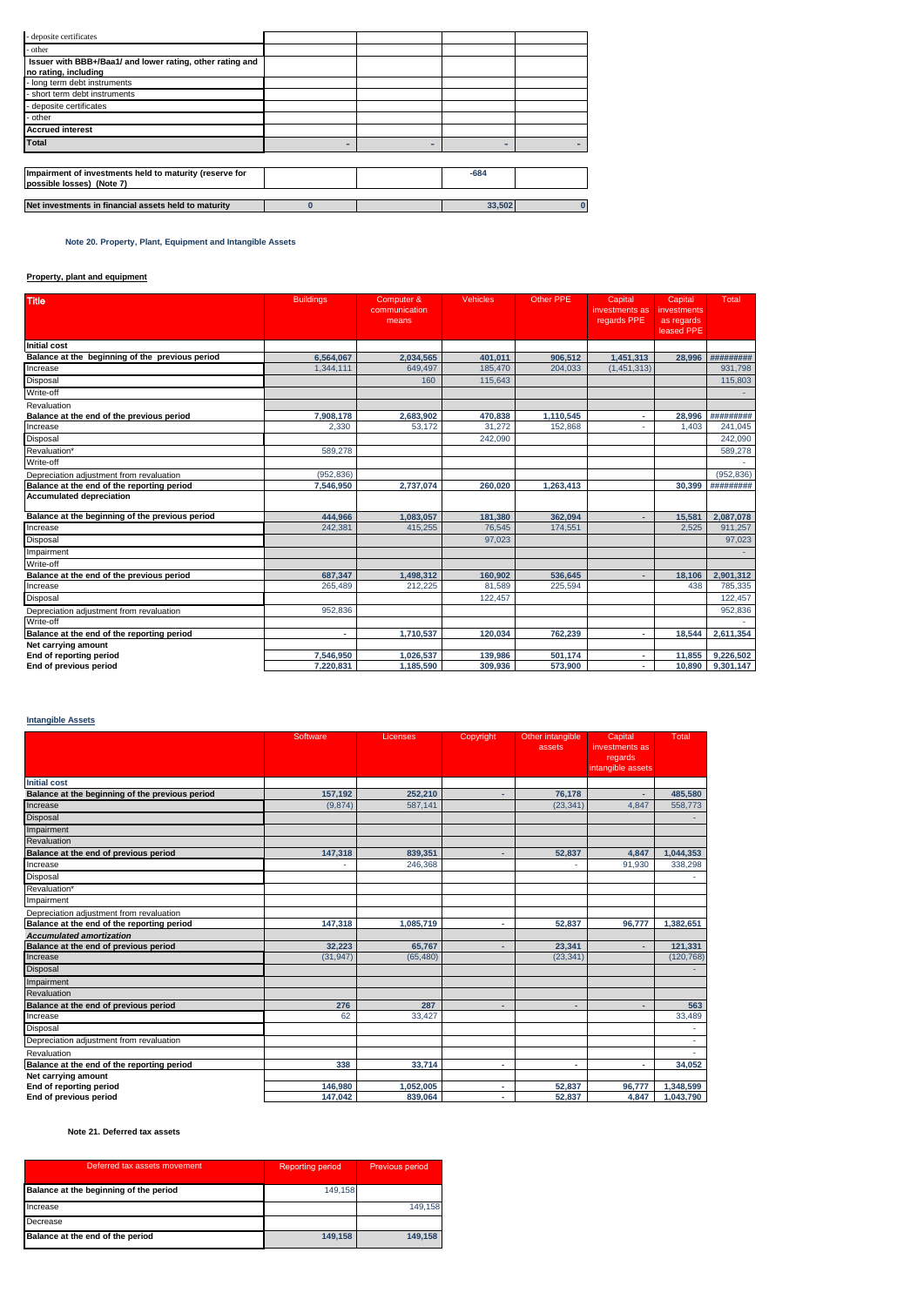| - deposite certificates                                   |          |   |        |  |
|-----------------------------------------------------------|----------|---|--------|--|
| - other                                                   |          |   |        |  |
| Issuer with BBB+/Baa1/ and lower rating, other rating and |          |   |        |  |
| no rating, including                                      |          |   |        |  |
| - long term debt instruments                              |          |   |        |  |
| short term debt instruments                               |          |   |        |  |
| - deposite certificates                                   |          |   |        |  |
| - other                                                   |          |   |        |  |
| <b>Accrued interest</b>                                   |          |   |        |  |
| Total                                                     |          | н | -      |  |
|                                                           |          |   |        |  |
| Impairment of investments held to maturity (reserve for   |          |   | $-684$ |  |
| possible losses) (Note 7)                                 |          |   |        |  |
|                                                           |          |   |        |  |
| Net investments in financial assets held to maturity      | $\bf{0}$ |   | 33,502 |  |
|                                                           |          |   |        |  |

 **Note 20. Property, Plant, Equipment and Intangible Assets** 

# **Property, plant and equipment**

| <b>Title</b>                                    | <b>Buildings</b> | Computer &<br>communication<br>means | <b>Vehicles</b> | Other PPE | Capital<br>investments as<br>regards PPE | Capital<br>investments<br>as regards<br>leased PPE | Total      |
|-------------------------------------------------|------------------|--------------------------------------|-----------------|-----------|------------------------------------------|----------------------------------------------------|------------|
| Initial cost                                    |                  |                                      |                 |           |                                          |                                                    |            |
| Balance at the beginning of the previous period | 6,564,067        | 2,034,565                            | 401.011         | 906.512   | 1,451,313                                | 28,996                                             | *********  |
| Increase                                        | 1.344.111        | 649.497                              | 185,470         | 204,033   | (1, 451, 313)                            |                                                    | 931.798    |
| Disposal                                        |                  | 160                                  | 115.643         |           |                                          |                                                    | 115,803    |
| Write-off                                       |                  |                                      |                 |           |                                          |                                                    |            |
| Revaluation                                     |                  |                                      |                 |           |                                          |                                                    |            |
| Balance at the end of the previous period       | 7.908.178        | 2.683.902                            | 470.838         | 1.110.545 | $\overline{\phantom{a}}$                 | 28.996                                             | #########  |
| Increase                                        | 2.330            | 53.172                               | 31.272          | 152.868   |                                          | 1.403                                              | 241.045    |
| Disposal                                        |                  |                                      | 242,090         |           |                                          |                                                    | 242,090    |
| Revaluation*                                    | 589,278          |                                      |                 |           |                                          |                                                    | 589,278    |
| Write-off                                       |                  |                                      |                 |           |                                          |                                                    |            |
| Depreciation adjustment from revaluation        | (952, 836)       |                                      |                 |           |                                          |                                                    | (952, 836) |
| Balance at the end of the reporting period      | 7,546,950        | 2,737,074                            | 260,020         | 1,263,413 |                                          | 30,399                                             | #########  |
| <b>Accumulated depreciation</b>                 |                  |                                      |                 |           |                                          |                                                    |            |
| Balance at the beginning of the previous period | 444.966          | 1,083,057                            | 181,380         | 362,094   |                                          | 15,581                                             | 2,087,078  |
| Increase                                        | 242,381          | 415,255                              | 76,545          | 174,551   |                                          | 2,525                                              | 911.257    |
| Disposal                                        |                  |                                      | 97,023          |           |                                          |                                                    | 97,023     |
| Impairment                                      |                  |                                      |                 |           |                                          |                                                    |            |
| Write-off                                       |                  |                                      |                 |           |                                          |                                                    |            |
| Balance at the end of the previous period       | 687,347          | 1.498.312                            | 160.902         | 536.645   |                                          | 18.106                                             | 2.901.312  |
| Increase                                        | 265,489          | 212.225                              | 81,589          | 225,594   |                                          | 438                                                | 785,335    |
| Disposal                                        |                  |                                      | 122,457         |           |                                          |                                                    | 122,457    |
| Depreciation adjustment from revaluation        | 952,836          |                                      |                 |           |                                          |                                                    | 952,836    |
| Write-off                                       |                  |                                      |                 |           |                                          |                                                    |            |
| Balance at the end of the reporting period      |                  | 1,710,537                            | 120.034         | 762.239   |                                          | 18,544                                             | 2.611.354  |
| Net carrying amount                             |                  |                                      |                 |           |                                          |                                                    |            |
| End of reporting period                         | 7,546,950        | 1,026,537                            | 139,986         | 501,174   |                                          | 11,855                                             | 9,226,502  |
| End of previous period                          | 7,220,831        | 1,185,590                            | 309,936         | 573,900   |                                          | 10,890                                             | 9,301,147  |

# **Intangible Assets**

|                                                 | Software  | Licenses  | Copyright | Other intangible<br>assets | Capital<br>investments as<br>regards<br>intangible assets | Total      |
|-------------------------------------------------|-----------|-----------|-----------|----------------------------|-----------------------------------------------------------|------------|
| <b>Initial cost</b>                             |           |           |           |                            |                                                           |            |
| Balance at the beginning of the previous period | 157,192   | 252,210   | ٠         | 76,178                     |                                                           | 485,580    |
| Increase                                        | (9.874)   | 587.141   |           | (23.341)                   | 4.847                                                     | 558,773    |
| <b>Disposal</b>                                 |           |           |           |                            |                                                           |            |
| Impairment                                      |           |           |           |                            |                                                           |            |
| Revaluation                                     |           |           |           |                            |                                                           |            |
| Balance at the end of previous period           | 147,318   | 839.351   | ÷         | 52,837                     | 4.847                                                     | 1,044,353  |
| Increase                                        |           | 246,368   |           |                            | 91.930                                                    | 338,298    |
| Disposal                                        |           |           |           |                            |                                                           | ×.         |
| Revaluation*                                    |           |           |           |                            |                                                           |            |
| Impairment                                      |           |           |           |                            |                                                           |            |
| Depreciation adjustment from revaluation        |           |           |           |                            |                                                           |            |
| Balance at the end of the reporting period      | 147.318   | 1,085,719 | ×.        | 52.837                     | 96.777                                                    | 1.382.651  |
| <b>Accumulated amortization</b>                 |           |           |           |                            |                                                           |            |
| Balance at the end of previous period           | 32.223    | 65.767    | ٠         | 23,341                     |                                                           | 121,331    |
| Increase                                        | (31, 947) | (65, 480) |           | (23, 341)                  |                                                           | (120, 768) |
| Disposal                                        |           |           |           |                            |                                                           |            |
| Impairment                                      |           |           |           |                            |                                                           |            |
| Revaluation                                     |           |           |           |                            |                                                           |            |
| Balance at the end of previous period           | 276       | 287       | ٠         | ٠                          |                                                           | 563        |
| Increase                                        | 62        | 33,427    |           |                            |                                                           | 33,489     |
| Disposal                                        |           |           |           |                            |                                                           |            |
| Depreciation adjustment from revaluation        |           |           |           |                            |                                                           |            |
| Revaluation                                     |           |           |           |                            |                                                           | ×.         |
| Balance at the end of the reporting period      | 338       | 33,714    | ×.        | ä,                         |                                                           | 34,052     |
| Net carrying amount                             |           |           |           |                            |                                                           |            |
| End of reporting period                         | 146,980   | 1,052,005 | ٠         | 52,837                     | 96.777                                                    | 1,348,599  |
| End of previous period                          | 147,042   | 839.064   | ٠         | 52.837                     | 4.847                                                     | 1,043,790  |

# **Note 21. Deferred tax assets**

| Deferred tax assets movement           | <b>Reporting period</b> | Previous period |
|----------------------------------------|-------------------------|-----------------|
| Balance at the beginning of the period | 149.158                 |                 |
| Increase                               |                         | 149.158         |
| Decrease                               |                         |                 |
| Balance at the end of the period       | 149.158                 | 149.158         |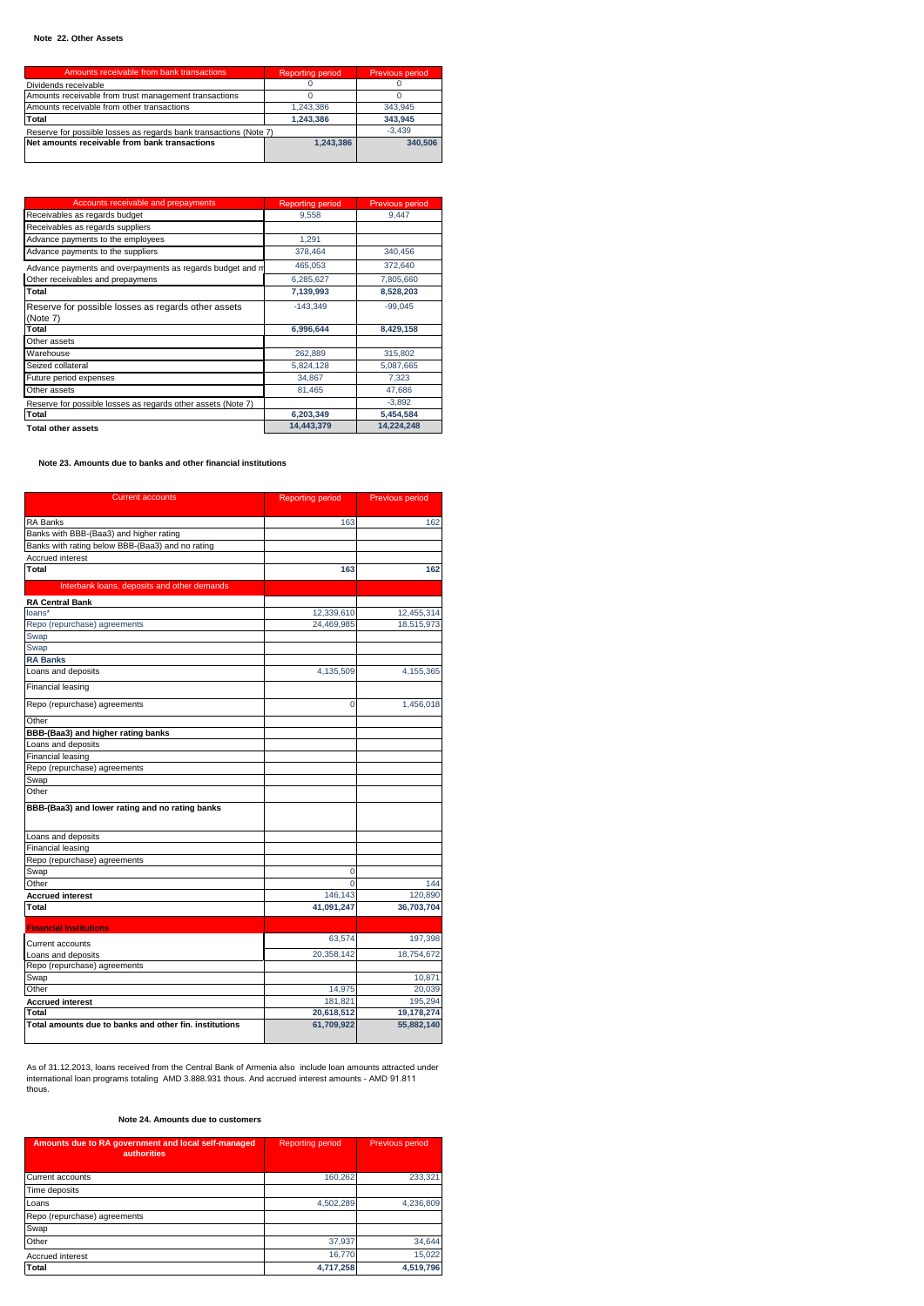| Amounts receivable from bank transactions                         | <b>Reporting period</b> | Previous period |
|-------------------------------------------------------------------|-------------------------|-----------------|
| Dividends receivable                                              |                         |                 |
| Amounts receivable from trust management transactions             |                         |                 |
| Amounts receivable from other transactions                        | 1.243.386               | 343.945         |
| Total                                                             | 1.243.386               | 343.945         |
| Reserve for possible losses as regards bank transactions (Note 7) |                         | $-3.439$        |
| Net amounts receivable from bank transactions                     | 1.243.386               | 340.506         |
|                                                                   |                         |                 |

| Accounts receivable and prepayments                             | <b>Reporting period</b> | Previous period |
|-----------------------------------------------------------------|-------------------------|-----------------|
| Receivables as regards budget                                   | 9,558                   | 9.447           |
| Receivables as regards suppliers                                |                         |                 |
| Advance payments to the employees                               | 1.291                   |                 |
| Advance payments to the suppliers                               | 378.464                 | 340.456         |
| Advance payments and overpayments as regards budget and m       | 465,053                 | 372,640         |
| Other receivables and prepaymens                                | 6,285,627               | 7,805,660       |
| Total                                                           | 7,139,993               | 8,528,203       |
| Reserve for possible losses as regards other assets<br>(Note 7) | $-143.349$              | $-99.045$       |
| Total                                                           | 6,996,644               | 8,429,158       |
| Other assets                                                    |                         |                 |
| Warehouse                                                       | 262,889                 | 315,802         |
| Seized collateral                                               | 5,824,128               | 5,087,665       |
| Future period expenses                                          | 34,867                  | 7,323           |
| Other assets                                                    | 81,465                  | 47.686          |
| Reserve for possible losses as regards other assets (Note 7)    |                         | $-3.892$        |
| Total                                                           | 6,203,349               | 5,454,584       |
| <b>Total other assets</b>                                       | 14.443.379              | 14.224.248      |

 **Note 23. Amounts due to banks and other financial institutions**

| <b>Current accounts</b>                                | <b>Reporting period</b> | Previous period |
|--------------------------------------------------------|-------------------------|-----------------|
| <b>RA Banks</b>                                        | 163                     | 162             |
| Banks with BBB-(Baa3) and higher rating                |                         |                 |
| Banks with rating below BBB-(Baa3) and no rating       |                         |                 |
| Accrued interest                                       |                         |                 |
| Total                                                  | 163                     | 162             |
| Interbank loans, deposits and other demands            |                         |                 |
| <b>RA Central Bank</b>                                 |                         |                 |
| loans*                                                 | 12,339,610              | 12,455,314      |
| Repo (repurchase) agreements                           | 24,469,985              | 18,515,973      |
| Swap                                                   |                         |                 |
| Swap                                                   |                         |                 |
| <b>RA Banks</b>                                        |                         |                 |
| Loans and deposits                                     | 4,135,509               | 4,155,365       |
| Financial leasing                                      |                         |                 |
| Repo (repurchase) agreements                           | $\mathbf 0$             | 1,456,018       |
| Other                                                  |                         |                 |
| BBB-(Baa3) and higher rating banks                     |                         |                 |
| Loans and deposits                                     |                         |                 |
| <b>Financial leasing</b>                               |                         |                 |
| Repo (repurchase) agreements                           |                         |                 |
| Swap                                                   |                         |                 |
| Other                                                  |                         |                 |
| BBB-(Baa3) and lower rating and no rating banks        |                         |                 |
| Loans and deposits                                     |                         |                 |
| Financial leasing                                      |                         |                 |
| Repo (repurchase) agreements                           |                         |                 |
| Swap                                                   | 0                       |                 |
| Other                                                  | $\Omega$                | 144             |
| <b>Accrued interest</b>                                | 146,143                 | 120,890         |
| Total                                                  | 41,091,247              | 36,703,704      |
| <b>Financial institutions</b>                          |                         |                 |
| Current accounts                                       | 63,574                  | 197,398         |
| Loans and deposits                                     | 20,358,142              | 18,754,672      |
| Repo (repurchase) agreements                           |                         |                 |
| Swap                                                   |                         | 10,871          |
| Other                                                  | 14,975                  | 20,039          |
| <b>Accrued interest</b>                                | 181.821                 | 195.294         |
| Total                                                  | 20,618,512              | 19,178,274      |
| Total amounts due to banks and other fin, institutions | 61,709,922              | 55,882,140      |

As of 31.12.2013, loans received from the Central Bank of Armenia also include loan amounts attracted under international loan programs totaling AMD 3.888.931 thous. And accrued interest amounts - AMD 91.811 thous.

# **Note 24. Amounts due to customers**

| Amounts due to RA government and local self-managed<br><b>authorities</b> | <b>Reporting period</b> | <b>Previous period</b> |
|---------------------------------------------------------------------------|-------------------------|------------------------|
| Current accounts                                                          | 160,262                 | 233,321                |
| Time deposits                                                             |                         |                        |
| Loans                                                                     | 4,502,289               | 4,236,809              |
| Repo (repurchase) agreements                                              |                         |                        |
| Swap                                                                      |                         |                        |
| Other                                                                     | 37.937                  | 34.644                 |
| Accrued interest                                                          | 16,770                  | 15,022                 |
| Total                                                                     | 4.717.258               | 4.519.796              |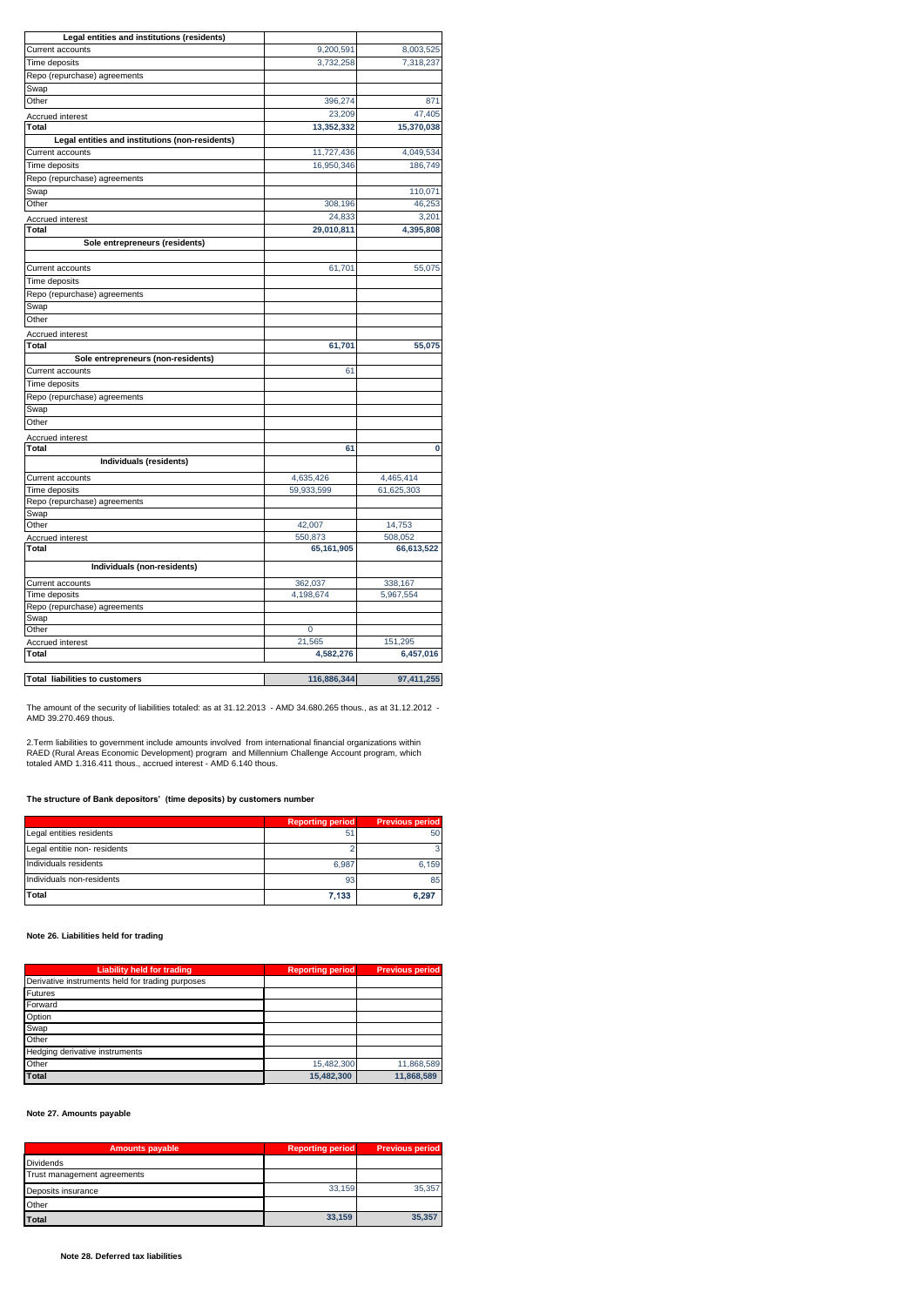| Legal entities and institutions (residents)     |                       |                   |
|-------------------------------------------------|-----------------------|-------------------|
| Current accounts                                | 9,200,591             | 8,003,525         |
| Time deposits                                   | 3,732,258             | 7,318,237         |
| Repo (repurchase) agreements                    |                       |                   |
| Swap                                            |                       |                   |
| Other                                           | 396,274               | 871               |
| Accrued interest                                | 23,209                | 47,405            |
| <b>Total</b>                                    | 13,352,332            | 15,370,038        |
| Legal entities and institutions (non-residents) |                       |                   |
| Current accounts                                | 11,727,436            | 4,049,534         |
| Time deposits                                   | 16,950,346            | 186,749           |
| Repo (repurchase) agreements                    |                       |                   |
| Swap                                            |                       | 110,071           |
| Other                                           | 308,196               | 46,253            |
| Accrued interest                                | 24,833                | 3,201             |
| Total                                           | 29,010,811            | 4,395,808         |
| Sole entrepreneurs (residents)                  |                       |                   |
|                                                 |                       |                   |
| Current accounts                                | 61,701                | 55,075            |
| Time deposits                                   |                       |                   |
| Repo (repurchase) agreements                    |                       |                   |
| Swap                                            |                       |                   |
| Other                                           |                       |                   |
| Accrued interest                                |                       |                   |
| Total                                           | 61,701                | 55,075            |
| Sole entrepreneurs (non-residents)              |                       |                   |
| Current accounts                                | 61                    |                   |
| Time deposits                                   |                       |                   |
| Repo (repurchase) agreements                    |                       |                   |
| Swap                                            |                       |                   |
| Other                                           |                       |                   |
| Accrued interest                                |                       |                   |
| Total                                           | 61                    | $\bf{0}$          |
| Individuals (residents)                         |                       |                   |
| Current accounts                                | 4,635,426             | 4,465,414         |
| Time deposits                                   | 59,933,599            | 61,625,303        |
| Repo (repurchase) agreements                    |                       |                   |
| Swap                                            |                       |                   |
| Other                                           | 42,007                | 14,753<br>508,052 |
| <b>Accrued interest</b><br>Total                | 550,873<br>65,161,905 | 66,613,522        |
|                                                 |                       |                   |
| Individuals (non-residents)                     |                       |                   |
| Current accounts                                | 362,037               | 338,167           |
| Time deposits                                   | 4,198,674             | 5,967,554         |
| Repo (repurchase) agreements                    |                       |                   |
| Swap                                            |                       |                   |
| Other                                           | 0                     |                   |
| Accrued interest<br><b>Total</b>                | 21,565                | 151,295           |
|                                                 | 4,582,276             | 6,457,016         |
| г                                               |                       |                   |

**Total liabilities to customers** 116,886,344 97,411,255

The amount of the security of liabilities totaled: as at 31.12.2013 - AMD 34.680.265 thous., as at 31.12.2012 - AMD 39.270.469 thous.

2.Term liabilities to government include amounts involved from international financial organizations within<br>RAED (Rural Areas Economic Development) program and Millennium Challenge Account program, which<br>totaled AMD 1.31

**The structure of Bank depositors' (time deposits) by customers number** 

|                              | <b>Reporting period</b> | <b>Previous period</b> |
|------------------------------|-------------------------|------------------------|
| Legal entities residents     | 51                      | 50                     |
| Legal entitie non- residents |                         |                        |
| Individuals residents        | 6.987                   | 6.159                  |
| Individuals non-residents    | 93                      | 85                     |
| Total                        | 7,133                   | 6.297                  |

# **Note 26. Liabilities held for trading**

| <b>Liability held for trading</b>                | <b>Reporting period</b> | <b>Previous period</b> |
|--------------------------------------------------|-------------------------|------------------------|
| Derivative instruments held for trading purposes |                         |                        |
| <b>Futures</b>                                   |                         |                        |
| Forward                                          |                         |                        |
| Option                                           |                         |                        |
| Swap                                             |                         |                        |
| Other                                            |                         |                        |
| Hedging derivative instruments                   |                         |                        |
| Other                                            | 15,482,300              | 11,868,589             |
| <b>Total</b>                                     | 15.482.300              | 11.868.589             |

**Note 27. Amounts payable**

| <b>Amounts payable</b>      | <b>Reporting period</b> | <b>Previous period</b> |
|-----------------------------|-------------------------|------------------------|
| <b>Dividends</b>            |                         |                        |
| Trust management agreements |                         |                        |
| Deposits insurance          | 33.159                  | 35.357                 |
| Other                       |                         |                        |
| <b>Total</b>                | 33.159                  | 35.357                 |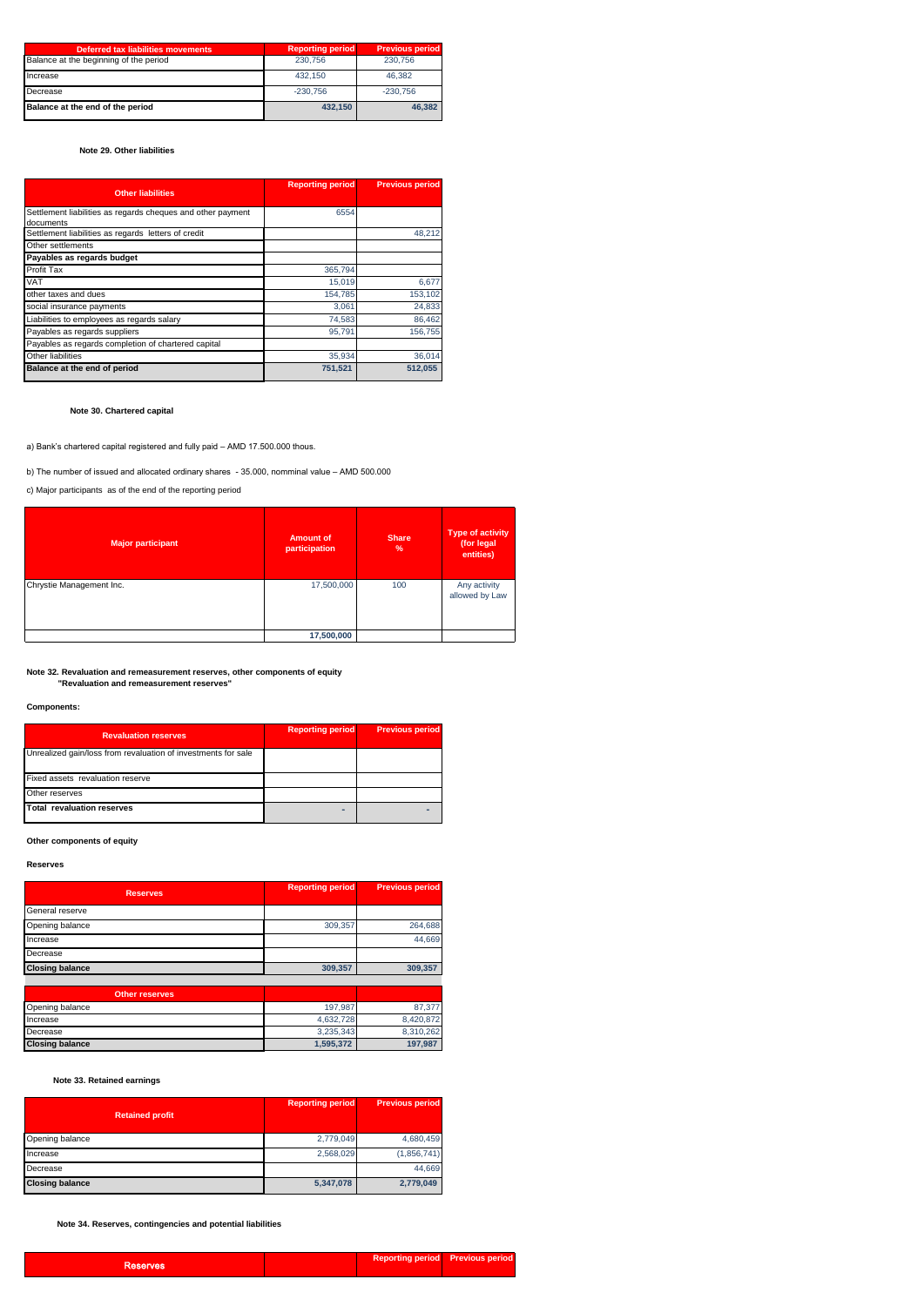| <b>Deferred tax liabilities movements</b> | <b>Reporting period</b> | <b>Previous period</b> |
|-------------------------------------------|-------------------------|------------------------|
| Balance at the beginning of the period    | 230,756                 | 230.756                |
| Increase                                  | 432.150                 | 46.382                 |
| Decrease                                  | $-230.756$              | $-230.756$             |
| Balance at the end of the period          | 432.150                 | 46.382                 |

### **Note 29. Other liabilities**

| <b>Other liabilities</b>                                                 | <b>Reporting period</b> | <b>Previous period</b> |
|--------------------------------------------------------------------------|-------------------------|------------------------|
| Settlement liabilities as regards cheques and other payment<br>documents | 6554                    |                        |
| Settlement liabilities as regards letters of credit                      |                         | 48,212                 |
| Other settlements                                                        |                         |                        |
| Payables as regards budget                                               |                         |                        |
| Profit Tax                                                               | 365,794                 |                        |
| VAT                                                                      | 15,019                  | 6,677                  |
| other taxes and dues                                                     | 154,785                 | 153,102                |
| social insurance payments                                                | 3,061                   | 24,833                 |
| Liabilities to employees as regards salary                               | 74,583                  | 86,462                 |
| Payables as regards suppliers                                            | 95.791                  | 156.755                |
| Payables as regards completion of chartered capital                      |                         |                        |
| Other liabilities                                                        | 35,934                  | 36,014                 |
| Balance at the end of period                                             | 751,521                 | 512,055                |

 **Note 30. Chartered capital**

a) Bank's chartered capital registered and fully paid – AMD 17.500.000 thous.

b) The number of issued and allocated ordinary shares - 35.000, nomminal value – AMD 500.000

c) Major participants as of the end of the reporting period

| <b>Major participant</b> | <b>Amount of</b><br>participation | <b>Share</b><br>$\frac{9}{6}$ | Type of activity<br>(for legal<br>entities) |
|--------------------------|-----------------------------------|-------------------------------|---------------------------------------------|
| Chrystie Management Inc. | 17,500,000                        | 100                           | Any activity<br>allowed by Law              |
|                          | 17,500,000                        |                               |                                             |

**Note 32. Revaluation and remeasurement reserves, other components of equity "Revaluation and remeasurement reserves"**

#### **Components:**

| <b>Revaluation reserves</b>                                   | <b>Reporting period</b> | <b>Previous period</b> |
|---------------------------------------------------------------|-------------------------|------------------------|
| Unrealized gain/loss from revaluation of investments for sale |                         |                        |
| Fixed assets revaluation reserve                              |                         |                        |
| Other reserves                                                |                         |                        |
| <b>Total revaluation reserves</b>                             |                         |                        |

**Other components of equity**

#### **Reserves**

| <b>Reserves</b>        | <b>Reporting period</b> | <b>Previous period</b> |
|------------------------|-------------------------|------------------------|
| General reserve        |                         |                        |
| Opening balance        | 309.357                 | 264.688                |
| Increase               |                         | 44.669                 |
| Decrease               |                         |                        |
| <b>Closing balance</b> | 309,357                 | 309,357                |
|                        |                         |                        |

| <b>Other reserves</b>  |           |           |
|------------------------|-----------|-----------|
| Opening balance        | 197.987   | 87.377    |
| Increase               | 4.632.728 | 8.420.872 |
| Decrease               | 3.235.343 | 8.310.262 |
| <b>Closing balance</b> | 1.595.372 | 197.987   |

# **Note 33. Retained earnings**

| <b>Retained profit</b> | <b>Reporting period</b> | <b>Previous period</b> |
|------------------------|-------------------------|------------------------|
| Opening balance        | 2,779,049               | 4,680,459              |
| Increase               | 2,568,029               | (1,856,741)            |
| Decrease               |                         | 44,669                 |
| <b>Closing balance</b> | 5,347,078               | 2,779,049              |

**Note 34. Reserves, contingencies and potential liabilities**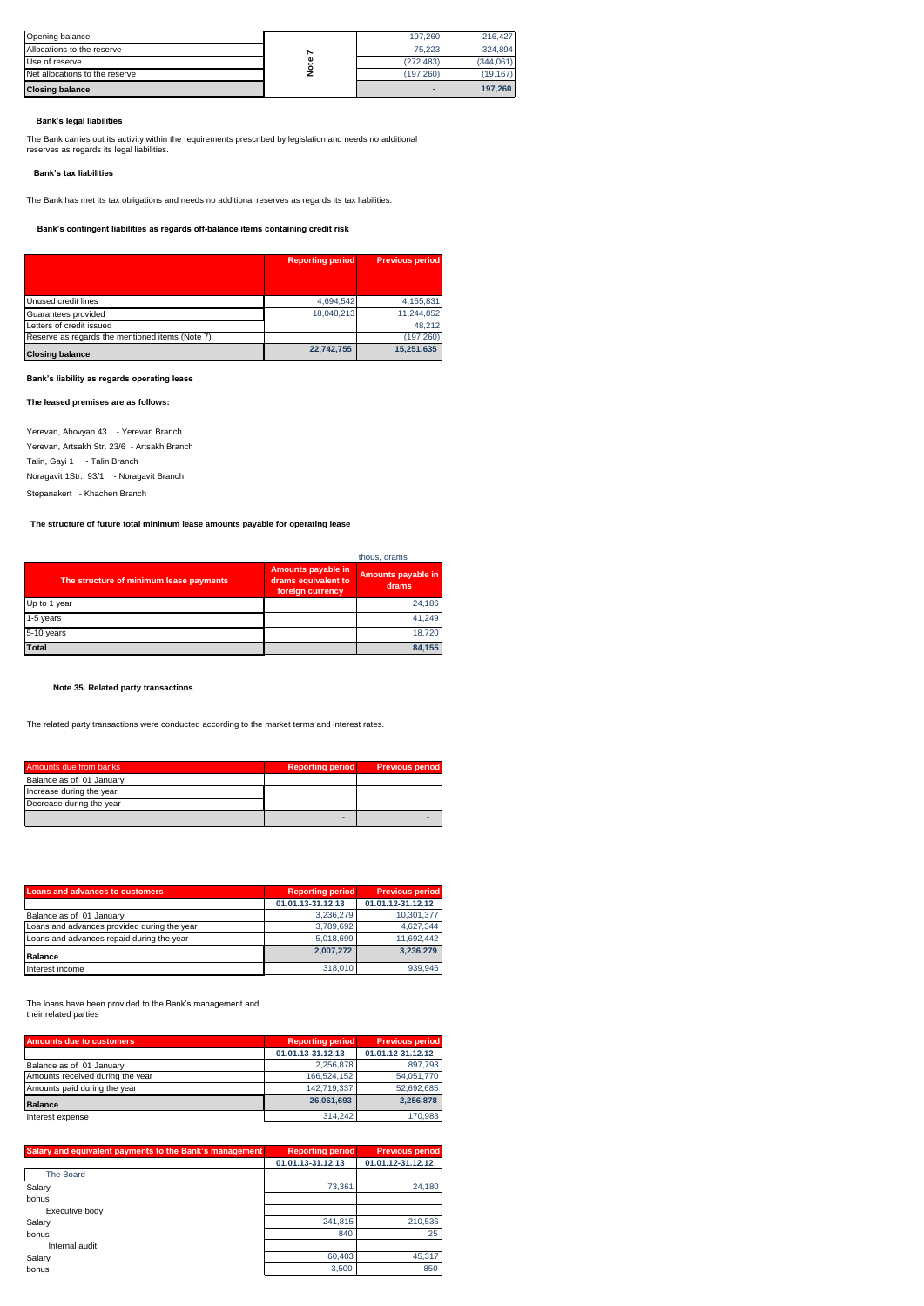| Opening balance                                                                                                                                           |      | 197,260    | 216,427    |
|-----------------------------------------------------------------------------------------------------------------------------------------------------------|------|------------|------------|
| Allocations to the reserve                                                                                                                                | r    | 75,223     | 324,894    |
| Use of reserve                                                                                                                                            | Note | (272, 483) | (344, 061) |
| Net allocations to the reserve                                                                                                                            |      | (197, 260) | (19, 167)  |
| <b>Closing balance</b>                                                                                                                                    |      | ۰          | 197,260    |
| The Bank carries out its activity within the requirements prescribed by legislation and needs no additional<br>reserves as regards its legal liabilities. |      |            |            |
|                                                                                                                                                           |      |            |            |
| Bank's tax liabilities                                                                                                                                    |      |            |            |
| The Bank has met its tax obligations and needs no additional reserves as regards its tax liabilities.                                                     |      |            |            |
| Bank's contingent liabilities as regards off-balance items containing credit risk                                                                         |      |            |            |

### **Bank's legal liabilities**

### **Bank's tax liabilities**

|                                                 | <b>Reporting period</b> | <b>Previous period</b> |
|-------------------------------------------------|-------------------------|------------------------|
|                                                 |                         |                        |
| Unused credit lines                             | 4,694,542               | 4,155,831              |
| Guarantees provided                             | 18.048.213              | 11,244,852             |
| Letters of credit issued                        |                         | 48.212                 |
| Reserve as regards the mentioned items (Note 7) |                         | (197, 260)             |
| <b>Closing balance</b>                          | 22,742,755              | 15,251,635             |

### **Bank's liability as regards operating lease**

**The leased premises are as follows:** 

Yerevan, Abovyan 43 - Yerevan Branch Yerevan, Artsakh Str. 23/6 - Artsakh Branch Talin, Gayi 1 - Talin Branch Noragavit 1Str., 93/1 - Noragavit Branch Stepanakert - Khachen Branch

**The structure of future total minimum lease amounts payable for operating lease** 

|                                         |                                                               | thous, drams                |
|-----------------------------------------|---------------------------------------------------------------|-----------------------------|
| The structure of minimum lease payments | Amounts payable in<br>drams equivalent to<br>foreign currency | Amounts payable in<br>drams |
| Up to 1 year                            |                                                               | 24.186                      |
| 1-5 years                               |                                                               | 41,249                      |
| 5-10 years                              |                                                               | 18,720                      |
| <b>Total</b>                            |                                                               | 84.155                      |

# **Note 35. Related party transactions**

The related party transactions were conducted according to the market terms and interest rates.

| Amounts due from banks   | <b>Reporting period</b> | <b>Previous period</b> |
|--------------------------|-------------------------|------------------------|
| Balance as of 01 January |                         |                        |
| Increase during the year |                         |                        |
| Decrease during the year |                         |                        |
|                          |                         |                        |

| Loans and advances to customers             | <b>Reporting period</b> | <b>Previous period</b> |
|---------------------------------------------|-------------------------|------------------------|
|                                             | 01.01.13-31.12.13       | 01.01.12-31.12.12      |
| Balance as of 01 January                    | 3.236.279               | 10,301,377             |
| Loans and advances provided during the year | 3.789.692               | 4,627,344              |
| Loans and advances repaid during the year   | 5.018.699               | 11,692,442             |
| <b>Balance</b>                              | 2.007.272               | 3.236.279              |
| Interest income                             | 318,010                 | 939.946                |

The loans have been provided to the Bank's management and their related parties

| <b>Amounts due to customers</b>  | <b>Reporting period</b> | <b>Previous period</b> |
|----------------------------------|-------------------------|------------------------|
|                                  | 01.01.13-31.12.13       | 01.01.12-31.12.12      |
| Balance as of 01 January         | 2.256.878               | 897,793                |
| Amounts received during the year | 166,524,152             | 54,051,770             |
| Amounts paid during the year     | 142.719.337             | 52,692,685             |
| <b>Balance</b>                   | 26.061.693              | 2.256.878              |
| Interest expense                 | 314.242                 | 170,983                |
|                                  |                         |                        |

| Salary and equivalent payments to the Bank's management | <b>Reporting period</b> | <b>Previous period</b> |
|---------------------------------------------------------|-------------------------|------------------------|
|                                                         | 01.01.13-31.12.13       | 01.01.12-31.12.12      |
| <b>The Board</b>                                        |                         |                        |
| Salary                                                  | 73.361                  | 24.180                 |
| bonus                                                   |                         |                        |
| Executive body                                          |                         |                        |
| Salary                                                  | 241,815                 | 210,536                |
| bonus                                                   | 840                     | 25                     |
| Internal audit                                          |                         |                        |
| Salary                                                  | 60,403                  | 45,317                 |
| bonus                                                   | 3,500                   | 850                    |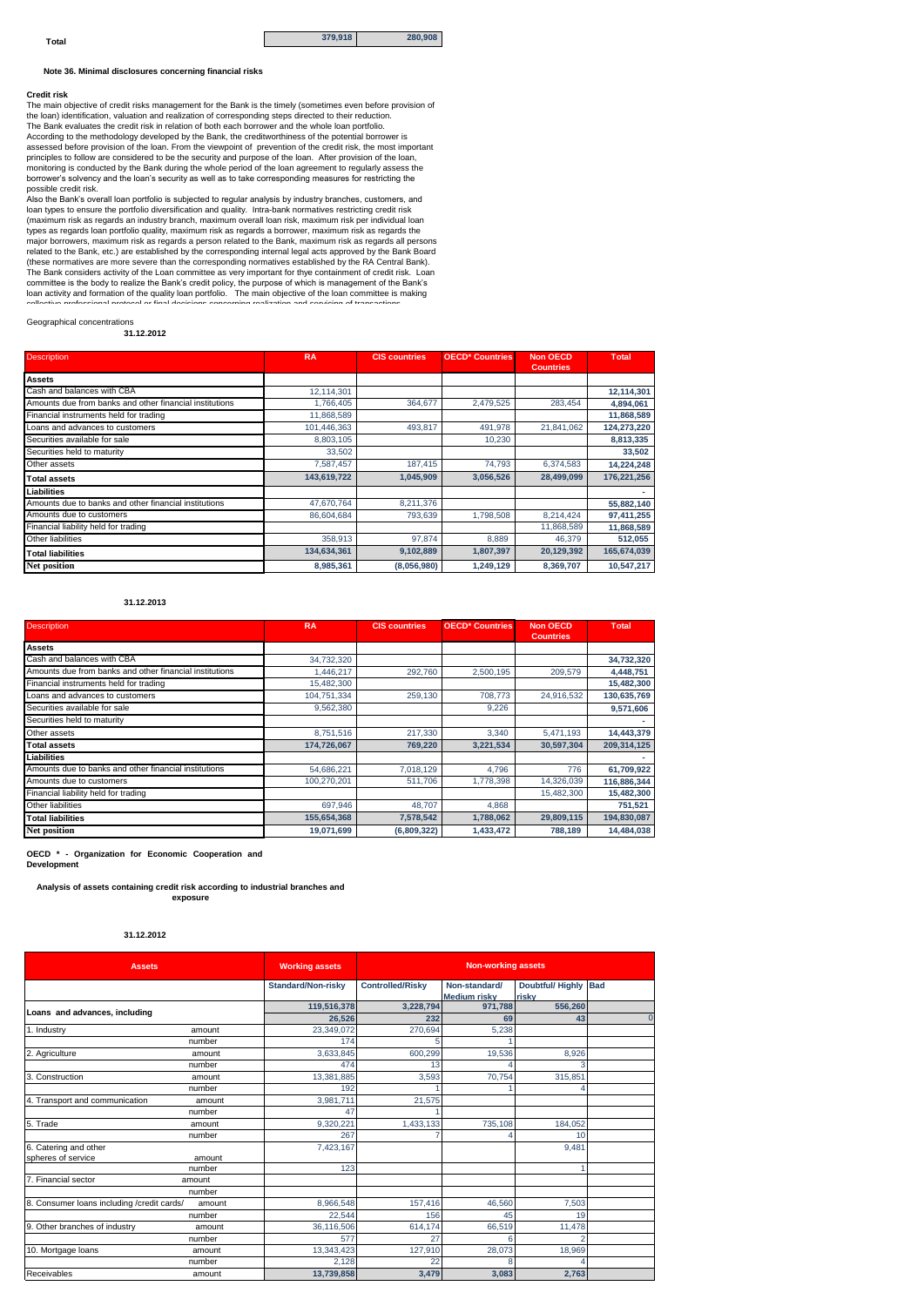**Note 36. Minimal disclosures concerning financial risks** 

#### **Credit risk**

The main objective of credit risks management for the Bank is the timely (sometimes even before provision of the loan) identification, valuation and realization of corresponding steps directed to their reduction. The Bank evaluates the credit risk in relation of both each borrower and the whole loan portfolio. According to the methodology developed by the Bank, the creditworthiness of the potential borrower is assessed before provision of the loan. From the viewpoint of prevention of the credit risk, the most important principles to follow are considered to be the security and purpose of the loan. After provision of the loan, monitoring is conducted by the Bank during the whole period of the loan agreement to regularly assess the borrower's solvency and the loan's security as well as to take corresponding measures for restricting the possible credit risk.

Also the Bank's overall loan portfolio is subjected to regular analysis by industry branches, customers, and<br>loan types to ensure the portfolio diversification and quality. Intra-bank normatives restricting credit risk<br>(ma major borrowers, maximum risk as regards a person related to the Bank, maximum risk as regards all persons<br>related to the Bank, etc.) are established by the corresponding internal legal acts approved by the Bank Board<br>(the The Bank considers activity of the Loan committee as very important for thye containment of credit risk. Loan<br>committee is the body to realize the Bank's credit policy, the purpose of which is management of the Bank's<br>loa

# Geographical concentrations

**31.12.2012**

| <b>Description</b>                                      | <b>RA</b>   | <b>CIS countries</b> | <b>OECD* Countries</b> | <b>Non OECD</b><br><b>Countries</b> | <b>Total</b> |
|---------------------------------------------------------|-------------|----------------------|------------------------|-------------------------------------|--------------|
| <b>Assets</b>                                           |             |                      |                        |                                     |              |
| Cash and balances with CBA                              | 12,114,301  |                      |                        |                                     | 12,114,301   |
| Amounts due from banks and other financial institutions | 1,766,405   | 364,677              | 2,479,525              | 283,454                             | 4,894,061    |
| Financial instruments held for trading                  | 11,868,589  |                      |                        |                                     | 11,868,589   |
| Loans and advances to customers                         | 101,446,363 | 493,817              | 491,978                | 21,841,062                          | 124,273,220  |
| Securities available for sale                           | 8,803,105   |                      | 10,230                 |                                     | 8,813,335    |
| Securities held to maturity                             | 33,502      |                      |                        |                                     | 33,502       |
| Other assets                                            | 7,587,457   | 187,415              | 74,793                 | 6,374,583                           | 14,224,248   |
| <b>Total assets</b>                                     | 143,619,722 | 1.045.909            | 3,056,526              | 28.499.099                          | 176,221,256  |
| Liabilities                                             |             |                      |                        |                                     |              |
| Amounts due to banks and other financial institutions   | 47,670,764  | 8,211,376            |                        |                                     | 55,882,140   |
| Amounts due to customers                                | 86,604,684  | 793,639              | 1,798,508              | 8,214,424                           | 97,411,255   |
| Financial liability held for trading                    |             |                      |                        | 11,868,589                          | 11,868,589   |
| Other liabilities                                       | 358.913     | 97.874               | 8.889                  | 46,379                              | 512,055      |
| <b>Total liabilities</b>                                | 134,634,361 | 9,102,889            | 1,807,397              | 20,129,392                          | 165,674,039  |
| <b>Net position</b>                                     | 8,985,361   | (8,056,980)          | 1,249,129              | 8,369,707                           | 10,547,217   |

#### **31.12.2013**

| <b>Description</b>                                      | <b>RA</b>   | <b>CIS countries</b> | <b>OECD* Countries</b> | <b>Non OECD</b><br><b>Countries</b> | <b>Total</b> |
|---------------------------------------------------------|-------------|----------------------|------------------------|-------------------------------------|--------------|
| <b>Assets</b>                                           |             |                      |                        |                                     |              |
| Cash and balances with CBA                              | 34,732,320  |                      |                        |                                     | 34,732,320   |
| Amounts due from banks and other financial institutions | 1,446,217   | 292,760              | 2,500,195              | 209,579                             | 4,448,751    |
| Financial instruments held for trading                  | 15,482,300  |                      |                        |                                     | 15,482,300   |
| Loans and advances to customers                         | 104,751,334 | 259,130              | 708,773                | 24,916,532                          | 130,635,769  |
| Securities available for sale                           | 9,562,380   |                      | 9,226                  |                                     | 9,571,606    |
| Securities held to maturity                             |             |                      |                        |                                     |              |
| Other assets                                            | 8,751,516   | 217,330              | 3,340                  | 5,471,193                           | 14,443,379   |
| <b>Total assets</b>                                     | 174,726,067 | 769.220              | 3,221,534              | 30,597,304                          | 209.314.125  |
| Liabilities                                             |             |                      |                        |                                     |              |
| Amounts due to banks and other financial institutions   | 54,686,221  | 7,018,129            | 4,796                  | 776                                 | 61,709,922   |
| Amounts due to customers                                | 100,270,201 | 511.706              | 1,778,398              | 14,326,039                          | 116,886,344  |
| Financial liability held for trading                    |             |                      |                        | 15,482,300                          | 15,482,300   |
| Other liabilities                                       | 697,946     | 48,707               | 4,868                  |                                     | 751,521      |
| <b>Total liabilities</b>                                | 155,654,368 | 7,578,542            | 1,788,062              | 29,809,115                          | 194,830,087  |
| <b>Net position</b>                                     | 19,071,699  | (6,809,322)          | 1,433,472              | 788,189                             | 14,484,038   |

**OECD \* - Organization for Economic Cooperation and**

**Development** 

**Analysis of assets containing credit risk according to industrial branches and exposure** 

### **31.12.2012**

| <b>Assets</b>                              |        | <b>Working assets</b> | <b>Non-working assets</b> |                                      |                                  |                |  |
|--------------------------------------------|--------|-----------------------|---------------------------|--------------------------------------|----------------------------------|----------------|--|
|                                            |        | Standard/Non-risky    | <b>Controlled/Risky</b>   | Non-standard/<br><b>Medium risky</b> | <b>Doubtful/ Highly</b><br>riskv | <b>Bad</b>     |  |
| Loans and advances, including              |        | 119,516,378           | 3.228.794                 | 971.788                              | 556,260                          |                |  |
|                                            |        | 26.526                | 232                       | 69                                   | 43                               | $\overline{0}$ |  |
| 1. Industry                                | amount | 23,349,072            | 270.694                   | 5,238                                |                                  |                |  |
|                                            | number | 174                   |                           |                                      |                                  |                |  |
| 2. Agriculture                             | amount | 3,633,845             | 600.299                   | 19,536                               | 8.926                            |                |  |
|                                            | number | 474                   | 13                        |                                      |                                  |                |  |
| 3. Construction                            | amount | 13,381,885            | 3,593                     | 70,754                               | 315,851                          |                |  |
|                                            | number | 192                   |                           |                                      |                                  |                |  |
| 4. Transport and communication             | amount | 3,981,711             | 21.575                    |                                      |                                  |                |  |
|                                            | number | 47                    |                           |                                      |                                  |                |  |
| 5. Trade                                   | amount | 9,320,22              | 1,433,133                 | 735,108                              | 184,052                          |                |  |
|                                            | number | 267                   |                           |                                      | 10                               |                |  |
| 6. Catering and other                      |        | 7,423,167             |                           |                                      | 9,481                            |                |  |
| spheres of service                         | amount |                       |                           |                                      |                                  |                |  |
|                                            | number | 123                   |                           |                                      |                                  |                |  |
| 7. Financial sector                        | amount |                       |                           |                                      |                                  |                |  |
|                                            | number |                       |                           |                                      |                                  |                |  |
| 8. Consumer loans including /credit cards/ | amount | 8,966,548             | 157,416                   | 46,560                               | 7,503                            |                |  |
|                                            | number | 22.544                | 156                       | 45                                   | 19                               |                |  |
| 9. Other branches of industry              | amount | 36,116,506            | 614,174                   | 66,519                               | 11,478                           |                |  |
|                                            | number | 577                   | 27                        | 6                                    | 2                                |                |  |
| 10. Mortgage loans                         | amount | 13,343,423            | 127,910                   | 28.073                               | 18,969                           |                |  |
|                                            | number | 2.128                 | 22                        |                                      |                                  |                |  |
| Receivables                                | amount | 13,739,858            | 3,479                     | 3,083                                | 2,763                            |                |  |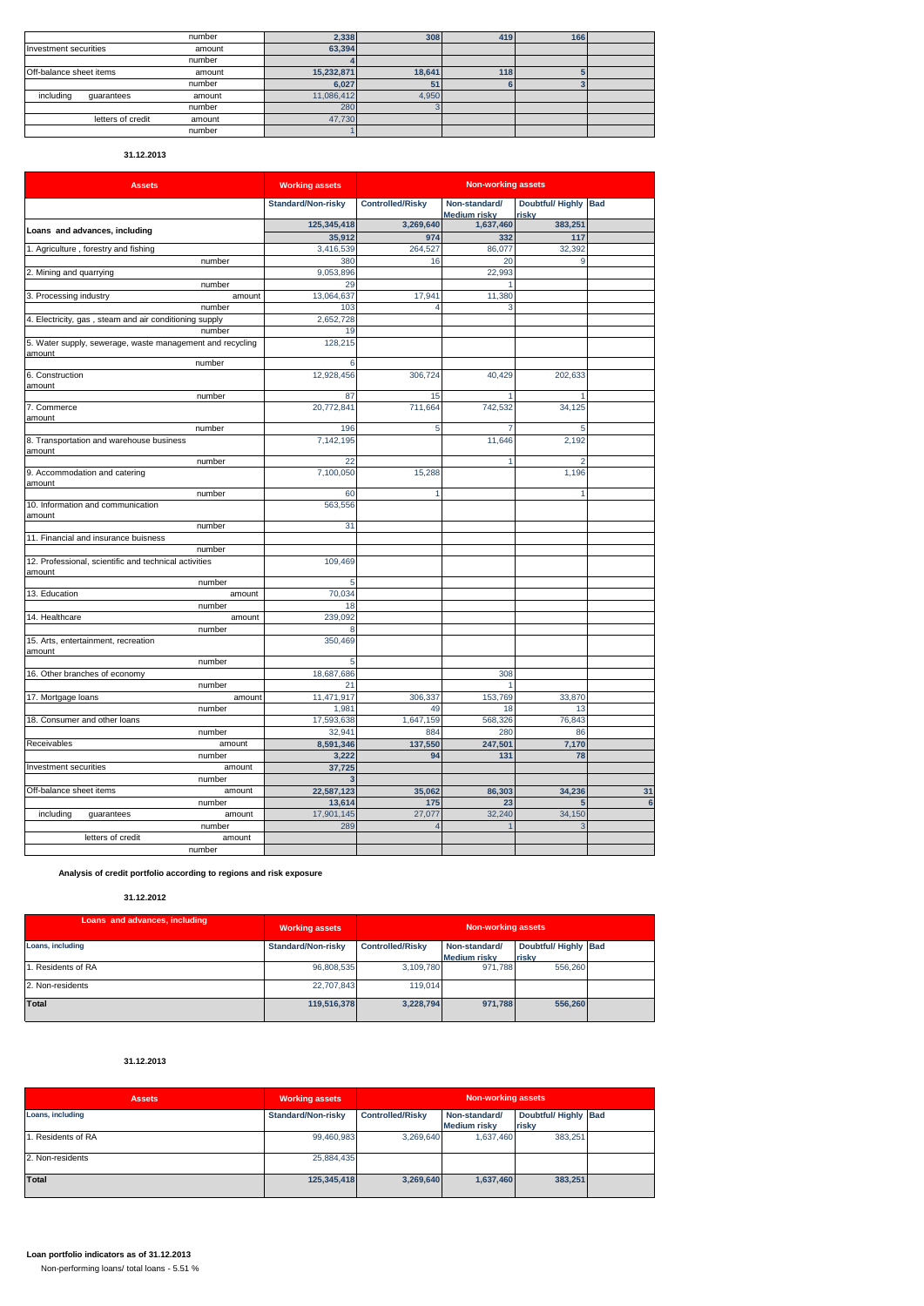|                         | number | 2,338      | 308    | 419 | 166 |  |
|-------------------------|--------|------------|--------|-----|-----|--|
| Investment securities   | amount | 63,394     |        |     |     |  |
|                         | number |            |        |     |     |  |
| Off-balance sheet items | amount | 15,232,871 | 18.641 | 118 |     |  |
|                         | number | 6,027      | 51     |     |     |  |
| including<br>quarantees | amount | 11,086,412 | 4,950  |     |     |  |
|                         | number | 280        |        |     |     |  |
| letters of credit       | amount | 47,730     |        |     |     |  |
|                         | number |            |        |     |     |  |

# **31.12.2013**

| <b>Assets</b>                                                       | <b>Working assets</b> | <b>Non-working assets</b> |                                      |                               |                |  |
|---------------------------------------------------------------------|-----------------------|---------------------------|--------------------------------------|-------------------------------|----------------|--|
|                                                                     | Standard/Non-risky    | <b>Controlled/Risky</b>   | Non-standard/<br><b>Medium risky</b> | Doubtful/ Highly Bad<br>risky |                |  |
|                                                                     | 125,345,418           | 3,269,640                 | 1,637,460                            | 383,251                       |                |  |
| Loans and advances, including                                       | 35,912                | 974                       | 332                                  | 117                           |                |  |
| 1. Agriculture, forestry and fishing                                | 3,416,539             | 264,527                   | 86,077                               | 32,392                        |                |  |
| number                                                              | 380                   | 16                        | 20                                   | 9                             |                |  |
| 2. Mining and quarrying                                             | 9,053,896             |                           | 22,993                               |                               |                |  |
| number                                                              | 29                    |                           |                                      |                               |                |  |
| 3. Processing industry<br>amount                                    | 13,064,637            | 17,941                    | 11,380                               |                               |                |  |
| number                                                              | 103                   |                           | 3                                    |                               |                |  |
| 4. Electricity, gas, steam and air conditioning supply              | 2,652,728             |                           |                                      |                               |                |  |
| number                                                              | 19                    |                           |                                      |                               |                |  |
| 5. Water supply, sewerage, waste management and recycling<br>amount | 128,215               |                           |                                      |                               |                |  |
| number                                                              | 6                     |                           |                                      |                               |                |  |
| 6. Construction<br>amount                                           | 12,928,456            | 306,724                   | 40,429                               | 202,633                       |                |  |
| number                                                              | 87                    | 15                        |                                      |                               |                |  |
| 7. Commerce<br>amount                                               | 20,772,841            | 711.664                   | 742.532                              | 34.125                        |                |  |
| number                                                              | 196                   | 5                         |                                      | 5                             |                |  |
| 8. Transportation and warehouse business<br>amount                  | 7,142,195             |                           | 11,646                               | 2,192                         |                |  |
| number                                                              | 22                    |                           | 1                                    |                               |                |  |
| 9. Accommodation and catering<br>amount                             | 7,100,050             | 15,288                    |                                      | 1,196                         |                |  |
| number                                                              | 60                    | 1                         |                                      | 1                             |                |  |
| 10. Information and communication<br>amount                         | 563,556               |                           |                                      |                               |                |  |
| number                                                              | 31                    |                           |                                      |                               |                |  |
| 11. Financial and insurance buisness                                |                       |                           |                                      |                               |                |  |
| number                                                              |                       |                           |                                      |                               |                |  |
| 12. Professional, scientific and technical activities<br>amount     | 109,469               |                           |                                      |                               |                |  |
| number                                                              | 5                     |                           |                                      |                               |                |  |
| 13. Education<br>amount                                             | 70,034                |                           |                                      |                               |                |  |
| number                                                              | 18                    |                           |                                      |                               |                |  |
| 14. Healthcare<br>amount                                            | 239,092               |                           |                                      |                               |                |  |
| number                                                              | 8                     |                           |                                      |                               |                |  |
| 15. Arts, entertainment, recreation<br>amount                       | 350.469               |                           |                                      |                               |                |  |
| number                                                              | 5                     |                           |                                      |                               |                |  |
| 16. Other branches of economy                                       | 18,687,686            |                           | 308                                  |                               |                |  |
| number                                                              | 21                    |                           |                                      |                               |                |  |
| 17. Mortgage loans<br>amount                                        | 11,471,917<br>1,981   | 306,337<br>49             | 153,769<br>18                        | 33,870<br>13                  |                |  |
| number                                                              | 17,593,638            | 1,647,159                 | 568,326                              | 76,843                        |                |  |
| 18. Consumer and other loans<br>number                              | 32,941                | 884                       | 280                                  | 86                            |                |  |
| Receivables<br>amount                                               | 8,591,346             | 137,550                   | 247,501                              | 7,170                         |                |  |
| number                                                              | 3,222                 | 94                        | 131                                  | 78                            |                |  |
| Investment securities<br>amount                                     | 37,725                |                           |                                      |                               |                |  |
| number                                                              | 3                     |                           |                                      |                               |                |  |
| Off-balance sheet items<br>amount                                   | 22,587,123            | 35,062                    | 86,303                               | 34,236                        | 31             |  |
| number                                                              | 13,614                | 175                       | 23                                   | 5                             | $6\phantom{a}$ |  |
| including<br>guarantees<br>amount                                   | 17,901,145            | 27,077                    | 32,240                               | 34,150                        |                |  |
| number                                                              | 289                   | $\overline{4}$            |                                      | 3                             |                |  |
| letters of credit<br>amount                                         |                       |                           |                                      |                               |                |  |
| number                                                              |                       |                           |                                      |                               |                |  |
|                                                                     |                       |                           |                                      |                               |                |  |

# **Analysis of credit portfolio according to regions and risk exposure**

# **31.12.2012**

| Loans and advances, including | <b>Working assets</b>     | <b>Non-working assets</b> |                     |                      |  |  |
|-------------------------------|---------------------------|---------------------------|---------------------|----------------------|--|--|
| Loans, including              | <b>Standard/Non-risky</b> | <b>Controlled/Risky</b>   | Non-standard/       | Doubtful/ Highly Bad |  |  |
|                               |                           |                           | <b>Medium risky</b> | riskv                |  |  |
| L. Residents of RA            | 96.808.535                | 3.109.780                 | 971.788             | 556,260              |  |  |
| 2. Non-residents              | 22,707,843                | 119,014                   |                     |                      |  |  |
| Total                         | 119.516.378               | 3.228.794                 | 971.788             | 556.260              |  |  |

# **31.12.2013**

| <b>Assets</b>      | <b>Working assets</b> | <b>Non-working assets</b> |                     |                      |  |  |
|--------------------|-----------------------|---------------------------|---------------------|----------------------|--|--|
| Loans, including   | Standard/Non-risky    | <b>Controlled/Risky</b>   | Non-standard/       | Doubtful/ Highly Bad |  |  |
|                    |                       |                           | <b>Medium risky</b> | risky                |  |  |
| 1. Residents of RA | 99,460,983            | 3.269.640                 | 1,637,460           | 383,251              |  |  |
| 2. Non-residents   | 25,884,435            |                           |                     |                      |  |  |
| Total              | 125,345,418           | 3,269,640                 | 1,637,460           | 383,251              |  |  |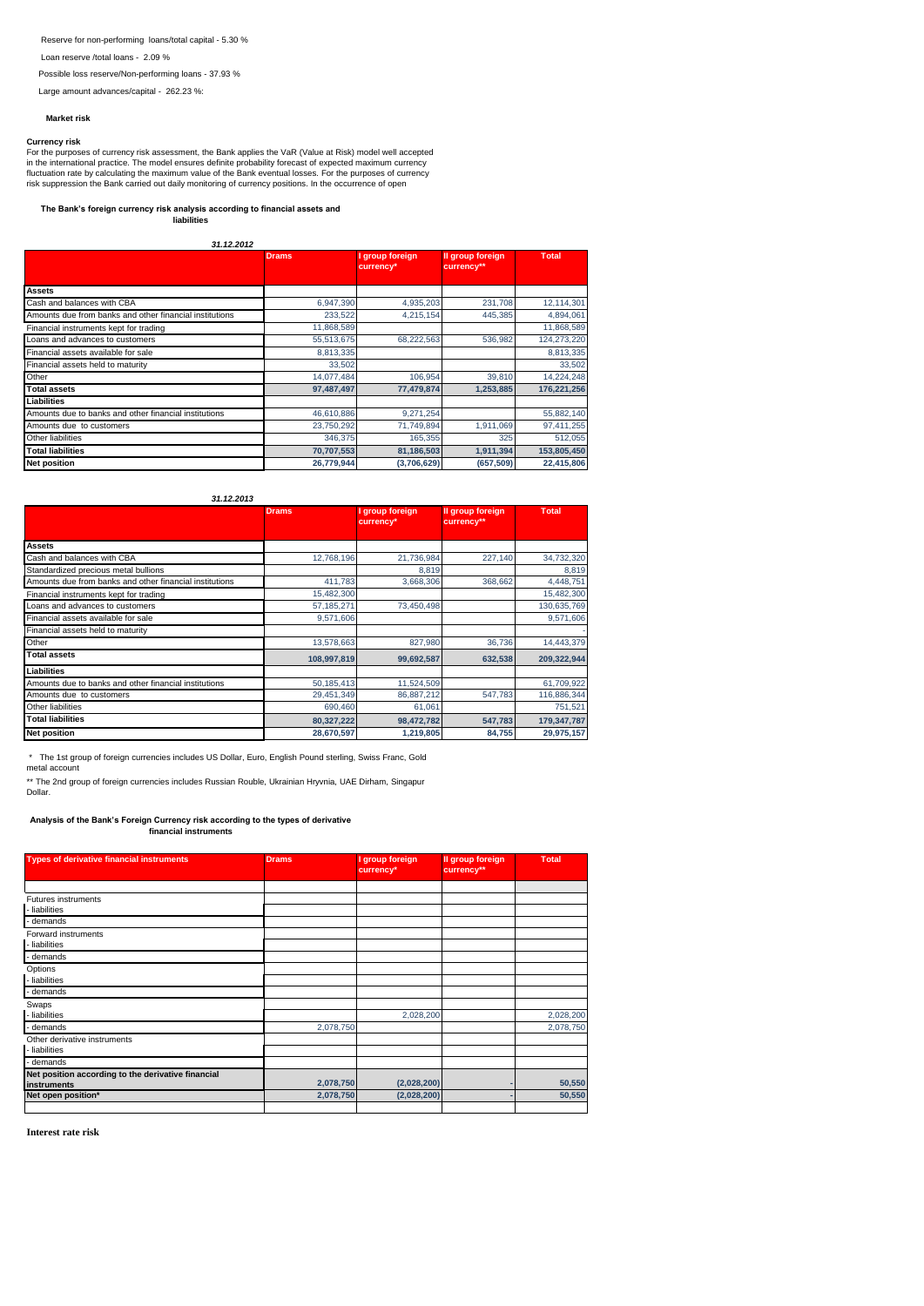Reserve for non-performing loans/total capital - 5.30 %

Loan reserve /total loans - 2.09 %

Possible loss reserve/Non-performing loans - 37.93 %

Large amount advances/capital - 262.23 %:

### **Market risk**

Currency risk<br>For the purposes of currency risk assessment, the Bank applies the VaR (Value at Risk) model well accepted<br>in the international practice. The model ensures definite probability forecast of expected maximum cu

# **The Bank's foreign currency risk analysis according to financial assets and liabilities**

### *31.12.2012*

|                                                         | <b>Drams</b> | I group foreign<br>currency* | Il group foreign<br>currency** | <b>Total</b> |
|---------------------------------------------------------|--------------|------------------------------|--------------------------------|--------------|
|                                                         |              |                              |                                |              |
| <b>Assets</b>                                           |              |                              |                                |              |
| Cash and balances with CBA                              | 6,947,390    | 4,935,203                    | 231,708                        | 12,114,301   |
| Amounts due from banks and other financial institutions | 233,522      | 4,215,154                    | 445.385                        | 4,894,061    |
| Financial instruments kept for trading                  | 11.868.589   |                              |                                | 11,868,589   |
| Loans and advances to customers                         | 55,513,675   | 68,222,563                   | 536.982                        | 124,273,220  |
| Financial assets available for sale                     | 8,813,335    |                              |                                | 8,813,335    |
| Financial assets held to maturity                       | 33.502       |                              |                                | 33,502       |
| Other                                                   | 14,077,484   | 106,954                      | 39,810                         | 14,224,248   |
| <b>Total assets</b>                                     | 97,487,497   | 77,479,874                   | 1,253,885                      | 176,221,256  |
| Liabilities                                             |              |                              |                                |              |
| Amounts due to banks and other financial institutions   | 46,610,886   | 9,271,254                    |                                | 55,882,140   |
| Amounts due to customers                                | 23,750,292   | 71,749,894                   | 1,911,069                      | 97,411,255   |
| Other liabilities                                       | 346,375      | 165,355                      | 325                            | 512,055      |
| <b>Total liabilities</b>                                | 70,707,553   | 81,186,503                   | 1,911,394                      | 153,805,450  |
| <b>Net position</b>                                     | 26,779,944   | (3,706,629)                  | (657, 509)                     | 22,415,806   |

### *31.12.2013*

|                                                         | <b>Drams</b> | group foreign<br>currency* | Il group foreign<br>currency** | <b>Total</b> |
|---------------------------------------------------------|--------------|----------------------------|--------------------------------|--------------|
|                                                         |              |                            |                                |              |
| <b>Assets</b>                                           |              |                            |                                |              |
| Cash and balances with CBA                              | 12,768,196   | 21,736,984                 | 227,140                        | 34,732,320   |
| Standardized precious metal bullions                    |              | 8,819                      |                                | 8,819        |
| Amounts due from banks and other financial institutions | 411,783      | 3,668,306                  | 368,662                        | 4,448,751    |
| Financial instruments kept for trading                  | 15,482,300   |                            |                                | 15,482,300   |
| Loans and advances to customers                         | 57, 185, 271 | 73.450.498                 |                                | 130,635,769  |
| Financial assets available for sale                     | 9,571,606    |                            |                                | 9,571,606    |
| Financial assets held to maturity                       |              |                            |                                |              |
| Other                                                   | 13,578,663   | 827,980                    | 36,736                         | 14,443,379   |
| <b>Total assets</b>                                     | 108,997,819  | 99,692,587                 | 632,538                        | 209,322,944  |
| Liabilities                                             |              |                            |                                |              |
| Amounts due to banks and other financial institutions   | 50,185,413   | 11,524,509                 |                                | 61,709,922   |
| Amounts due to customers                                | 29,451,349   | 86,887,212                 | 547,783                        | 116,886,344  |
| Other liabilities                                       | 690,460      | 61,061                     |                                | 751,521      |
| <b>Total liabilities</b>                                | 80,327,222   | 98,472,782                 | 547,783                        | 179,347,787  |
| <b>Net position</b>                                     | 28,670,597   | 1,219,805                  | 84,755                         | 29,975,157   |

 \* The 1st group of foreign currencies includes US Dollar, Euro, English Pound sterling, Swiss Franc, Gold metal account

\*\* The 2nd group of foreign currencies includes Russian Rouble, Ukrainian Hryvnia, UAE Dirham, Singapur Dollar.

**Analysis of the Bank's Foreign Currency risk according to the types of derivative financial instruments**

| <b>Types of derivative financial instruments</b>   | Drams,    | I group foreign<br>currency* | Il group foreign<br>currency** | <b>Total</b> |
|----------------------------------------------------|-----------|------------------------------|--------------------------------|--------------|
|                                                    |           |                              |                                |              |
| <b>Futures instruments</b>                         |           |                              |                                |              |
| - liabilities                                      |           |                              |                                |              |
| demands                                            |           |                              |                                |              |
| Forward instruments                                |           |                              |                                |              |
| - liabilities                                      |           |                              |                                |              |
| demands                                            |           |                              |                                |              |
| Options                                            |           |                              |                                |              |
| - liabilities                                      |           |                              |                                |              |
| - demands                                          |           |                              |                                |              |
| Swaps                                              |           |                              |                                |              |
| - liabilities                                      |           | 2,028,200                    |                                | 2,028,200    |
| - demands                                          | 2,078,750 |                              |                                | 2,078,750    |
| Other derivative instruments                       |           |                              |                                |              |
| - liabilities                                      |           |                              |                                |              |
| - demands                                          |           |                              |                                |              |
| Net position according to the derivative financial |           |                              |                                |              |
| <b>instruments</b>                                 | 2,078,750 | (2,028,200)                  |                                | 50,550       |
| Net open position*                                 | 2,078,750 | (2,028,200)                  |                                | 50,550       |
|                                                    |           |                              |                                |              |

**Interest rate risk**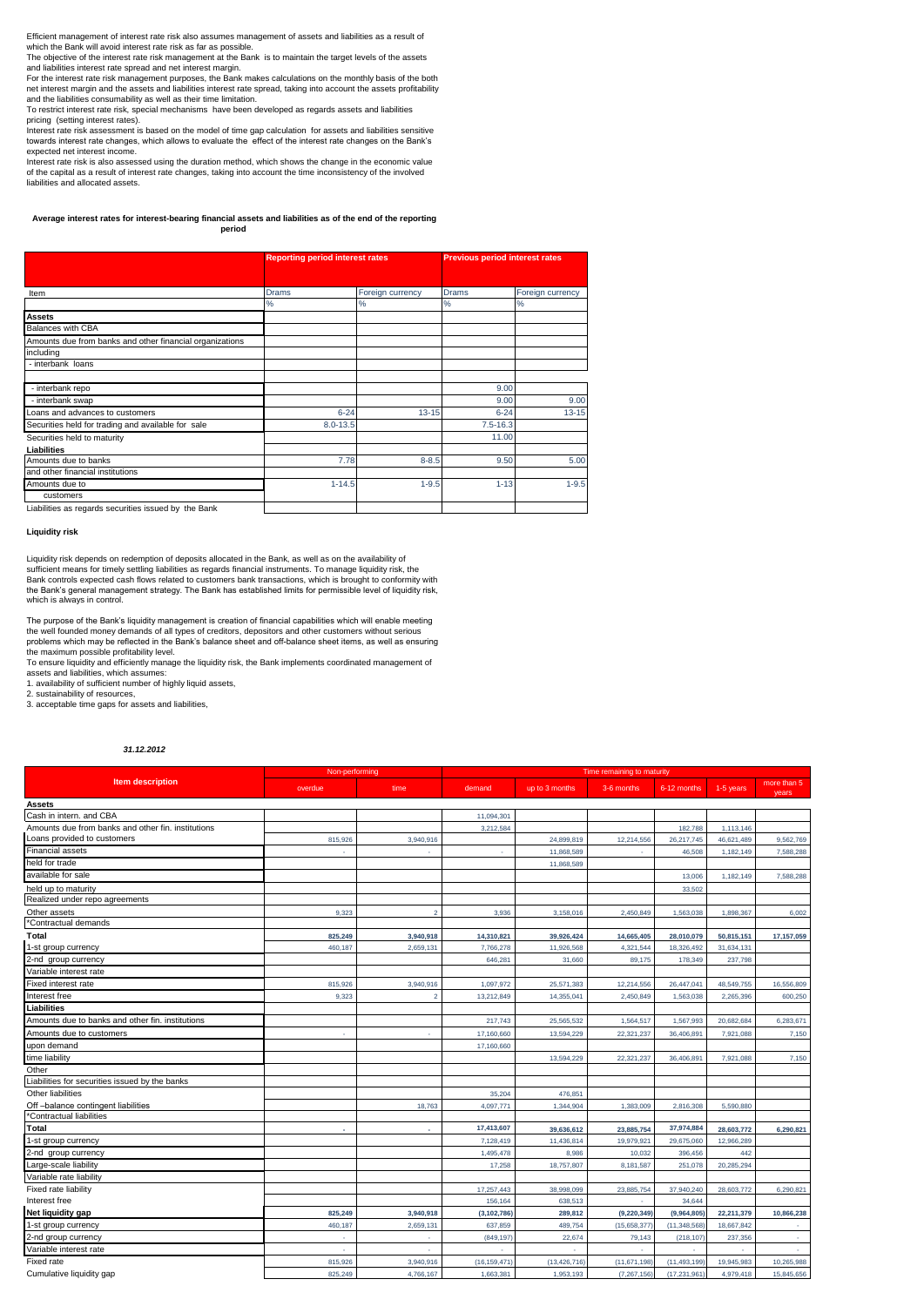Efficient management of interest rate risk also assumes management of assets and liabilities as a result of

which the Bank will avoid interest rate risk as far as possible. The objective of the interest rate risk management at the Bank is to maintain the target levels of the assets

and liabilities interest rate spread and net interest margin. For the interest rate risk management purposes, the Bank makes calculations on the monthly basis of the both net interest margin and the assets and liabilities interest rate spread, taking into account the assets profitability

and the liabilities consumability as well as their time limitation. To restrict interest rate risk, special mechanisms have been developed as regards assets and liabilities pricing (setting interest rates).

Interest rate risk assessment is based on the model of time gap calculation for assets and liabilities sensitive towards interest rate changes, which allows to evaluate the effect of the interest rate changes on the Bank's expected net interest income.

Interest rate risk is also assessed using the duration method, which shows the change in the economic value of the capital as a result of interest rate changes, taking into account the time inconsistency of the involved liabilities and allocated assets.

#### **Average interest rates for interest-bearing financial assets and liabilities as of the end of the reporting period**

|                                                          | <b>Reporting period interest rates</b> |                   | <b>Previous period interest rates</b> |                  |  |
|----------------------------------------------------------|----------------------------------------|-------------------|---------------------------------------|------------------|--|
|                                                          |                                        |                   |                                       |                  |  |
| Item                                                     | <b>Drams</b>                           | Foreign currency  | <b>Drams</b>                          | Foreign currency |  |
|                                                          | %                                      | %                 | $\%$                                  | %                |  |
| <b>Assets</b>                                            |                                        |                   |                                       |                  |  |
| <b>Balances with CBA</b>                                 |                                        |                   |                                       |                  |  |
| Amounts due from banks and other financial organizations |                                        |                   |                                       |                  |  |
| including                                                |                                        |                   |                                       |                  |  |
| - interbank loans                                        |                                        |                   |                                       |                  |  |
|                                                          |                                        |                   |                                       |                  |  |
| - interbank repo                                         |                                        |                   | 9.00                                  |                  |  |
| - interbank swap                                         |                                        |                   | 9.00                                  | 9.00             |  |
| Loans and advances to customers                          | $6 - 24$                               | $13 - 15$         | $6 - 24$                              | $13 - 15$        |  |
| Securities held for trading and available for sale       | $8.0 - 13.5$                           |                   | $7.5 - 16.3$                          |                  |  |
| Securities held to maturity                              |                                        |                   | 11.00                                 |                  |  |
| Liabilities                                              |                                        |                   |                                       |                  |  |
| Amounts due to banks                                     |                                        | 7.78<br>$8 - 8.5$ | 9.50                                  | 5.00             |  |
| and other financial institutions                         |                                        |                   |                                       |                  |  |
| Amounts due to                                           | $1 - 14.5$                             | $1 - 9.5$         | $1 - 13$                              | $1 - 9.5$        |  |
| customers                                                |                                        |                   |                                       |                  |  |
| Liabilities as regards securities issued by the Bank     |                                        |                   |                                       |                  |  |

**Liquidity risk**

Liquidity risk depends on redemption of deposits allocated in the Bank, as well as on the availability of sufficient means for timely settling liabilities as regards financial instruments. To manage liquidity risk, the Bank controls expected cash flows related to customers bank transactions, which is brought to conformity with the Bank's general management strategy. The Bank has established limits for permissible level of liquidity risk, which is always in control.

The purpose of the Bank's liquidity management is creation of financial capabilities which will enable meeting the well founded money demands of all types of creditors, depositors and other customers without serious the well founded money demands of all types of creditors, depositors and other customers without serious problems which may be reflected in the Bank's balance sheet and off-balance sheet items, as well as ensuring the maximum possible profitability level.

To ensure liquidity and efficiently manage the liquidity risk, the Bank implements coordinated management of assets and liabilities, which assumes: 1. availability of sufficient number of highly liquid assets,

2. sustainability of resources,

3. acceptable time gaps for assets and liabilities,

#### *31.12.2012*

|                                                    | Non-performing |                |                | Time remaining to maturity |               |                |            |                      |
|----------------------------------------------------|----------------|----------------|----------------|----------------------------|---------------|----------------|------------|----------------------|
| <b>Item description</b>                            | overdue        | time           | demand         | up to 3 months             | 3-6 months    | 6-12 months    | 1-5 years  | more than 5<br>years |
| <b>Assets</b>                                      |                |                |                |                            |               |                |            |                      |
| Cash in intern, and CBA                            |                |                | 11,094,301     |                            |               |                |            |                      |
| Amounts due from banks and other fin. institutions |                |                | 3,212,584      |                            |               | 182,788        | 1,113,146  |                      |
| Loans provided to customers                        | 815,926        | 3,940,916      |                | 24,899,819                 | 12,214,556    | 26,217,745     | 46,621,489 | 9,562,769            |
| <b>Financial assets</b>                            |                |                | ٠              | 11,868,589                 |               | 46,508         | 1,182,149  | 7,588,288            |
| held for trade                                     |                |                |                | 11,868,589                 |               |                |            |                      |
| available for sale                                 |                |                |                |                            |               | 13,006         | 1,182,149  | 7,588,288            |
| held up to maturity                                |                |                |                |                            |               | 33,502         |            |                      |
| Realized under repo agreements                     |                |                |                |                            |               |                |            |                      |
| Other assets                                       | 9,323          | $\overline{2}$ | 3,936          | 3,158,016                  | 2,450,849     | 1,563,038      | 1,898,367  | 6,002                |
| *Contractual demands                               |                |                |                |                            |               |                |            |                      |
| Total                                              | 825,249        | 3,940,918      | 14,310,821     | 39,926,424                 | 14,665,405    | 28,010,079     | 50,815,151 | 17,157,059           |
| 1-st group currency                                | 460,187        | 2,659,131      | 7,766,278      | 11,926,568                 | 4,321,544     | 18,326,492     | 31,634,131 |                      |
| 2-nd group currency                                |                |                | 646,281        | 31,660                     | 89,175        | 178,349        | 237,798    |                      |
| Variable interest rate                             |                |                |                |                            |               |                |            |                      |
| Fixed interest rate                                | 815,926        | 3,940,916      | 1,097,972      | 25,571,383                 | 12,214,556    | 26,447,041     | 48,549,755 | 16,556,809           |
| Interest free                                      | 9,323          |                | 13,212,849     | 14,355,04                  | 2,450,849     | 1,563,038      | 2,265,396  | 600,250              |
| Liabilities                                        |                |                |                |                            |               |                |            |                      |
| Amounts due to banks and other fin. institutions   |                |                | 217,743        | 25,565,532                 | 1,564,517     | 1,567,993      | 20,682,684 | 6,283,671            |
| Amounts due to customers                           | ×.             | ÷.             | 17,160,660     | 13,594,229                 | 22,321,237    | 36,406,891     | 7,921,088  | 7,150                |
| upon demand                                        |                |                | 17,160,660     |                            |               |                |            |                      |
| time liability                                     |                |                |                | 13,594,229                 | 22,321,237    | 36,406,891     | 7,921,088  | 7,150                |
| Other                                              |                |                |                |                            |               |                |            |                      |
| Liabilities for securities issued by the banks     |                |                |                |                            |               |                |            |                      |
| Other liabilities                                  |                |                | 35,204         | 476,851                    |               |                |            |                      |
| Off-balance contingent liabilities                 |                | 18,763         | 4,097,771      | 1,344,904                  | 1,383,009     | 2,816,308      | 5,590,880  |                      |
| *Contractual liabilities                           |                |                |                |                            |               |                |            |                      |
| Total                                              |                |                | 17,413,607     | 39,636,612                 | 23,885,754    | 37,974,884     | 28,603,772 | 6,290,821            |
| 1-st group currency                                |                |                | 7,128,419      | 11,436,814                 | 19,979,921    | 29,675,060     | 12,966,289 |                      |
| 2-nd group currency                                |                |                | 1,495,478      | 8,986                      | 10,032        | 396,456        | 442        |                      |
| Large-scale liability                              |                |                | 17,258         | 18,757,807                 | 8,181,587     | 251,078        | 20,285,294 |                      |
| Variable rate liability                            |                |                |                |                            |               |                |            |                      |
| Fixed rate liability                               |                |                | 17,257,443     | 38,998,099                 | 23,885,754    | 37,940,240     | 28,603,772 | 6,290,821            |
| Interest free                                      |                |                | 156,164        | 638,513                    |               | 34.644         |            |                      |
| Net liquidity gap                                  | 825,249        | 3,940,918      | (3, 102, 786)  | 289,812                    | (9, 220, 349) | (9,964,805)    | 22,211,379 | 10,866,238           |
| 1-st group currency                                | 460,187        | 2,659,131      | 637,859        | 489,754                    | (15,658,377)  | (11,348,568    | 18,667,842 |                      |
| 2-nd group currency                                | ×.             | ×              | (849, 197)     | 22,674                     | 79,143        | (218, 107)     | 237,356    | ×                    |
| Variable interest rate                             | ×.             | ×              | $\sim$         | ×.                         | ٠             |                | ×.         |                      |
| Fixed rate                                         | 815,926        | 3,940,916      | (16, 159, 471) | (13, 426, 716)             | (11,671,198)  | (11, 493, 199) | 19,945,983 | 10,265,988           |
| Cumulative liquidity gap                           | 825,249        | 4,766,167      | 1,663,381      | 1,953,193                  | (7, 267, 156) | (17,231,961    | 4,979,418  | 15,845,656           |